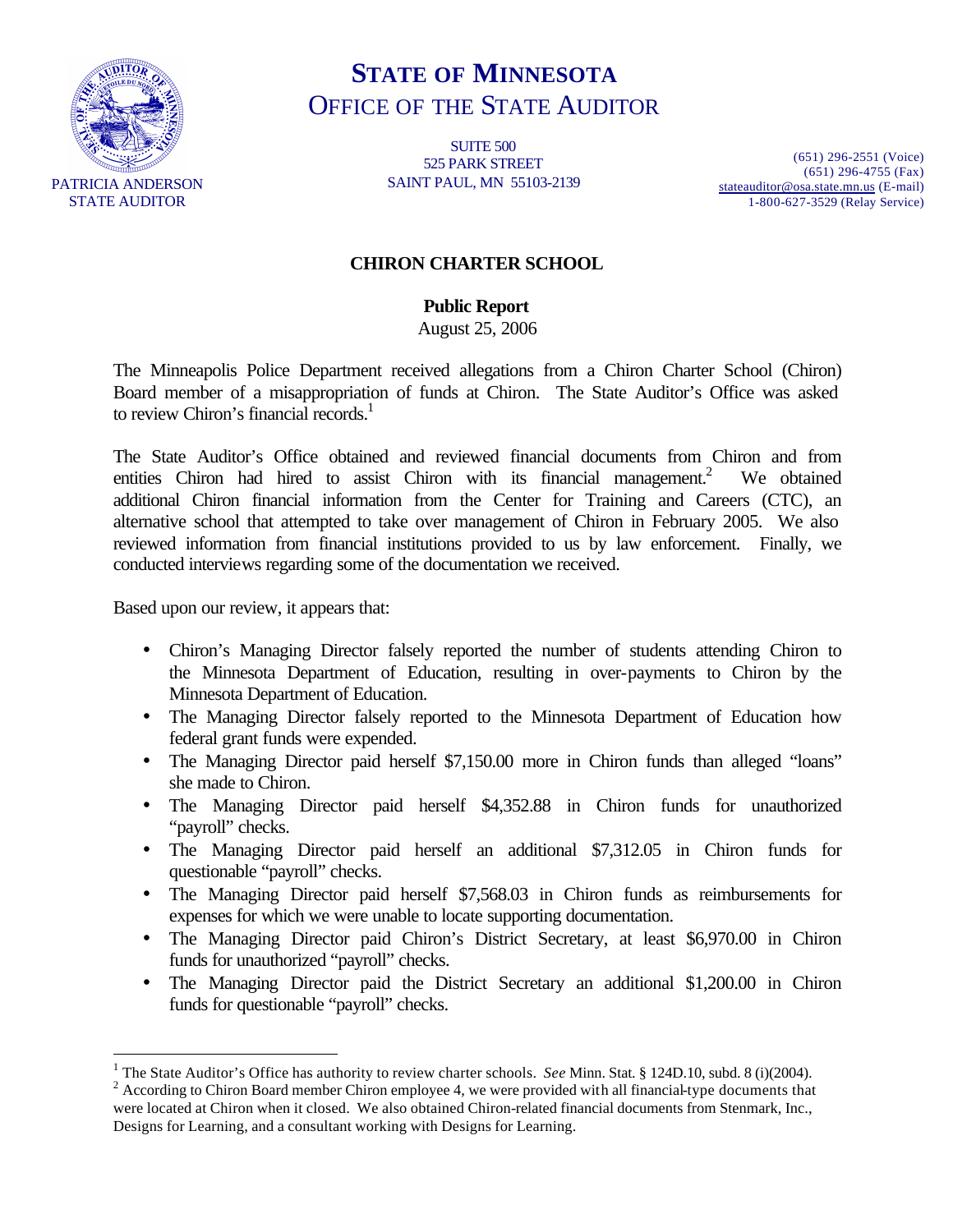

 $\overline{a}$ 

# **STATE OF MINNESOTA** OFFICE OF THE STATE AUDITOR

SUITE 500 525 PARK STREET SAINT PAUL, MN 55103-2139

(651) 296-2551 (Voice) (651) 296-4755 (Fax) stateauditor@osa.state.mn.us (E-mail) 1-800-627-3529 (Relay Service)

#### **CHIRON CHARTER SCHOOL**

**Public Report**

August 25, 2006

The Minneapolis Police Department received allegations from a Chiron Charter School (Chiron) Board member of a misappropriation of funds at Chiron. The State Auditor's Office was asked to review Chiron's financial records.<sup>1</sup>

The State Auditor's Office obtained and reviewed financial documents from Chiron and from entities Chiron had hired to assist Chiron with its financial management.<sup>2</sup> We obtained additional Chiron financial information from the Center for Training and Careers (CTC), an alternative school that attempted to take over management of Chiron in February 2005. We also reviewed information from financial institutions provided to us by law enforcement. Finally, we conducted interviews regarding some of the documentation we received.

Based upon our review, it appears that:

- Chiron's Managing Director falsely reported the number of students attending Chiron to the Minnesota Department of Education, resulting in over-payments to Chiron by the Minnesota Department of Education.
- The Managing Director falsely reported to the Minnesota Department of Education how federal grant funds were expended.
- The Managing Director paid herself \$7,150.00 more in Chiron funds than alleged "loans" she made to Chiron.
- The Managing Director paid herself \$4,352.88 in Chiron funds for unauthorized "payroll" checks.
- The Managing Director paid herself an additional \$7,312.05 in Chiron funds for questionable "payroll" checks.
- The Managing Director paid herself \$7,568.03 in Chiron funds as reimbursements for expenses for which we were unable to locate supporting documentation.
- The Managing Director paid Chiron's District Secretary, at least \$6,970.00 in Chiron funds for unauthorized "payroll" checks.
- The Managing Director paid the District Secretary an additional \$1,200.00 in Chiron funds for questionable "payroll" checks.

<sup>&</sup>lt;sup>1</sup> The State Auditor's Office has authority to review charter schools. *See Minn. Stat.* § 124D.10, subd. 8 (i)(2004).

 $2$  According to Chiron Board member Chiron employee 4, we were provided with all financial-type documents that were located at Chiron when it closed. We also obtained Chiron-related financial documents from Stenmark, Inc., Designs for Learning, and a consultant working with Designs for Learning.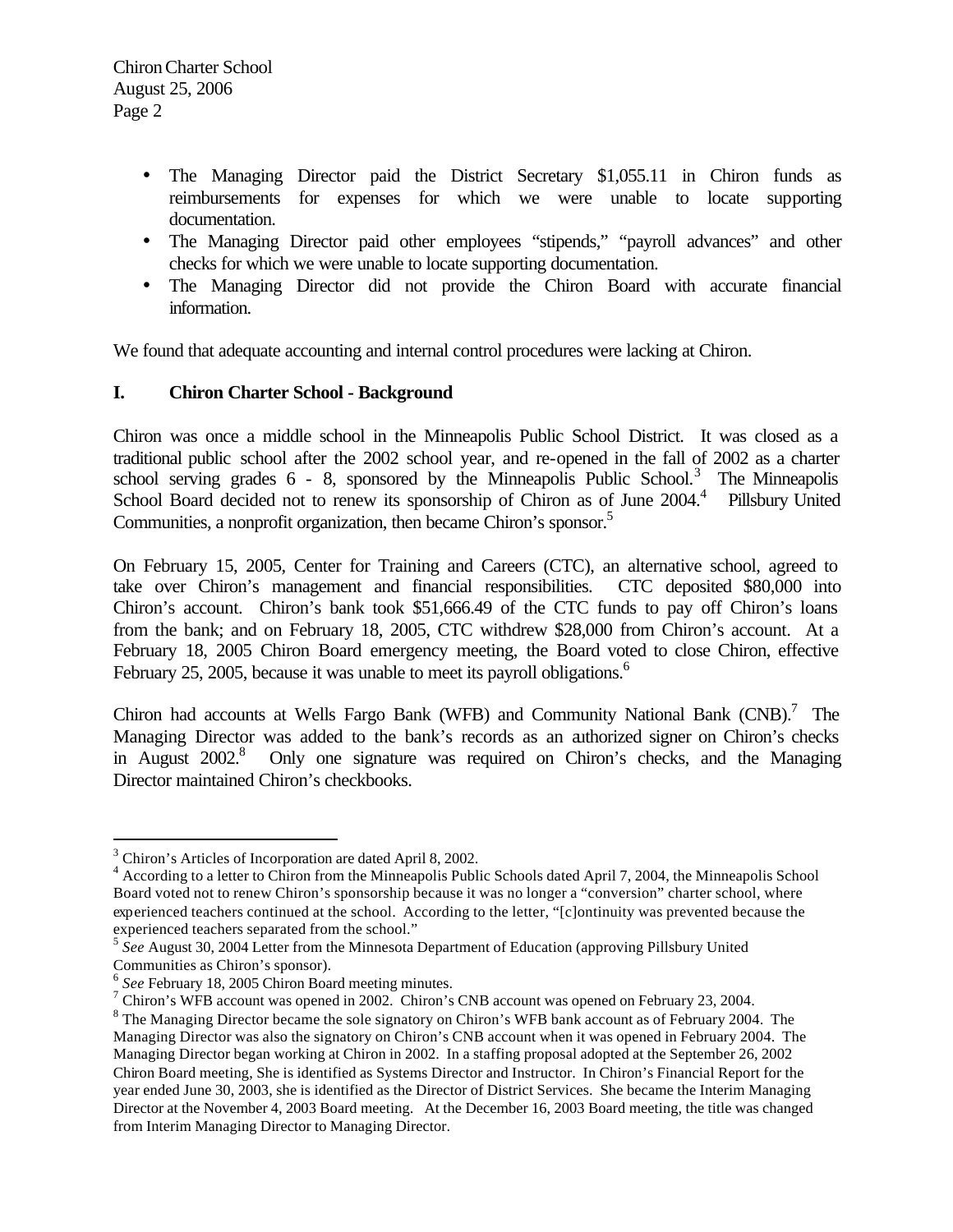- The Managing Director paid the District Secretary \$1,055.11 in Chiron funds as reimbursements for expenses for which we were unable to locate supporting documentation.
- The Managing Director paid other employees "stipends," "payroll advances" and other checks for which we were unable to locate supporting documentation.
- The Managing Director did not provide the Chiron Board with accurate financial information.

We found that adequate accounting and internal control procedures were lacking at Chiron.

## **I. Chiron Charter School - Background**

Chiron was once a middle school in the Minneapolis Public School District. It was closed as a traditional public school after the 2002 school year, and re-opened in the fall of 2002 as a charter school serving grades  $6 - 8$ , sponsored by the Minneapolis Public School.<sup>3</sup> The Minneapolis School Board decided not to renew its sponsorship of Chiron as of June 2004.<sup>4</sup> Pillsbury United Communities, a nonprofit organization, then became Chiron's sponsor.<sup>5</sup>

On February 15, 2005, Center for Training and Careers (CTC), an alternative school, agreed to take over Chiron's management and financial responsibilities. CTC deposited \$80,000 into Chiron's account. Chiron's bank took \$51,666.49 of the CTC funds to pay off Chiron's loans from the bank; and on February 18, 2005, CTC withdrew \$28,000 from Chiron's account. At a February 18, 2005 Chiron Board emergency meeting, the Board voted to close Chiron, effective February 25, 2005, because it was unable to meet its payroll obligations.<sup>6</sup>

Chiron had accounts at Wells Fargo Bank (WFB) and Community National Bank  $(CNB)$ .<sup>7</sup> The Managing Director was added to the bank's records as an authorized signer on Chiron's checks in August 2002.<sup>8</sup> Only one signature was required on Chiron's checks, and the Managing Director maintained Chiron's checkbooks.

<sup>&</sup>lt;sup>3</sup> Chiron's Articles of Incorporation are dated April 8, 2002.

<sup>&</sup>lt;sup>4</sup> According to a letter to Chiron from the Minneapolis Public Schools dated April 7, 2004, the Minneapolis School Board voted not to renew Chiron's sponsorship because it was no longer a "conversion" charter school, where experienced teachers continued at the school. According to the letter, "[c]ontinuity was prevented because the experienced teachers separated from the school."

<sup>5</sup> *See* August 30, 2004 Letter from the Minnesota Department of Education (approving Pillsbury United Communities as Chiron's sponsor).

<sup>6</sup> *See* February 18, 2005 Chiron Board meeting minutes.

<sup>&</sup>lt;sup>7</sup> Chiron's WFB account was opened in 2002. Chiron's CNB account was opened on February 23, 2004.

<sup>&</sup>lt;sup>8</sup> The Managing Director became the sole signatory on Chiron's WFB bank account as of February 2004. The Managing Director was also the signatory on Chiron's CNB account when it was opened in February 2004. The Managing Director began working at Chiron in 2002. In a staffing proposal adopted at the September 26, 2002 Chiron Board meeting, She is identified as Systems Director and Instructor. In Chiron's Financial Report for the year ended June 30, 2003, she is identified as the Director of District Services. She became the Interim Managing Director at the November 4, 2003 Board meeting. At the December 16, 2003 Board meeting, the title was changed from Interim Managing Director to Managing Director.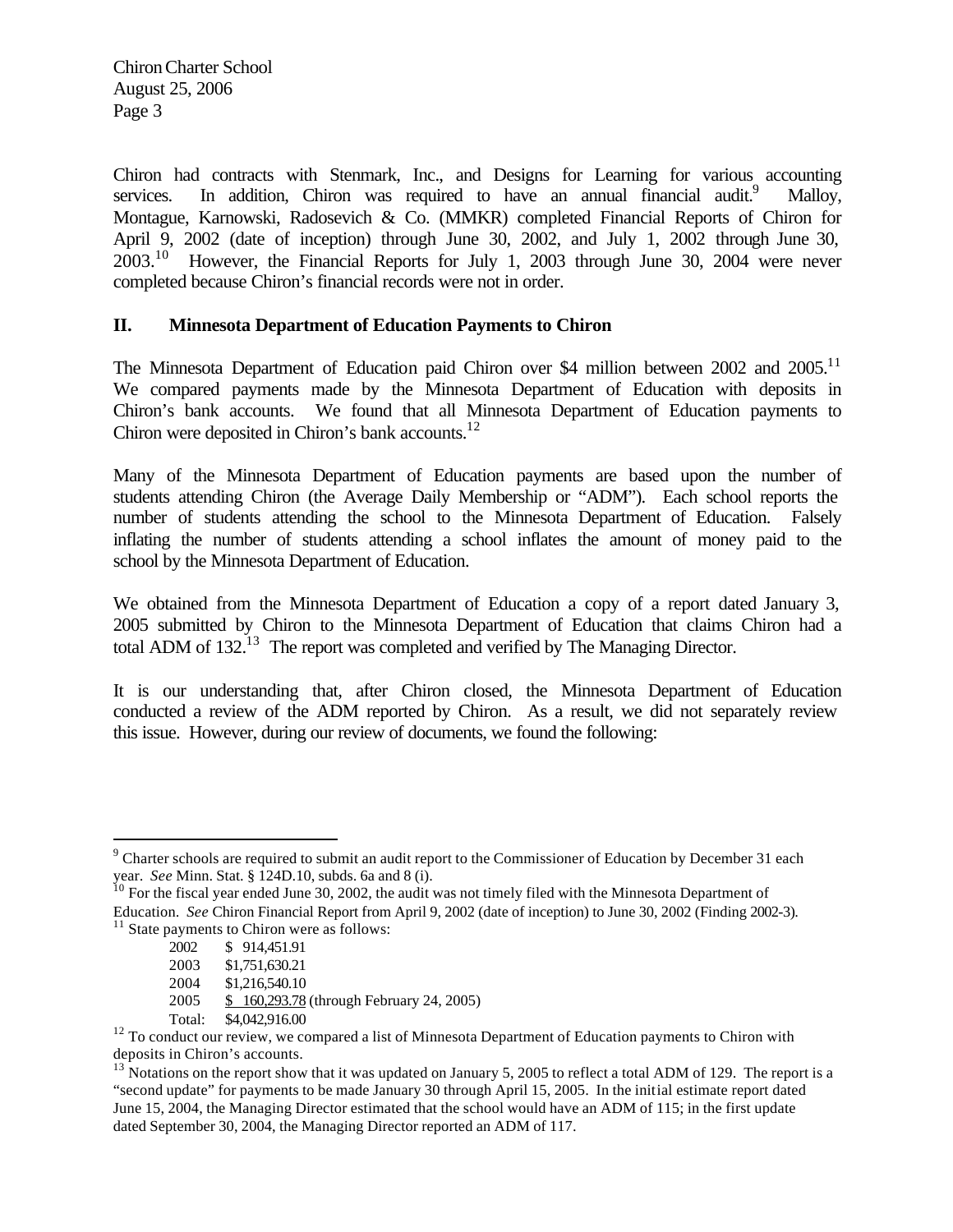Chiron had contracts with Stenmark, Inc., and Designs for Learning for various accounting services. In addition, Chiron was required to have an annual financial audit.<sup>9</sup> Malloy, Montague, Karnowski, Radosevich & Co. (MMKR) completed Financial Reports of Chiron for April 9, 2002 (date of inception) through June 30, 2002, and July 1, 2002 through June 30,  $2003<sup>10</sup>$  However, the Financial Reports for July 1, 2003 through June 30, 2004 were never completed because Chiron's financial records were not in order.

## **II. Minnesota Department of Education Payments to Chiron**

The Minnesota Department of Education paid Chiron over \$4 million between 2002 and 2005.<sup>11</sup> We compared payments made by the Minnesota Department of Education with deposits in Chiron's bank accounts. We found that all Minnesota Department of Education payments to Chiron were deposited in Chiron's bank accounts.<sup>12</sup>

Many of the Minnesota Department of Education payments are based upon the number of students attending Chiron (the Average Daily Membership or "ADM"). Each school reports the number of students attending the school to the Minnesota Department of Education. Falsely inflating the number of students attending a school inflates the amount of money paid to the school by the Minnesota Department of Education.

We obtained from the Minnesota Department of Education a copy of a report dated January 3, 2005 submitted by Chiron to the Minnesota Department of Education that claims Chiron had a total ADM of 132.<sup>13</sup> The report was completed and verified by The Managing Director.

It is our understanding that, after Chiron closed, the Minnesota Department of Education conducted a review of the ADM reported by Chiron. As a result, we did not separately review this issue. However, during our review of documents, we found the following:

<sup>&</sup>lt;sup>9</sup> Charter schools are required to submit an audit report to the Commissioner of Education by December 31 each year. *See* Minn. Stat. § 124D.10, subds. 6a and 8 (i).

 $10$  For the fiscal year ended June 30, 2002, the audit was not timely filed with the Minnesota Department of Education. *See* Chiron Financial Report from April 9, 2002 (date of inception) to June 30, 2002 (Finding 2002-3).  $11$  State payments to Chiron were as follows:

<sup>2002</sup> \$ 914,451.91

<sup>2003</sup> \$1,751,630.21

<sup>2004</sup> \$1,216,540.10

<sup>2005</sup> \$ 160,293.78 (through February 24, 2005)

Total: \$4,042,916.00

<sup>&</sup>lt;sup>12</sup> To conduct our review, we compared a list of Minnesota Department of Education payments to Chiron with deposits in Chiron's accounts.

 $13$  Notations on the report show that it was updated on January 5, 2005 to reflect a total ADM of 129. The report is a "second update" for payments to be made January 30 through April 15, 2005. In the initial estimate report dated June 15, 2004, the Managing Director estimated that the school would have an ADM of 115; in the first update dated September 30, 2004, the Managing Director reported an ADM of 117.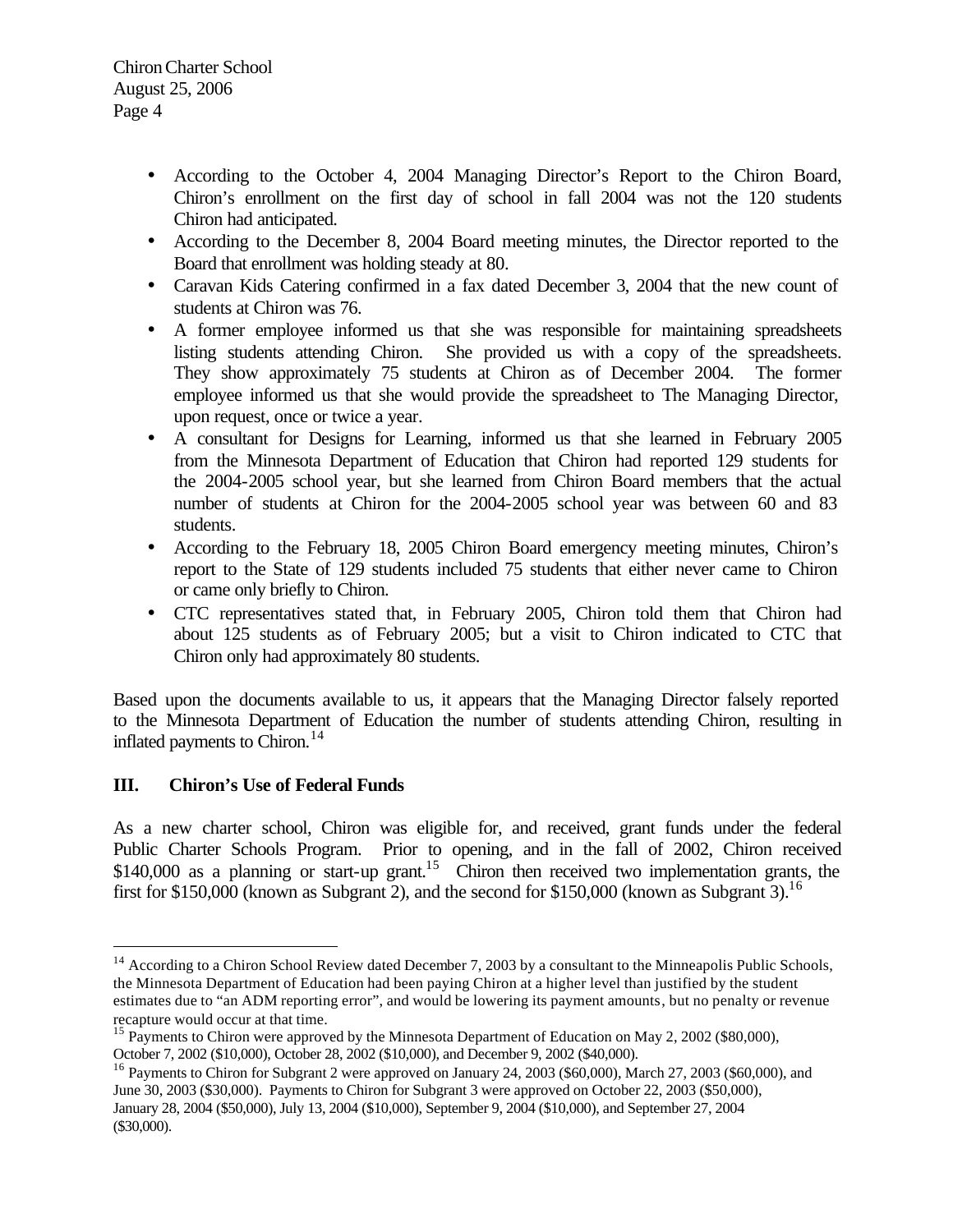- According to the October 4, 2004 Managing Director's Report to the Chiron Board, Chiron's enrollment on the first day of school in fall 2004 was not the 120 students Chiron had anticipated.
- According to the December 8, 2004 Board meeting minutes, the Director reported to the Board that enrollment was holding steady at 80.
- Caravan Kids Catering confirmed in a fax dated December 3, 2004 that the new count of students at Chiron was 76.
- A former employee informed us that she was responsible for maintaining spreadsheets listing students attending Chiron. She provided us with a copy of the spreadsheets. They show approximately 75 students at Chiron as of December 2004. The former employee informed us that she would provide the spreadsheet to The Managing Director, upon request, once or twice a year.
- A consultant for Designs for Learning, informed us that she learned in February 2005 from the Minnesota Department of Education that Chiron had reported 129 students for the 2004-2005 school year, but she learned from Chiron Board members that the actual number of students at Chiron for the 2004-2005 school year was between 60 and 83 students.
- According to the February 18, 2005 Chiron Board emergency meeting minutes, Chiron's report to the State of 129 students included 75 students that either never came to Chiron or came only briefly to Chiron.
- CTC representatives stated that, in February 2005, Chiron told them that Chiron had about 125 students as of February 2005; but a visit to Chiron indicated to CTC that Chiron only had approximately 80 students.

Based upon the documents available to us, it appears that the Managing Director falsely reported to the Minnesota Department of Education the number of students attending Chiron, resulting in inflated payments to Chiron.<sup>14</sup>

# **III. Chiron's Use of Federal Funds**

 $\overline{a}$ 

As a new charter school, Chiron was eligible for, and received, grant funds under the federal Public Charter Schools Program. Prior to opening, and in the fall of 2002, Chiron received \$140,000 as a planning or start-up grant.<sup>15</sup> Chiron then received two implementation grants, the first for \$150,000 (known as Subgrant 2), and the second for \$150,000 (known as Subgrant 3).<sup>16</sup>

 $14$  According to a Chiron School Review dated December 7, 2003 by a consultant to the Minneapolis Public Schools, the Minnesota Department of Education had been paying Chiron at a higher level than justified by the student estimates due to "an ADM reporting error", and would be lowering its payment amounts, but no penalty or revenue recapture would occur at that time.

<sup>&</sup>lt;sup>15</sup> Payments to Chiron were approved by the Minnesota Department of Education on May 2, 2002 (\$80,000), October 7, 2002 (\$10,000), October 28, 2002 (\$10,000), and December 9, 2002 (\$40,000).

<sup>&</sup>lt;sup>16</sup> Payments to Chiron for Subgrant 2 were approved on January 24, 2003 (\$60,000), March 27, 2003 (\$60,000), and June 30, 2003 (\$30,000). Payments to Chiron for Subgrant 3 were approved on October 22, 2003 (\$50,000), January 28, 2004 (\$50,000), July 13, 2004 (\$10,000), September 9, 2004 (\$10,000), and September 27, 2004 (\$30,000).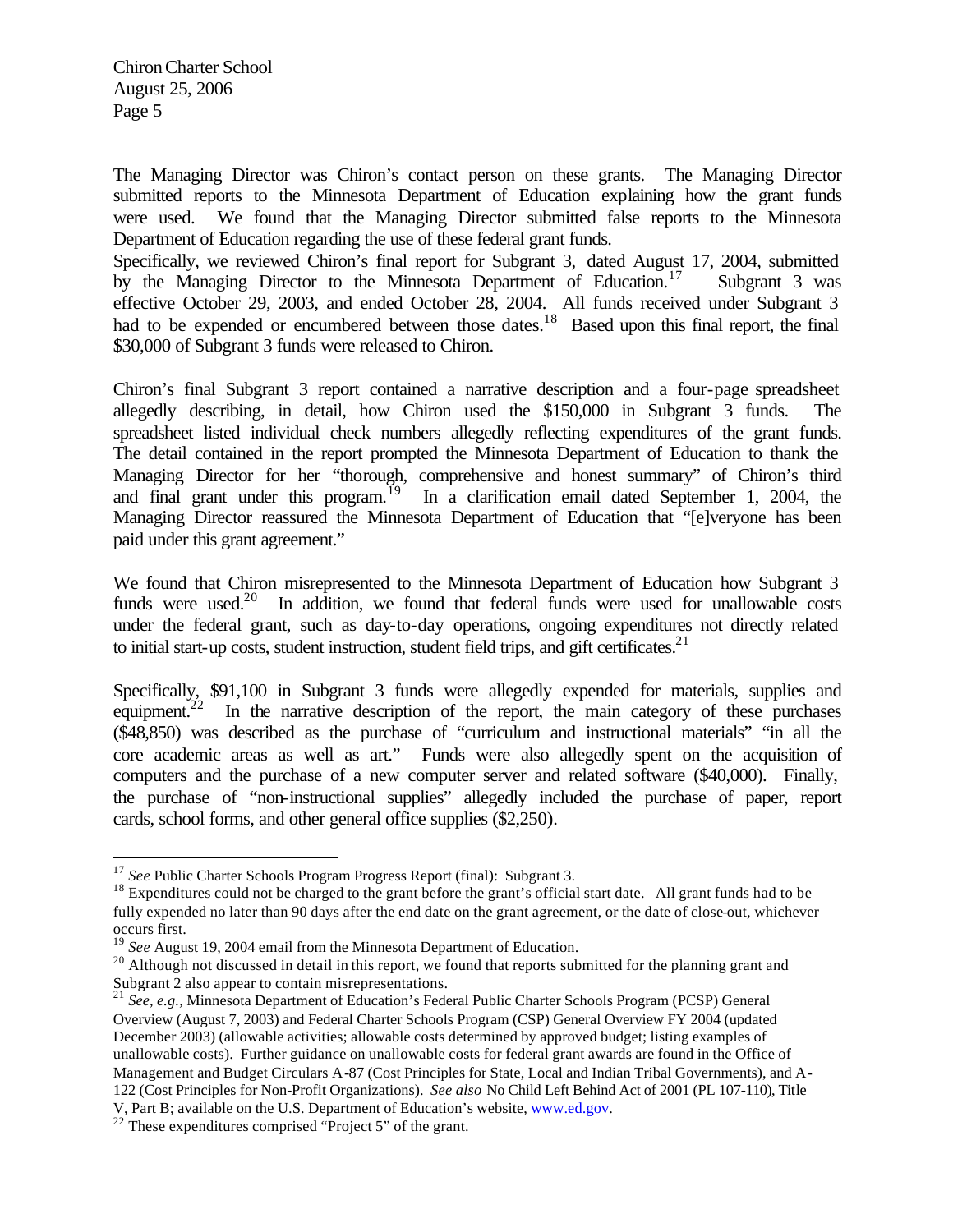$\overline{a}$ 

The Managing Director was Chiron's contact person on these grants. The Managing Director submitted reports to the Minnesota Department of Education explaining how the grant funds were used. We found that the Managing Director submitted false reports to the Minnesota Department of Education regarding the use of these federal grant funds.

Specifically, we reviewed Chiron's final report for Subgrant 3, dated August 17, 2004, submitted by the Managing Director to the Minnesota Department of Education.<sup>17</sup> Subgrant 3 was effective October 29, 2003, and ended October 28, 2004. All funds received under Subgrant 3 had to be expended or encumbered between those dates.<sup>18</sup> Based upon this final report, the final \$30,000 of Subgrant 3 funds were released to Chiron.

Chiron's final Subgrant 3 report contained a narrative description and a four-page spreadsheet allegedly describing, in detail, how Chiron used the \$150,000 in Subgrant 3 funds. The spreadsheet listed individual check numbers allegedly reflecting expenditures of the grant funds. The detail contained in the report prompted the Minnesota Department of Education to thank the Managing Director for her "thorough, comprehensive and honest summary" of Chiron's third and final grant under this program.<sup>19</sup> In a clarification email dated September 1, 2004, the Managing Director reassured the Minnesota Department of Education that "[e]veryone has been paid under this grant agreement."

We found that Chiron misrepresented to the Minnesota Department of Education how Subgrant 3 funds were used.<sup>20</sup> In addition, we found that federal funds were used for unallowable costs under the federal grant, such as day-to-day operations, ongoing expenditures not directly related to initial start-up costs, student instruction, student field trips, and gift certificates.<sup>21</sup>

Specifically, \$91,100 in Subgrant 3 funds were allegedly expended for materials, supplies and equipment.<sup>22</sup> In the narrative description of the report, the main category of these purchases (\$48,850) was described as the purchase of "curriculum and instructional materials" "in all the core academic areas as well as art." Funds were also allegedly spent on the acquisition of computers and the purchase of a new computer server and related software (\$40,000). Finally, the purchase of "non-instructional supplies" allegedly included the purchase of paper, report cards, school forms, and other general office supplies (\$2,250).

 $22$ <sup>22</sup> These expenditures comprised "Project 5" of the grant.

<sup>17</sup> *See* Public Charter Schools Program Progress Report (final): Subgrant 3.

<sup>&</sup>lt;sup>18</sup> Expenditures could not be charged to the grant before the grant's official start date. All grant funds had to be fully expended no later than 90 days after the end date on the grant agreement, or the date of close-out, whichever occurs first.

<sup>&</sup>lt;sup>19</sup> *See* August 19, 2004 email from the Minnesota Department of Education.

<sup>&</sup>lt;sup>20</sup> Although not discussed in detail in this report, we found that reports submitted for the planning grant and Subgrant 2 also appear to contain misrepresentations.

<sup>21</sup> *See, e.g.,* Minnesota Department of Education's Federal Public Charter Schools Program (PCSP) General Overview (August 7, 2003) and Federal Charter Schools Program (CSP) General Overview FY 2004 (updated December 2003) (allowable activities; allowable costs determined by approved budget; listing examples of unallowable costs). Further guidance on unallowable costs for federal grant awards are found in the Office of Management and Budget Circulars A-87 (Cost Principles for State, Local and Indian Tribal Governments), and A-122 (Cost Principles for Non-Profit Organizations). *See also* No Child Left Behind Act of 2001 (PL 107-110), Title V, Part B; available on the U.S. Department of Education's website, www.ed.gov.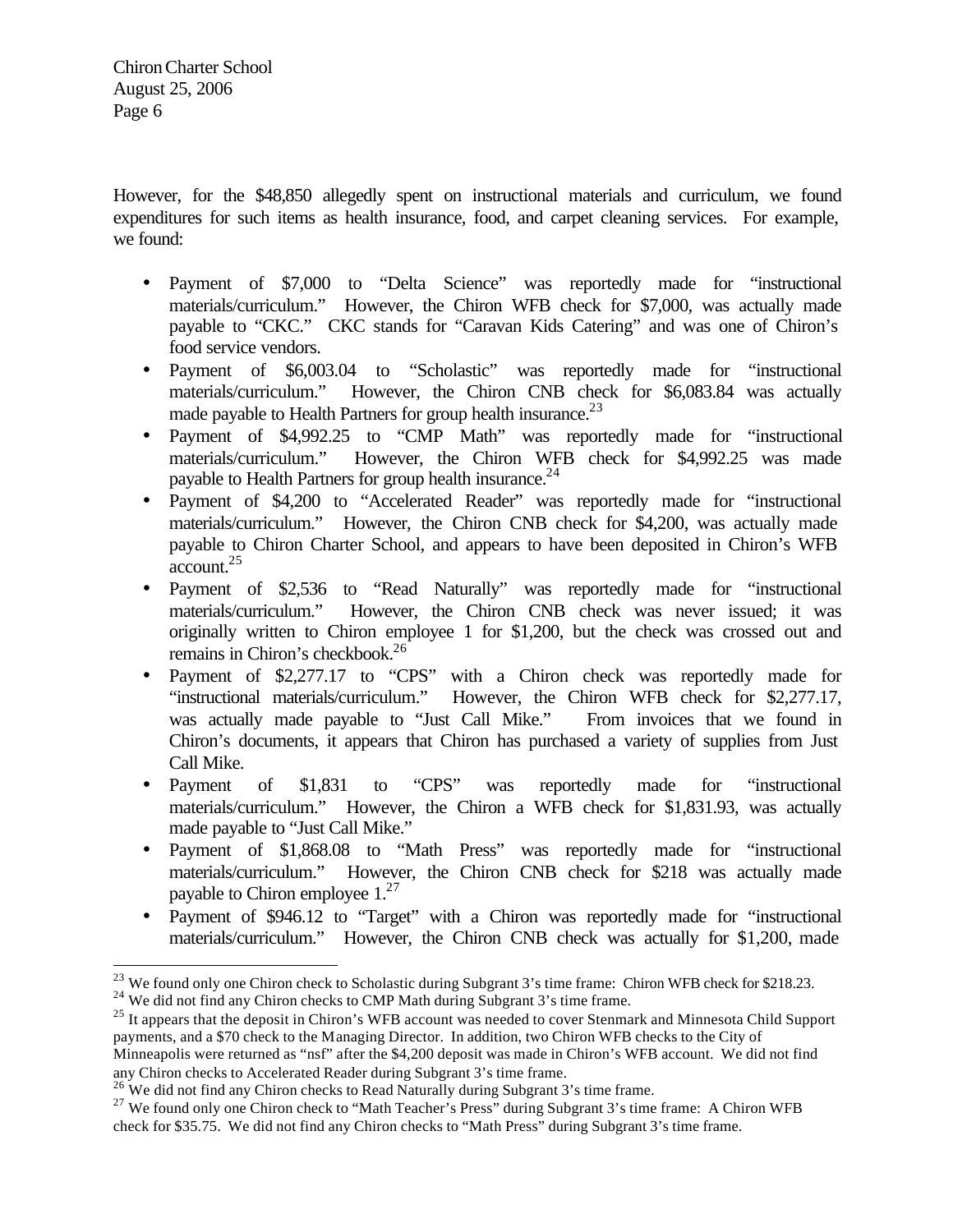However, for the \$48,850 allegedly spent on instructional materials and curriculum, we found expenditures for such items as health insurance, food, and carpet cleaning services. For example, we found:

- Payment of \$7,000 to "Delta Science" was reportedly made for "instructional materials/curriculum." However, the Chiron WFB check for \$7,000, was actually made payable to "CKC." CKC stands for "Caravan Kids Catering" and was one of Chiron's food service vendors.
- Payment of \$6,003.04 to "Scholastic" was reportedly made for "instructional materials/curriculum." However, the Chiron CNB check for \$6,083.84 was actually made payable to Health Partners for group health insurance. $^{23}$
- Payment of \$4,992.25 to "CMP Math" was reportedly made for "instructional materials/curriculum." However, the Chiron WFB check for \$4,992.25 was made payable to Health Partners for group health insurance.<sup>24</sup>
- Payment of \$4,200 to "Accelerated Reader" was reportedly made for "instructional materials/curriculum." However, the Chiron CNB check for \$4,200, was actually made payable to Chiron Charter School, and appears to have been deposited in Chiron's WFB account.<sup>25</sup>
- Payment of \$2,536 to "Read Naturally" was reportedly made for "instructional materials/curriculum." However, the Chiron CNB check was never issued; it was originally written to Chiron employee 1 for \$1,200, but the check was crossed out and remains in Chiron's checkbook.<sup>26</sup>
- Payment of \$2,277.17 to "CPS" with a Chiron check was reportedly made for "instructional materials/curriculum." However, the Chiron WFB check for \$2,277.17, was actually made payable to "Just Call Mike." From invoices that we found in Chiron's documents, it appears that Chiron has purchased a variety of supplies from Just Call Mike.
- Payment of \$1,831 to "CPS" was reportedly made for "instructional materials/curriculum." However, the Chiron a WFB check for \$1,831.93, was actually made payable to "Just Call Mike."
- Payment of \$1,868.08 to "Math Press" was reportedly made for "instructional materials/curriculum." However, the Chiron CNB check for \$218 was actually made payable to Chiron employee 1.<sup>27</sup>
- Payment of \$946.12 to "Target" with a Chiron was reportedly made for "instructional materials/curriculum." However, the Chiron CNB check was actually for \$1,200, made

<sup>&</sup>lt;sup>23</sup> We found only one Chiron check to Scholastic during Subgrant 3's time frame: Chiron WFB check for \$218.23.

<sup>&</sup>lt;sup>24</sup> We did not find any Chiron checks to CMP Math during Subgrant 3's time frame.

<sup>&</sup>lt;sup>25</sup> It appears that the deposit in Chiron's WFB account was needed to cover Stenmark and Minnesota Child Support payments, and a \$70 check to the Managing Director. In addition, two Chiron WFB checks to the City of Minneapolis were returned as "nsf" after the \$4,200 deposit was made in Chiron's WFB account. We did not find

any Chiron checks to Accelerated Reader during Subgrant 3's time frame.

<sup>&</sup>lt;sup>26</sup> We did not find any Chiron checks to Read Naturally during Subgrant 3's time frame.

<sup>&</sup>lt;sup>27</sup> We found only one Chiron check to "Math Teacher's Press" during Subgrant 3's time frame: A Chiron WFB check for \$35.75. We did not find any Chiron checks to "Math Press" during Subgrant 3's time frame.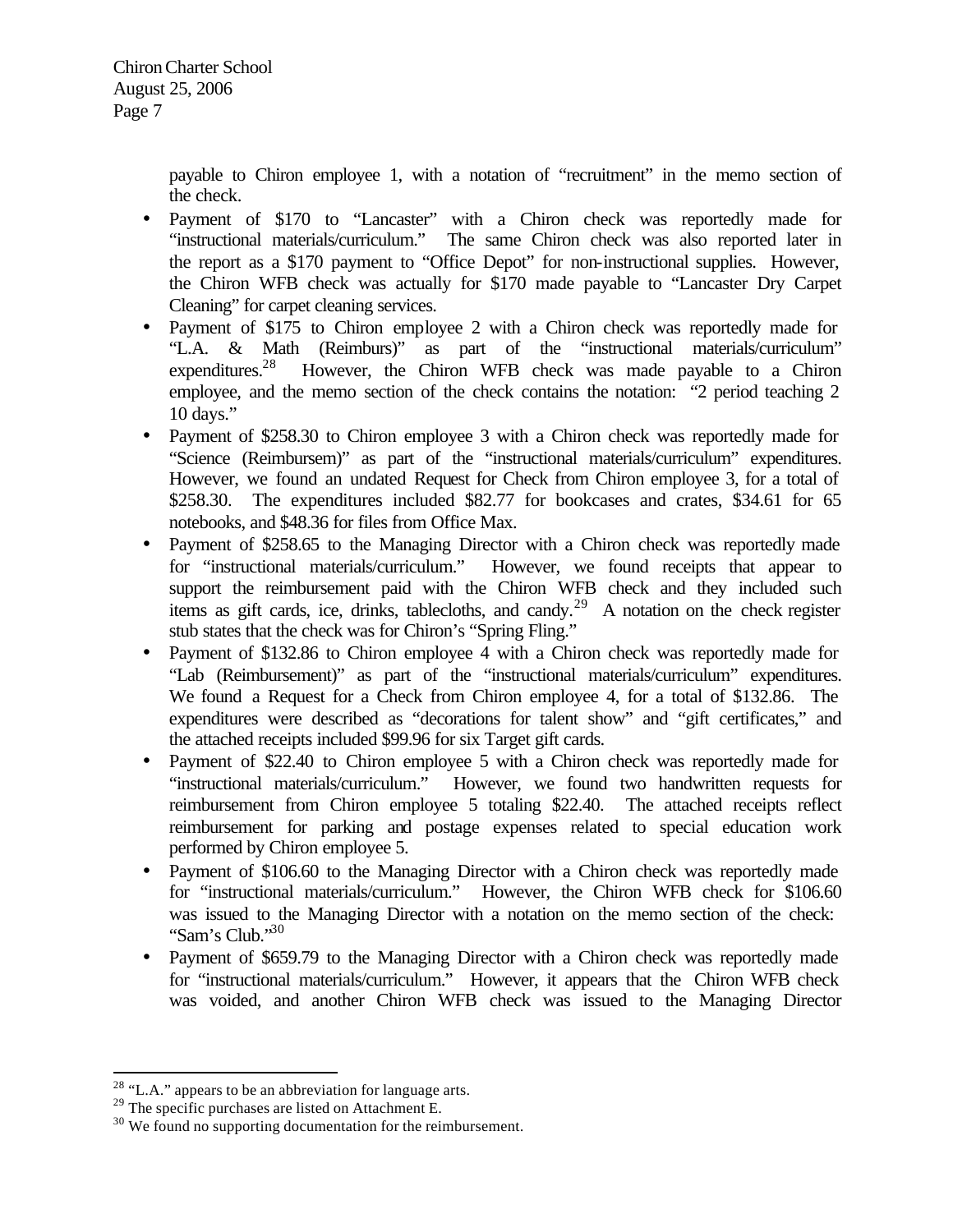> payable to Chiron employee 1, with a notation of "recruitment" in the memo section of the check.

- Payment of \$170 to "Lancaster" with a Chiron check was reportedly made for "instructional materials/curriculum." The same Chiron check was also reported later in the report as a \$170 payment to "Office Depot" for non-instructional supplies. However, the Chiron WFB check was actually for \$170 made payable to "Lancaster Dry Carpet Cleaning" for carpet cleaning services.
- Payment of \$175 to Chiron employee 2 with a Chiron check was reportedly made for "L.A. & Math (Reimburs)" as part of the "instructional materials/curriculum" expenditures.<sup>28</sup> However, the Chiron WFB check was made payable to a Chiron employee, and the memo section of the check contains the notation: "2 period teaching 2 10 days."
- Payment of \$258.30 to Chiron employee 3 with a Chiron check was reportedly made for "Science (Reimbursem)" as part of the "instructional materials/curriculum" expenditures. However, we found an undated Request for Check from Chiron employee 3, for a total of \$258.30. The expenditures included \$82.77 for bookcases and crates, \$34.61 for 65 notebooks, and \$48.36 for files from Office Max.
- Payment of \$258.65 to the Managing Director with a Chiron check was reportedly made for "instructional materials/curriculum." However, we found receipts that appear to support the reimbursement paid with the Chiron WFB check and they included such items as gift cards, ice, drinks, tablecloths, and candy.<sup>29</sup> A notation on the check register stub states that the check was for Chiron's "Spring Fling."
- Payment of \$132.86 to Chiron employee 4 with a Chiron check was reportedly made for "Lab (Reimbursement)" as part of the "instructional materials/curriculum" expenditures. We found a Request for a Check from Chiron employee 4, for a total of \$132.86. The expenditures were described as "decorations for talent show" and "gift certificates," and the attached receipts included \$99.96 for six Target gift cards.
- Payment of \$22.40 to Chiron employee 5 with a Chiron check was reportedly made for "instructional materials/curriculum." However, we found two handwritten requests for reimbursement from Chiron employee 5 totaling \$22.40. The attached receipts reflect reimbursement for parking and postage expenses related to special education work performed by Chiron employee 5.
- Payment of \$106.60 to the Managing Director with a Chiron check was reportedly made for "instructional materials/curriculum." However, the Chiron WFB check for \$106.60 was issued to the Managing Director with a notation on the memo section of the check: "Sam's Club."<sup>30</sup>
- Payment of \$659.79 to the Managing Director with a Chiron check was reportedly made for "instructional materials/curriculum." However, it appears that the Chiron WFB check was voided, and another Chiron WFB check was issued to the Managing Director

 $28$  "L.A." appears to be an abbreviation for language arts.

<sup>&</sup>lt;sup>29</sup> The specific purchases are listed on Attachment E.

<sup>&</sup>lt;sup>30</sup> We found no supporting documentation for the reimbursement.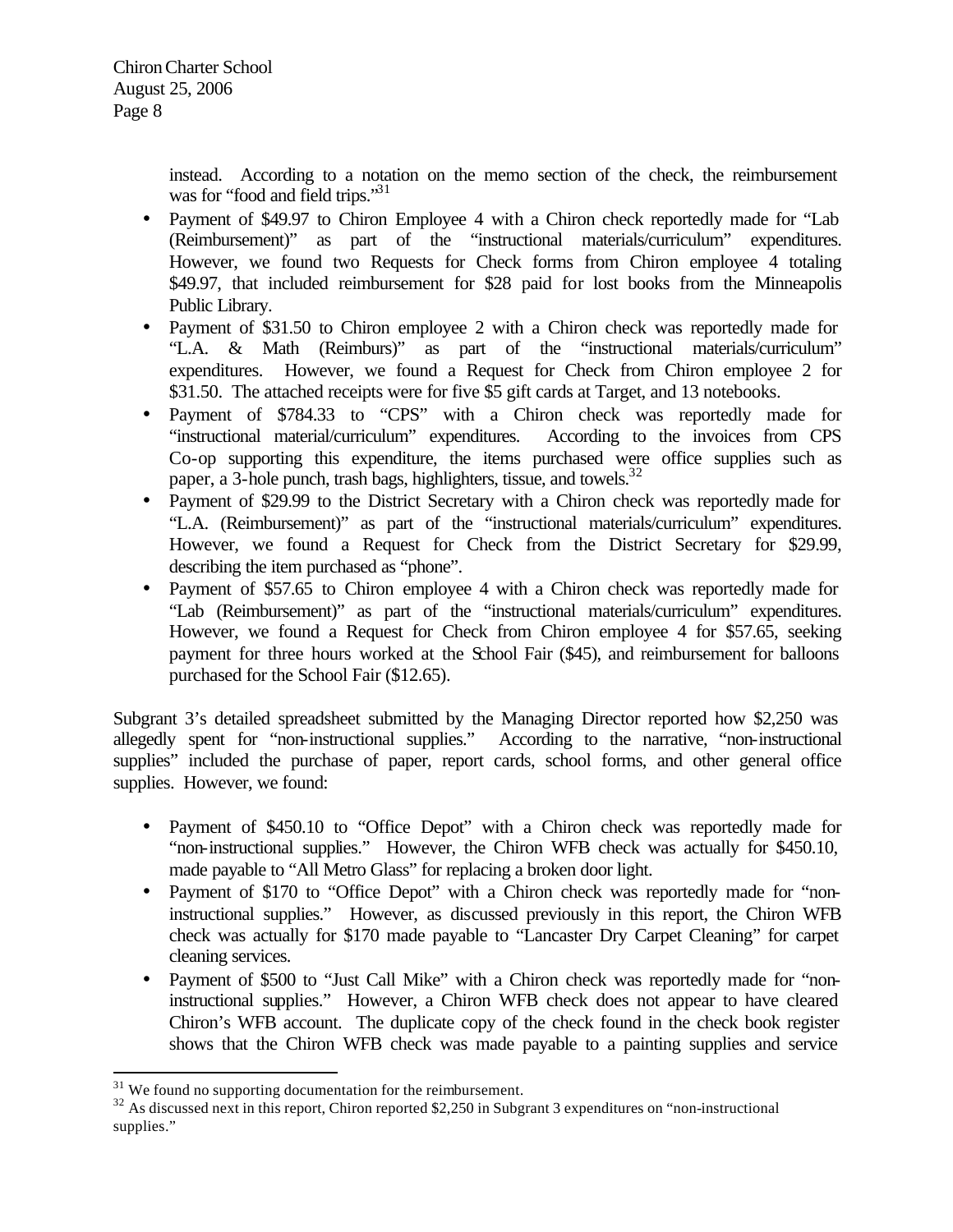instead. According to a notation on the memo section of the check, the reimbursement was for "food and field trips."<sup>31</sup>

- Payment of \$49.97 to Chiron Employee 4 with a Chiron check reportedly made for "Lab" (Reimbursement)" as part of the "instructional materials/curriculum" expenditures. However, we found two Requests for Check forms from Chiron employee 4 totaling \$49.97, that included reimbursement for \$28 paid for lost books from the Minneapolis Public Library.
- Payment of \$31.50 to Chiron employee 2 with a Chiron check was reportedly made for "L.A. & Math (Reimburs)" as part of the "instructional materials/curriculum" expenditures. However, we found a Request for Check from Chiron employee 2 for \$31.50. The attached receipts were for five \$5 gift cards at Target, and 13 notebooks.
- Payment of \$784.33 to "CPS" with a Chiron check was reportedly made for "instructional material/curriculum" expenditures. According to the invoices from CPS Co-op supporting this expenditure, the items purchased were office supplies such as paper, a 3-hole punch, trash bags, highlighters, tissue, and towels.<sup>32</sup>
- Payment of \$29.99 to the District Secretary with a Chiron check was reportedly made for "L.A. (Reimbursement)" as part of the "instructional materials/curriculum" expenditures. However, we found a Request for Check from the District Secretary for \$29.99, describing the item purchased as "phone".
- Payment of \$57.65 to Chiron employee 4 with a Chiron check was reportedly made for "Lab (Reimbursement)" as part of the "instructional materials/curriculum" expenditures. However, we found a Request for Check from Chiron employee 4 for \$57.65, seeking payment for three hours worked at the School Fair (\$45), and reimbursement for balloons purchased for the School Fair (\$12.65).

Subgrant 3's detailed spreadsheet submitted by the Managing Director reported how \$2,250 was allegedly spent for "non-instructional supplies." According to the narrative, "non-instructional supplies" included the purchase of paper, report cards, school forms, and other general office supplies. However, we found:

- Payment of \$450.10 to "Office Depot" with a Chiron check was reportedly made for "non-instructional supplies." However, the Chiron WFB check was actually for \$450.10, made payable to "All Metro Glass" for replacing a broken door light.
- Payment of \$170 to "Office Depot" with a Chiron check was reportedly made for "noninstructional supplies." However, as discussed previously in this report, the Chiron WFB check was actually for \$170 made payable to "Lancaster Dry Carpet Cleaning" for carpet cleaning services.
- Payment of \$500 to "Just Call Mike" with a Chiron check was reportedly made for "noninstructional supplies." However, a Chiron WFB check does not appear to have cleared Chiron's WFB account. The duplicate copy of the check found in the check book register shows that the Chiron WFB check was made payable to a painting supplies and service

 $31$  We found no supporting documentation for the reimbursement.

<sup>&</sup>lt;sup>32</sup> As discussed next in this report, Chiron reported \$2,250 in Subgrant 3 expenditures on "non-instructional supplies."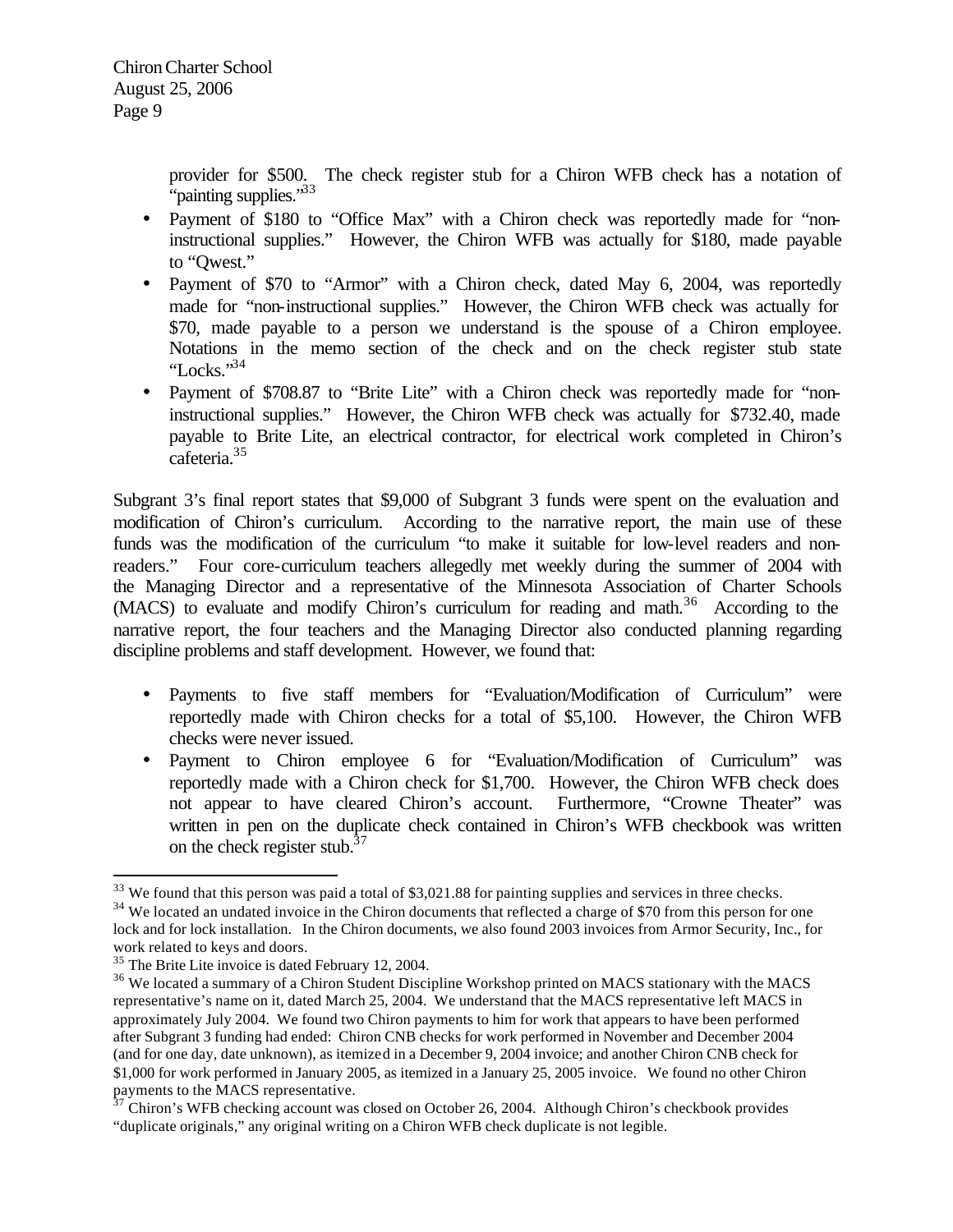provider for \$500. The check register stub for a Chiron WFB check has a notation of "painting supplies."<sup>33</sup>

- Payment of \$180 to "Office Max" with a Chiron check was reportedly made for "noninstructional supplies." However, the Chiron WFB was actually for \$180, made payable to "Qwest."
- Payment of \$70 to "Armor" with a Chiron check, dated May 6, 2004, was reportedly made for "non-instructional supplies." However, the Chiron WFB check was actually for \$70, made payable to a person we understand is the spouse of a Chiron employee. Notations in the memo section of the check and on the check register stub state "Locks." $34$
- Payment of \$708.87 to "Brite Lite" with a Chiron check was reportedly made for "noninstructional supplies." However, the Chiron WFB check was actually for \$732.40, made payable to Brite Lite, an electrical contractor, for electrical work completed in Chiron's cafeteria.<sup>35</sup>

Subgrant 3's final report states that \$9,000 of Subgrant 3 funds were spent on the evaluation and modification of Chiron's curriculum. According to the narrative report, the main use of these funds was the modification of the curriculum "to make it suitable for low-level readers and nonreaders." Four core-curriculum teachers allegedly met weekly during the summer of 2004 with the Managing Director and a representative of the Minnesota Association of Charter Schools (MACS) to evaluate and modify Chiron's curriculum for reading and math.<sup>36</sup> According to the narrative report, the four teachers and the Managing Director also conducted planning regarding discipline problems and staff development. However, we found that:

- Payments to five staff members for "Evaluation/Modification of Curriculum" were reportedly made with Chiron checks for a total of \$5,100. However, the Chiron WFB checks were never issued.
- Payment to Chiron employee 6 for "Evaluation/Modification of Curriculum" was reportedly made with a Chiron check for \$1,700. However, the Chiron WFB check does not appear to have cleared Chiron's account. Furthermore, "Crowne Theater" was written in pen on the duplicate check contained in Chiron's WFB checkbook was written on the check register stub. $37$

 $33$  We found that this person was paid a total of \$3,021.88 for painting supplies and services in three checks.

<sup>&</sup>lt;sup>34</sup> We located an undated invoice in the Chiron documents that reflected a charge of \$70 from this person for one lock and for lock installation. In the Chiron documents, we also found 2003 invoices from Armor Security, Inc., for work related to keys and doors.

<sup>35</sup> The Brite Lite invoice is dated February 12, 2004.

<sup>&</sup>lt;sup>36</sup> We located a summary of a Chiron Student Discipline Workshop printed on MACS stationary with the MACS representative's name on it, dated March 25, 2004. We understand that the MACS representative left MACS in approximately July 2004. We found two Chiron payments to him for work that appears to have been performed after Subgrant 3 funding had ended: Chiron CNB checks for work performed in November and December 2004 (and for one day, date unknown), as itemized in a December 9, 2004 invoice; and another Chiron CNB check for \$1,000 for work performed in January 2005, as itemized in a January 25, 2005 invoice. We found no other Chiron payments to the MACS representative.

 $37$  Chiron's WFB checking account was closed on October 26, 2004. Although Chiron's checkbook provides "duplicate originals," any original writing on a Chiron WFB check duplicate is not legible.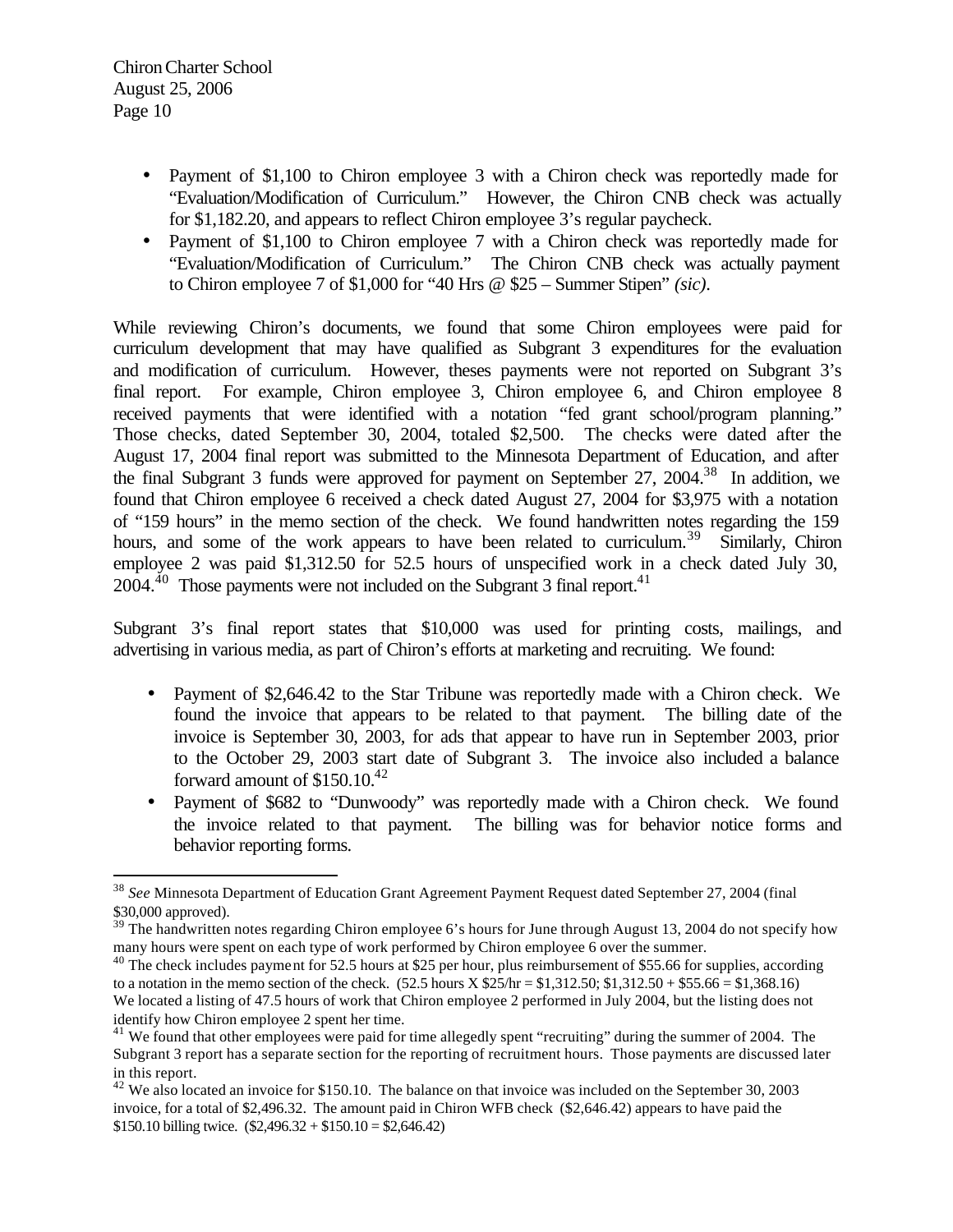$\overline{a}$ 

- Payment of \$1,100 to Chiron employee 3 with a Chiron check was reportedly made for "Evaluation/Modification of Curriculum." However, the Chiron CNB check was actually for \$1,182.20, and appears to reflect Chiron employee 3's regular paycheck.
- Payment of \$1,100 to Chiron employee 7 with a Chiron check was reportedly made for "Evaluation/Modification of Curriculum." The Chiron CNB check was actually payment to Chiron employee 7 of \$1,000 for "40 Hrs @ \$25 – Summer Stipen" *(sic)*.

While reviewing Chiron's documents, we found that some Chiron employees were paid for curriculum development that may have qualified as Subgrant 3 expenditures for the evaluation and modification of curriculum. However, theses payments were not reported on Subgrant 3's final report. For example, Chiron employee 3, Chiron employee 6, and Chiron employee 8 received payments that were identified with a notation "fed grant school/program planning." Those checks, dated September 30, 2004, totaled \$2,500. The checks were dated after the August 17, 2004 final report was submitted to the Minnesota Department of Education, and after the final Subgrant 3 funds were approved for payment on September 27, 2004.<sup>38</sup> In addition, we found that Chiron employee 6 received a check dated August 27, 2004 for \$3,975 with a notation of "159 hours" in the memo section of the check. We found handwritten notes regarding the 159 hours, and some of the work appears to have been related to curriculum.<sup>39</sup> Similarly, Chiron employee 2 was paid \$1,312.50 for 52.5 hours of unspecified work in a check dated July 30,  $2004.<sup>40</sup>$  Those payments were not included on the Subgrant 3 final report.<sup>41</sup>

Subgrant 3's final report states that \$10,000 was used for printing costs, mailings, and advertising in various media, as part of Chiron's efforts at marketing and recruiting. We found:

- Payment of \$2,646.42 to the Star Tribune was reportedly made with a Chiron check. We found the invoice that appears to be related to that payment. The billing date of the invoice is September 30, 2003, for ads that appear to have run in September 2003, prior to the October 29, 2003 start date of Subgrant 3. The invoice also included a balance forward amount of  $$150.10<sup>42</sup>$
- Payment of \$682 to "Dunwoody" was reportedly made with a Chiron check. We found the invoice related to that payment. The billing was for behavior notice forms and behavior reporting forms.

<sup>38</sup> *See* Minnesota Department of Education Grant Agreement Payment Request dated September 27, 2004 (final \$30,000 approved).

 $39$  The handwritten notes regarding Chiron employee 6's hours for June through August 13, 2004 do not specify how many hours were spent on each type of work performed by Chiron employee 6 over the summer.

<sup>&</sup>lt;sup>40</sup> The check includes payment for 52.5 hours at \$25 per hour, plus reimbursement of \$55.66 for supplies, according to a notation in the memo section of the check.  $(52.5 \text{ hours X } $25/\text{hr} = $1,312.50; $1,312.50 + $55.66 = $1,368.16)$ We located a listing of 47.5 hours of work that Chiron employee 2 performed in July 2004, but the listing does not identify how Chiron employee 2 spent her time.

 $41$  We found that other employees were paid for time allegedly spent "recruiting" during the summer of 2004. The Subgrant 3 report has a separate section for the reporting of recruitment hours. Those payments are discussed later in this report.

 $42$  We also located an invoice for \$150.10. The balance on that invoice was included on the September 30, 2003 invoice, for a total of \$2,496.32. The amount paid in Chiron WFB check (\$2,646.42) appears to have paid the \$150.10 billing twice.  $(\$2,496.32 + \$150.10 = \$2,646.42)$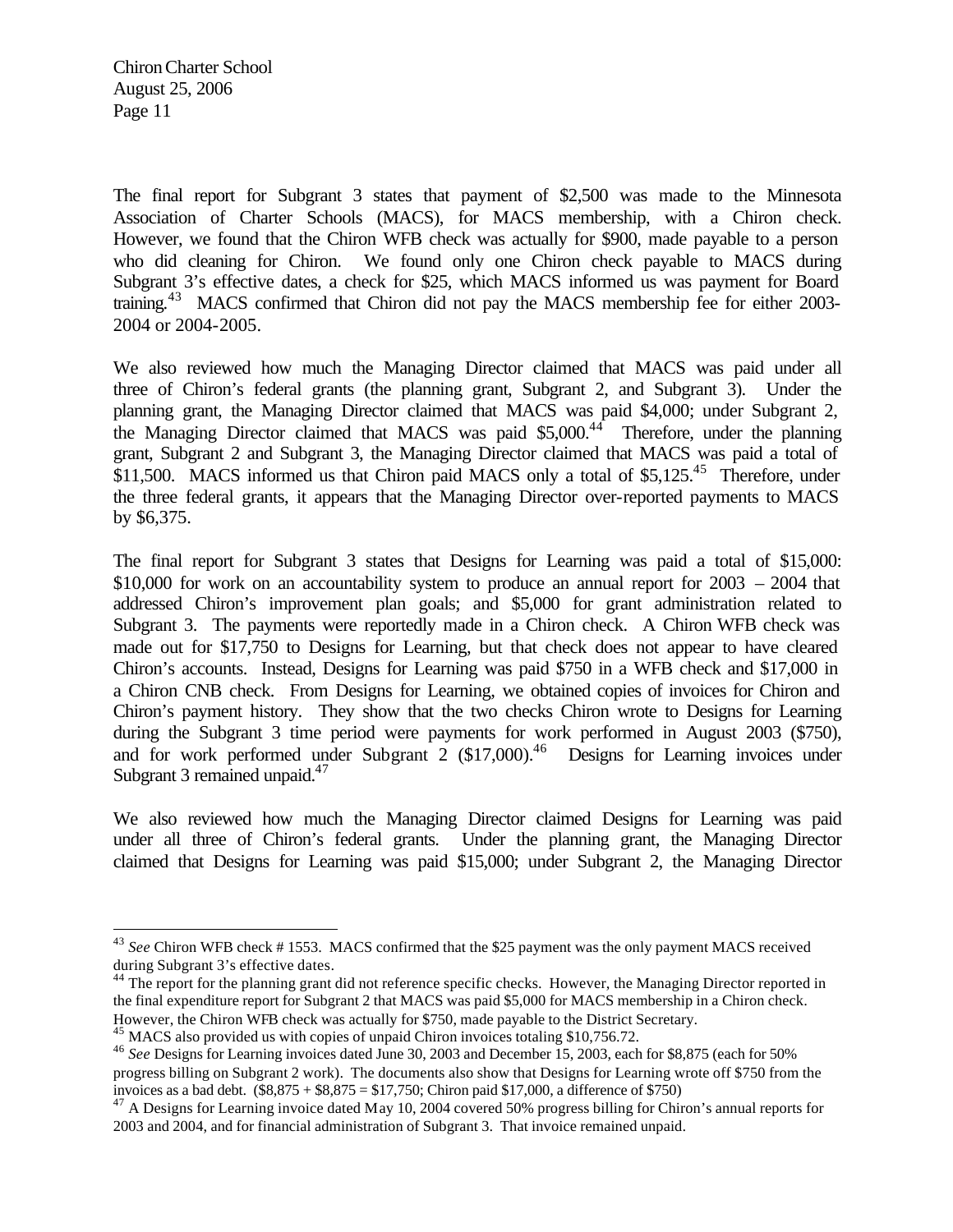$\overline{a}$ 

The final report for Subgrant 3 states that payment of \$2,500 was made to the Minnesota Association of Charter Schools (MACS), for MACS membership, with a Chiron check. However, we found that the Chiron WFB check was actually for \$900, made payable to a person who did cleaning for Chiron. We found only one Chiron check payable to MACS during Subgrant 3's effective dates, a check for \$25, which MACS informed us was payment for Board training.<sup>43</sup> MACS confirmed that Chiron did not pay the MACS membership fee for either 2003-2004 or 2004-2005.

We also reviewed how much the Managing Director claimed that MACS was paid under all three of Chiron's federal grants (the planning grant, Subgrant 2, and Subgrant 3). Under the planning grant, the Managing Director claimed that MACS was paid \$4,000; under Subgrant 2, the Managing Director claimed that MACS was paid \$5,000.<sup>44</sup> Therefore, under the planning grant, Subgrant 2 and Subgrant 3, the Managing Director claimed that MACS was paid a total of \$11,500. MACS informed us that Chiron paid MACS only a total of \$5,125.<sup>45</sup> Therefore, under the three federal grants, it appears that the Managing Director over-reported payments to MACS by \$6,375.

The final report for Subgrant 3 states that Designs for Learning was paid a total of \$15,000: \$10,000 for work on an accountability system to produce an annual report for  $2003 - 2004$  that addressed Chiron's improvement plan goals; and \$5,000 for grant administration related to Subgrant 3. The payments were reportedly made in a Chiron check. A Chiron WFB check was made out for \$17,750 to Designs for Learning, but that check does not appear to have cleared Chiron's accounts. Instead, Designs for Learning was paid \$750 in a WFB check and \$17,000 in a Chiron CNB check. From Designs for Learning, we obtained copies of invoices for Chiron and Chiron's payment history. They show that the two checks Chiron wrote to Designs for Learning during the Subgrant 3 time period were payments for work performed in August 2003 (\$750), and for work performed under Subgrant 2  $(\$17,000)$ .<sup>46</sup> Designs for Learning invoices under Subgrant 3 remained unpaid. $47$ 

We also reviewed how much the Managing Director claimed Designs for Learning was paid under all three of Chiron's federal grants. Under the planning grant, the Managing Director claimed that Designs for Learning was paid \$15,000; under Subgrant 2, the Managing Director

<sup>43</sup> *See* Chiron WFB check # 1553. MACS confirmed that the \$25 payment was the only payment MACS received during Subgrant 3's effective dates.

<sup>&</sup>lt;sup>44</sup> The report for the planning grant did not reference specific checks. However, the Managing Director reported in the final expenditure report for Subgrant 2 that MACS was paid \$5,000 for MACS membership in a Chiron check. However, the Chiron WFB check was actually for \$750, made payable to the District Secretary.

<sup>&</sup>lt;sup>45</sup> MACS also provided us with copies of unpaid Chiron invoices totaling \$10,756.72.

<sup>46</sup> *See* Designs for Learning invoices dated June 30, 2003 and December 15, 2003, each for \$8,875 (each for 50% progress billing on Subgrant 2 work). The documents also show that Designs for Learning wrote off \$750 from the invoices as a bad debt.  $(\$8,875 + \$8,875 = \$17,750$ ; Chiron paid \$17,000, a difference of \$750)

 $47$  A Designs for Learning invoice dated May 10, 2004 covered 50% progress billing for Chiron's annual reports for 2003 and 2004, and for financial administration of Subgrant 3. That invoice remained unpaid.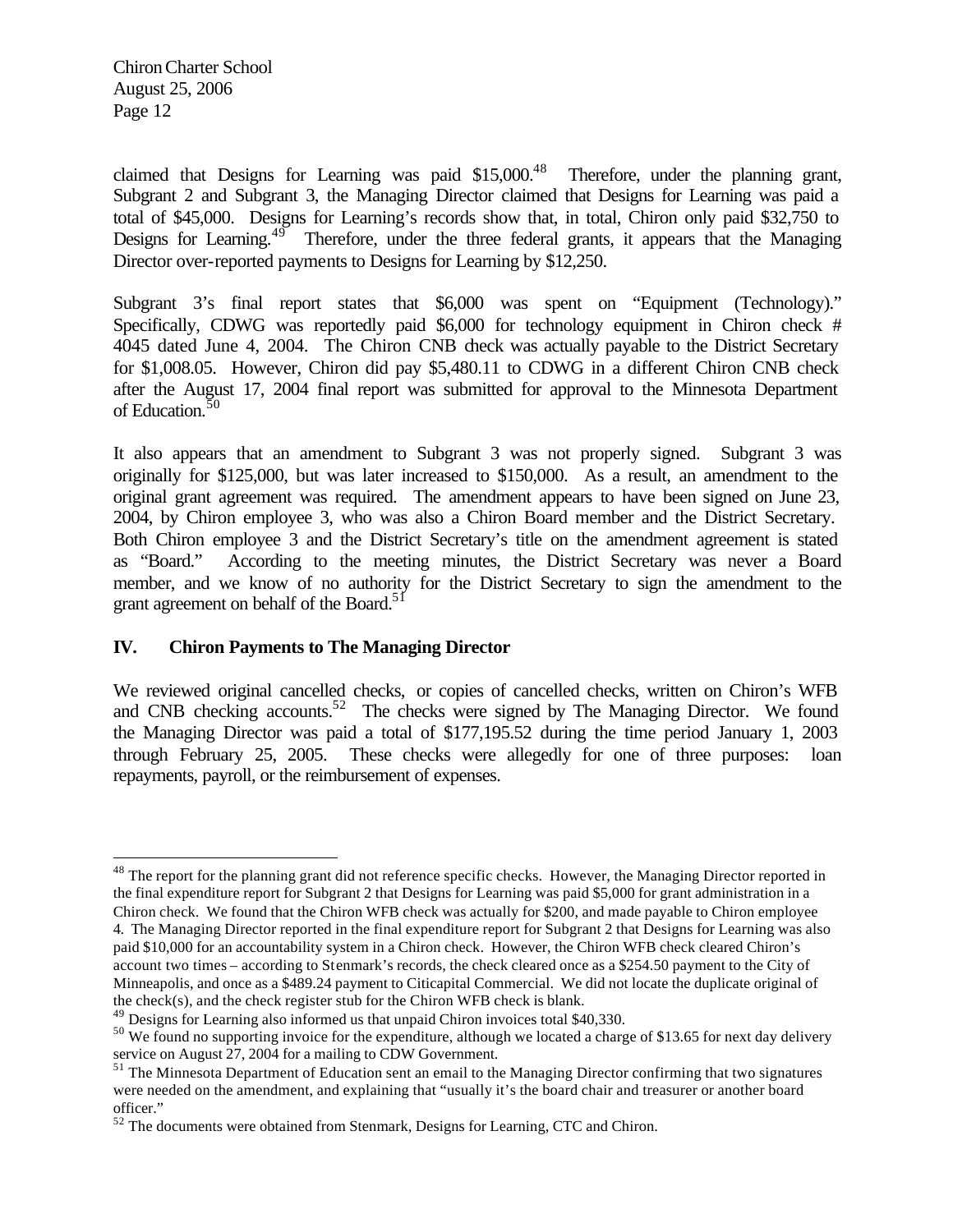$\overline{a}$ 

claimed that Designs for Learning was paid  $$15,000<sup>48</sup>$  Therefore, under the planning grant, Subgrant 2 and Subgrant 3, the Managing Director claimed that Designs for Learning was paid a total of \$45,000. Designs for Learning's records show that, in total, Chiron only paid \$32,750 to Designs for Learning. $49$  Therefore, under the three federal grants, it appears that the Managing Director over-reported payments to Designs for Learning by \$12,250.

Subgrant 3's final report states that \$6,000 was spent on "Equipment (Technology)." Specifically, CDWG was reportedly paid \$6,000 for technology equipment in Chiron check # 4045 dated June 4, 2004. The Chiron CNB check was actually payable to the District Secretary for \$1,008.05. However, Chiron did pay \$5,480.11 to CDWG in a different Chiron CNB check after the August 17, 2004 final report was submitted for approval to the Minnesota Department of Education.<sup>50</sup>

It also appears that an amendment to Subgrant 3 was not properly signed. Subgrant 3 was originally for \$125,000, but was later increased to \$150,000. As a result, an amendment to the original grant agreement was required. The amendment appears to have been signed on June 23, 2004, by Chiron employee 3, who was also a Chiron Board member and the District Secretary. Both Chiron employee 3 and the District Secretary's title on the amendment agreement is stated as "Board." According to the meeting minutes, the District Secretary was never a Board member, and we know of no authority for the District Secretary to sign the amendment to the grant agreement on behalf of the Board.<sup>51</sup>

#### **IV. Chiron Payments to The Managing Director**

We reviewed original cancelled checks, or copies of cancelled checks, written on Chiron's WFB and CNB checking accounts.<sup>52</sup> The checks were signed by The Managing Director. We found the Managing Director was paid a total of \$177,195.52 during the time period January 1, 2003 through February 25, 2005. These checks were allegedly for one of three purposes: loan repayments, payroll, or the reimbursement of expenses.

<sup>&</sup>lt;sup>48</sup> The report for the planning grant did not reference specific checks. However, the Managing Director reported in the final expenditure report for Subgrant 2 that Designs for Learning was paid \$5,000 for grant administration in a Chiron check. We found that the Chiron WFB check was actually for \$200, and made payable to Chiron employee 4. The Managing Director reported in the final expenditure report for Subgrant 2 that Designs for Learning was also paid \$10,000 for an accountability system in a Chiron check. However, the Chiron WFB check cleared Chiron's

account two times – according to Stenmark's records, the check cleared once as a \$254.50 payment to the City of Minneapolis, and once as a \$489.24 payment to Citicapital Commercial. We did not locate the duplicate original of the check(s), and the check register stub for the Chiron WFB check is blank.

<sup>&</sup>lt;sup>49</sup> Designs for Learning also informed us that unpaid Chiron invoices total \$40,330.

<sup>&</sup>lt;sup>50</sup> We found no supporting invoice for the expenditure, although we located a charge of \$13.65 for next day delivery service on August 27, 2004 for a mailing to CDW Government.

<sup>&</sup>lt;sup>51</sup> The Minnesota Department of Education sent an email to the Managing Director confirming that two signatures were needed on the amendment, and explaining that "usually it's the board chair and treasurer or another board officer."

<sup>52</sup> The documents were obtained from Stenmark, Designs for Learning, CTC and Chiron.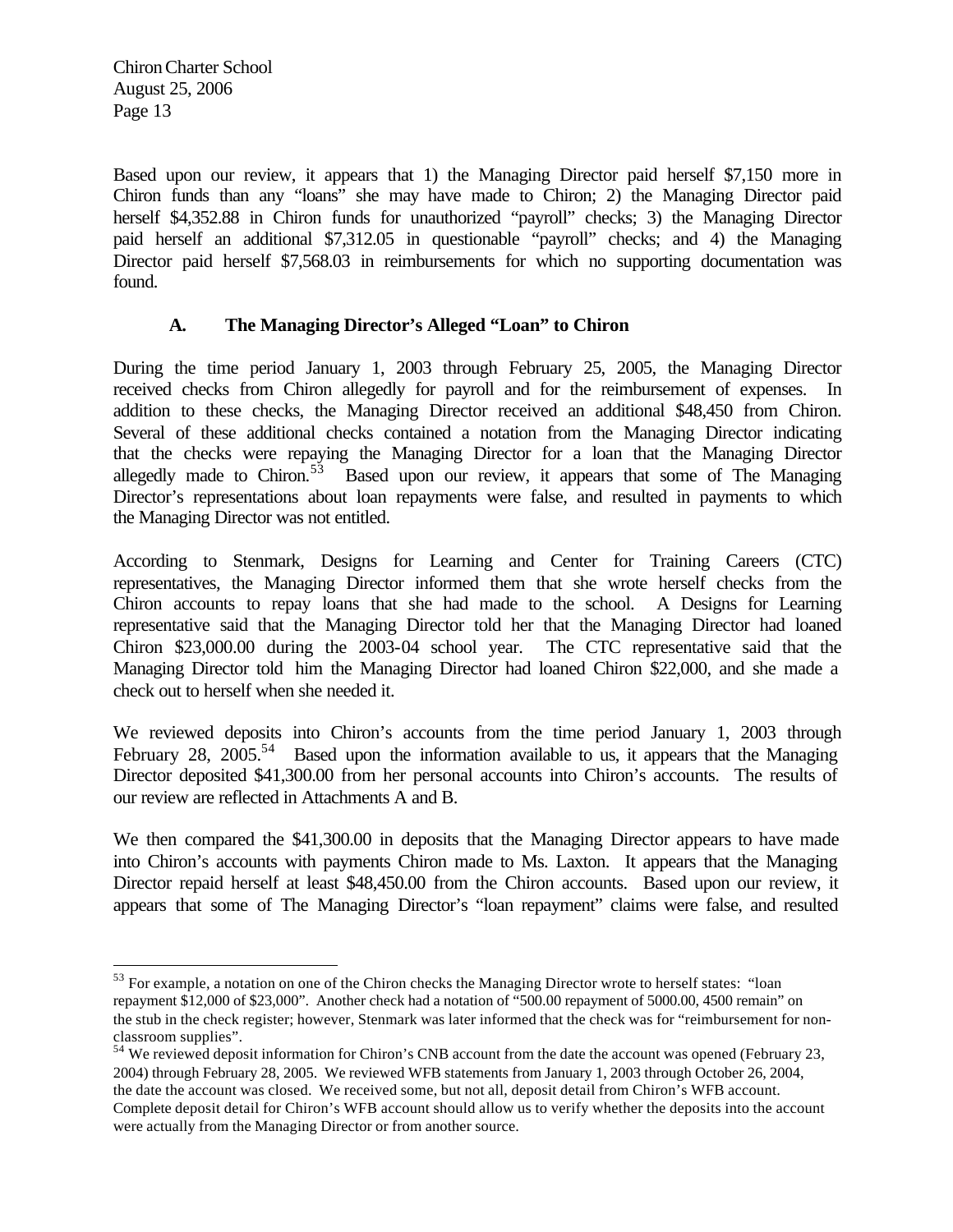$\overline{a}$ 

Based upon our review, it appears that 1) the Managing Director paid herself \$7,150 more in Chiron funds than any "loans" she may have made to Chiron; 2) the Managing Director paid herself \$4,352.88 in Chiron funds for unauthorized "payroll" checks; 3) the Managing Director paid herself an additional \$7,312.05 in questionable "payroll" checks; and 4) the Managing Director paid herself \$7,568.03 in reimbursements for which no supporting documentation was found.

## **A. The Managing Director's Alleged "Loan" to Chiron**

During the time period January 1, 2003 through February 25, 2005, the Managing Director received checks from Chiron allegedly for payroll and for the reimbursement of expenses. In addition to these checks, the Managing Director received an additional \$48,450 from Chiron. Several of these additional checks contained a notation from the Managing Director indicating that the checks were repaying the Managing Director for a loan that the Managing Director allegedly made to Chiron.<sup>53</sup> Based upon our review, it appears that some of The Managing Director's representations about loan repayments were false, and resulted in payments to which the Managing Director was not entitled.

According to Stenmark, Designs for Learning and Center for Training Careers (CTC) representatives, the Managing Director informed them that she wrote herself checks from the Chiron accounts to repay loans that she had made to the school. A Designs for Learning representative said that the Managing Director told her that the Managing Director had loaned Chiron \$23,000.00 during the 2003-04 school year. The CTC representative said that the Managing Director told him the Managing Director had loaned Chiron \$22,000, and she made a check out to herself when she needed it.

We reviewed deposits into Chiron's accounts from the time period January 1, 2003 through February 28, 2005.<sup>54</sup> Based upon the information available to us, it appears that the Managing Director deposited \$41,300.00 from her personal accounts into Chiron's accounts. The results of our review are reflected in Attachments A and B.

We then compared the \$41,300.00 in deposits that the Managing Director appears to have made into Chiron's accounts with payments Chiron made to Ms. Laxton. It appears that the Managing Director repaid herself at least \$48,450.00 from the Chiron accounts. Based upon our review, it appears that some of The Managing Director's "loan repayment" claims were false, and resulted

 $53$  For example, a notation on one of the Chiron checks the Managing Director wrote to herself states: "loan repayment \$12,000 of \$23,000". Another check had a notation of "500.00 repayment of 5000.00, 4500 remain" on the stub in the check register; however, Stenmark was later informed that the check was for "reimbursement for nonclassroom supplies".

<sup>&</sup>lt;sup>54</sup> We reviewed deposit information for Chiron's CNB account from the date the account was opened (February 23, 2004) through February 28, 2005. We reviewed WFB statements from January 1, 2003 through October 26, 2004, the date the account was closed. We received some, but not all, deposit detail from Chiron's WFB account. Complete deposit detail for Chiron's WFB account should allow us to verify whether the deposits into the account were actually from the Managing Director or from another source.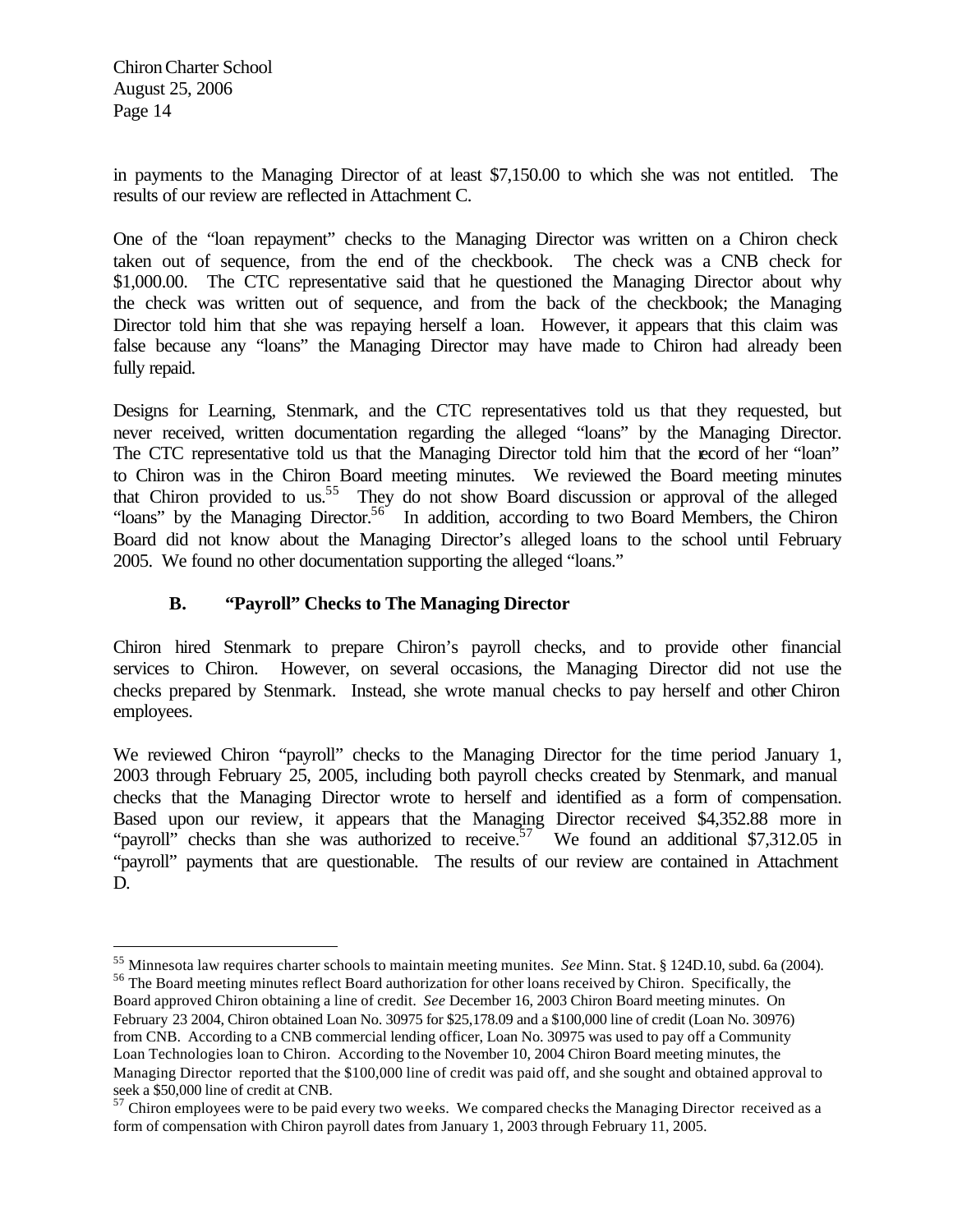$\overline{a}$ 

in payments to the Managing Director of at least \$7,150.00 to which she was not entitled. The results of our review are reflected in Attachment C.

One of the "loan repayment" checks to the Managing Director was written on a Chiron check taken out of sequence, from the end of the checkbook. The check was a CNB check for \$1,000.00. The CTC representative said that he questioned the Managing Director about why the check was written out of sequence, and from the back of the checkbook; the Managing Director told him that she was repaying herself a loan. However, it appears that this claim was false because any "loans" the Managing Director may have made to Chiron had already been fully repaid.

Designs for Learning, Stenmark, and the CTC representatives told us that they requested, but never received, written documentation regarding the alleged "loans" by the Managing Director. The CTC representative told us that the Managing Director told him that the record of her "loan" to Chiron was in the Chiron Board meeting minutes. We reviewed the Board meeting minutes that Chiron provided to us.<sup>55</sup> They do not show Board discussion or approval of the alleged "loans" by the Managing Director.<sup>56</sup> In addition, according to two Board Members, the Chiron Board did not know about the Managing Director's alleged loans to the school until February 2005. We found no other documentation supporting the alleged "loans."

# **B. "Payroll" Checks to The Managing Director**

Chiron hired Stenmark to prepare Chiron's payroll checks, and to provide other financial services to Chiron. However, on several occasions, the Managing Director did not use the checks prepared by Stenmark. Instead, she wrote manual checks to pay herself and other Chiron employees.

We reviewed Chiron "payroll" checks to the Managing Director for the time period January 1, 2003 through February 25, 2005, including both payroll checks created by Stenmark, and manual checks that the Managing Director wrote to herself and identified as a form of compensation. Based upon our review, it appears that the Managing Director received \$4,352.88 more in "payroll" checks than she was authorized to receive. We found an additional \$7,312.05 in "payroll" payments that are questionable. The results of our review are contained in Attachment D.

<sup>55</sup> Minnesota law requires charter schools to maintain meeting munites. *See* Minn. Stat. § 124D.10, subd. 6a (2004). <sup>56</sup> The Board meeting minutes reflect Board authorization for other loans received by Chiron. Specifically, the

Board approved Chiron obtaining a line of credit. *See* December 16, 2003 Chiron Board meeting minutes. On February 23 2004, Chiron obtained Loan No. 30975 for \$25,178.09 and a \$100,000 line of credit (Loan No. 30976) from CNB. According to a CNB commercial lending officer, Loan No. 30975 was used to pay off a Community Loan Technologies loan to Chiron. According to the November 10, 2004 Chiron Board meeting minutes, the Managing Director reported that the \$100,000 line of credit was paid off, and she sought and obtained approval to seek a \$50,000 line of credit at CNB.

<sup>&</sup>lt;sup>57</sup> Chiron employees were to be paid every two weeks. We compared checks the Managing Director received as a form of compensation with Chiron payroll dates from January 1, 2003 through February 11, 2005.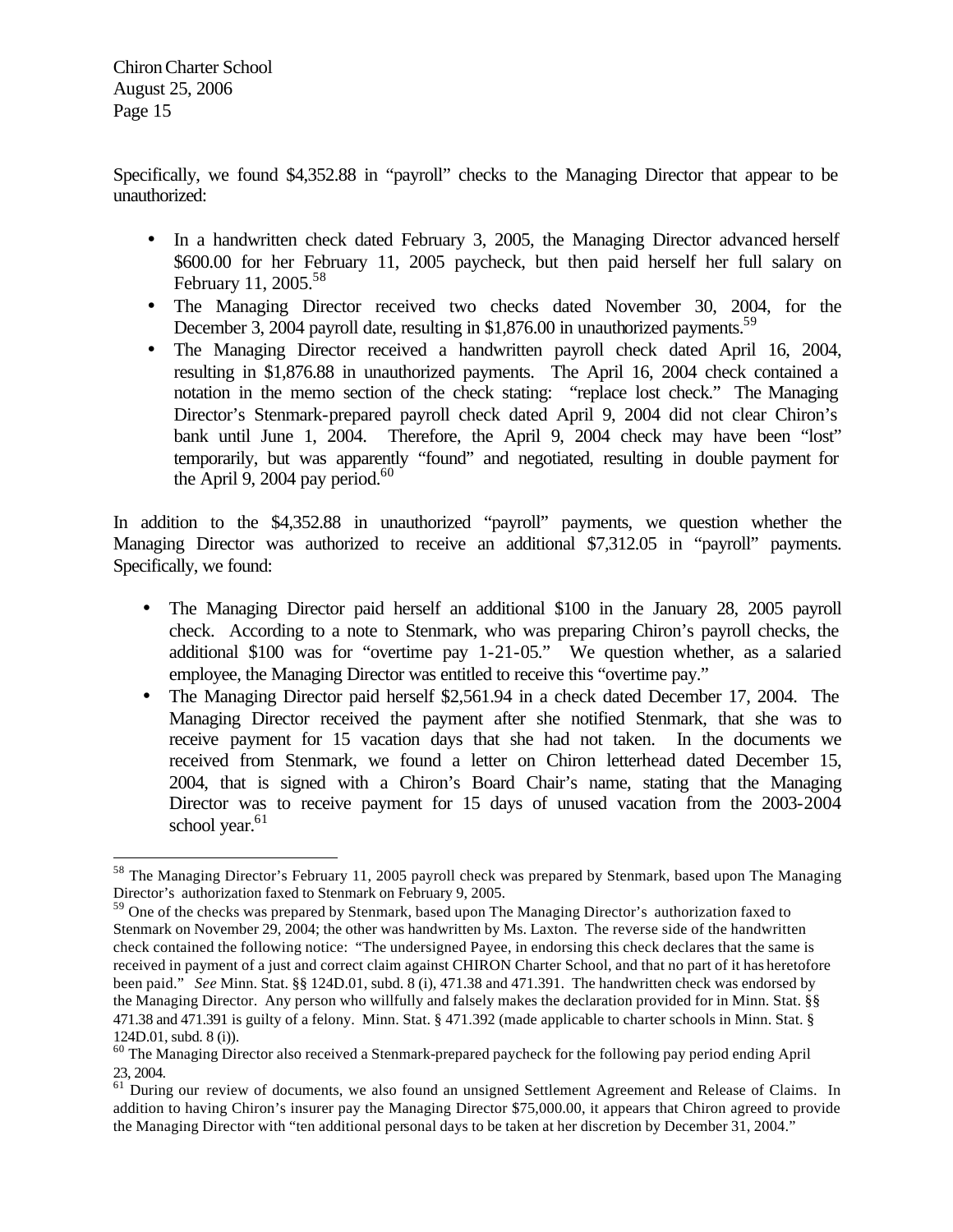$\overline{a}$ 

Specifically, we found \$4,352.88 in "payroll" checks to the Managing Director that appear to be unauthorized:

- In a handwritten check dated February 3, 2005, the Managing Director advanced herself \$600.00 for her February 11, 2005 paycheck, but then paid herself her full salary on February 11, 2005.<sup>58</sup>
- The Managing Director received two checks dated November 30, 2004, for the December 3, 2004 payroll date, resulting in \$1,876.00 in unauthorized payments.<sup>59</sup>
- The Managing Director received a handwritten payroll check dated April 16, 2004, resulting in \$1,876.88 in unauthorized payments. The April 16, 2004 check contained a notation in the memo section of the check stating: "replace lost check." The Managing Director's Stenmark-prepared payroll check dated April 9, 2004 did not clear Chiron's bank until June 1, 2004. Therefore, the April 9, 2004 check may have been "lost" temporarily, but was apparently "found" and negotiated, resulting in double payment for the April 9, 2004 pay period.<sup>60</sup>

In addition to the \$4,352.88 in unauthorized "payroll" payments, we question whether the Managing Director was authorized to receive an additional \$7,312.05 in "payroll" payments. Specifically, we found:

- The Managing Director paid herself an additional \$100 in the January 28, 2005 payroll check. According to a note to Stenmark, who was preparing Chiron's payroll checks, the additional \$100 was for "overtime pay 1-21-05." We question whether, as a salaried employee, the Managing Director was entitled to receive this "overtime pay."
- The Managing Director paid herself \$2,561.94 in a check dated December 17, 2004. The Managing Director received the payment after she notified Stenmark, that she was to receive payment for 15 vacation days that she had not taken. In the documents we received from Stenmark, we found a letter on Chiron letterhead dated December 15, 2004, that is signed with a Chiron's Board Chair's name, stating that the Managing Director was to receive payment for 15 days of unused vacation from the 2003-2004 school year.<sup>61</sup>

<sup>&</sup>lt;sup>58</sup> The Managing Director's February 11, 2005 payroll check was prepared by Stenmark, based upon The Managing Director's authorization faxed to Stenmark on February 9, 2005.

 $59$  One of the checks was prepared by Stenmark, based upon The Managing Director's authorization faxed to Stenmark on November 29, 2004; the other was handwritten by Ms. Laxton. The reverse side of the handwritten check contained the following notice: "The undersigned Payee, in endorsing this check declares that the same is received in payment of a just and correct claim against CHIRON Charter School, and that no part of it has heretofore been paid." *See* Minn. Stat. §§ 124D.01, subd. 8 (i), 471.38 and 471.391. The handwritten check was endorsed by the Managing Director. Any person who willfully and falsely makes the declaration provided for in Minn. Stat. §§ 471.38 and 471.391 is guilty of a felony. Minn. Stat. § 471.392 (made applicable to charter schools in Minn. Stat. § 124D.01, subd. 8 (i)).

<sup>&</sup>lt;sup>60</sup> The Managing Director also received a Stenmark-prepared paycheck for the following pay period ending April 23, 2004.

<sup>&</sup>lt;sup>61</sup> During our review of documents, we also found an unsigned Settlement Agreement and Release of Claims. In addition to having Chiron's insurer pay the Managing Director \$75,000.00, it appears that Chiron agreed to provide the Managing Director with "ten additional personal days to be taken at her discretion by December 31, 2004."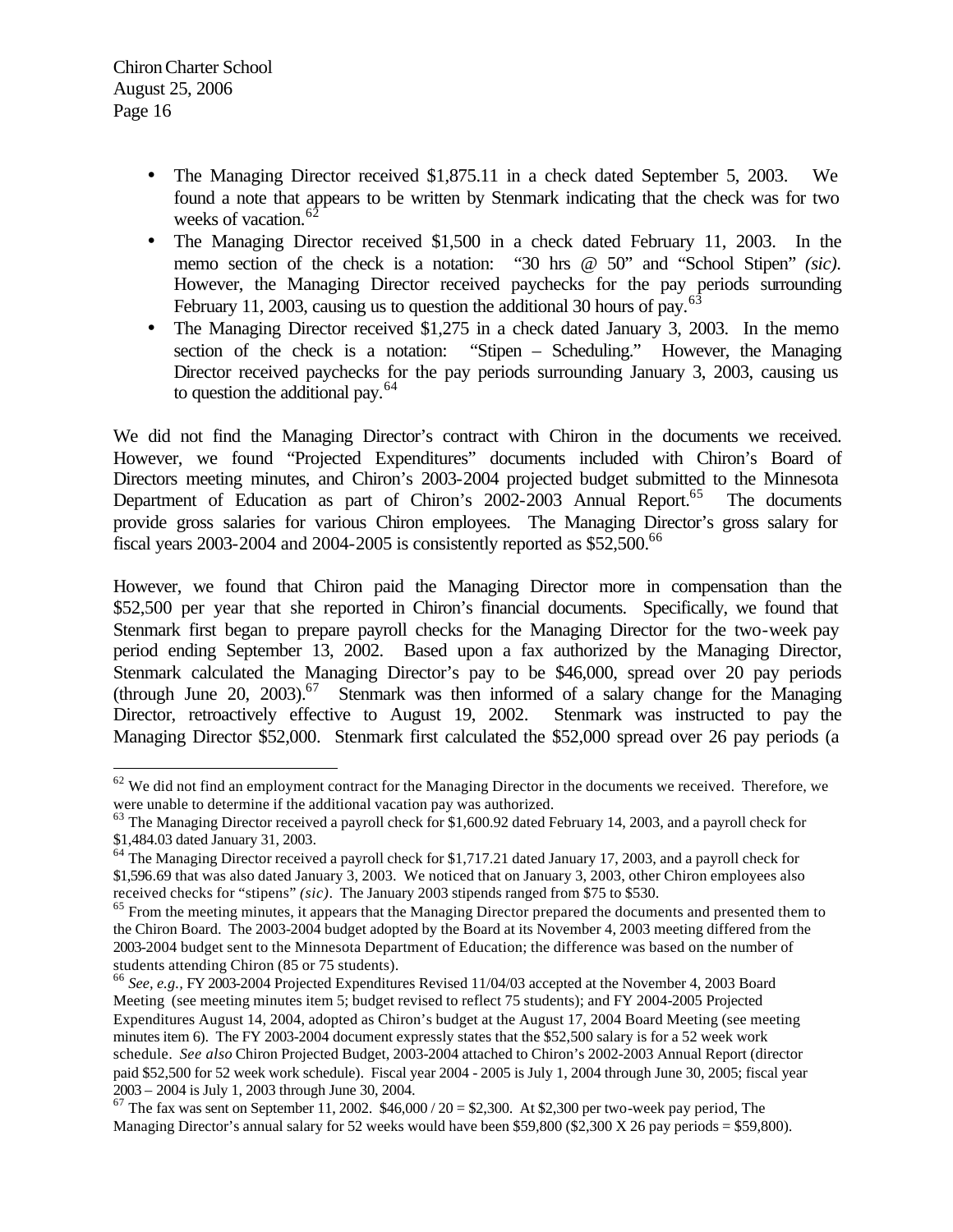$\overline{a}$ 

- The Managing Director received \$1,875.11 in a check dated September 5, 2003. We found a note that appears to be written by Stenmark indicating that the check was for two weeks of vacation.<sup>62</sup>
- The Managing Director received \$1,500 in a check dated February 11, 2003. In the memo section of the check is a notation: "30 hrs @ 50" and "School Stipen" *(sic)*. However, the Managing Director received paychecks for the pay periods surrounding February 11, 2003, causing us to question the additional 30 hours of pay.<sup>63</sup>
- The Managing Director received \$1,275 in a check dated January 3, 2003. In the memo section of the check is a notation: "Stipen – Scheduling." However, the Managing Director received paychecks for the pay periods surrounding January 3, 2003, causing us to question the additional pay.<sup>64</sup>

We did not find the Managing Director's contract with Chiron in the documents we received. However, we found "Projected Expenditures" documents included with Chiron's Board of Directors meeting minutes, and Chiron's 2003-2004 projected budget submitted to the Minnesota Department of Education as part of Chiron's 2002-2003 Annual Report.<sup>65</sup> The documents provide gross salaries for various Chiron employees. The Managing Director's gross salary for fiscal years 2003-2004 and 2004-2005 is consistently reported as  $$52,500$ .<sup>66</sup>

However, we found that Chiron paid the Managing Director more in compensation than the \$52,500 per year that she reported in Chiron's financial documents. Specifically, we found that Stenmark first began to prepare payroll checks for the Managing Director for the two-week pay period ending September 13, 2002. Based upon a fax authorized by the Managing Director, Stenmark calculated the Managing Director's pay to be \$46,000, spread over 20 pay periods (through June 20, 2003).<sup>67</sup> Stenmark was then informed of a salary change for the Managing Director, retroactively effective to August 19, 2002. Stenmark was instructed to pay the Managing Director \$52,000. Stenmark first calculated the \$52,000 spread over 26 pay periods (a

 $62$  We did not find an employment contract for the Managing Director in the documents we received. Therefore, we were unable to determine if the additional vacation pay was authorized.

<sup>&</sup>lt;sup>63</sup> The Managing Director received a payroll check for \$1,600.92 dated February 14, 2003, and a payroll check for \$1,484.03 dated January 31, 2003.

<sup>&</sup>lt;sup>64</sup> The Managing Director received a payroll check for \$1,717.21 dated January 17, 2003, and a payroll check for \$1,596.69 that was also dated January 3, 2003. We noticed that on January 3, 2003, other Chiron employees also received checks for "stipens" *(sic)*. The January 2003 stipends ranged from \$75 to \$530.

<sup>&</sup>lt;sup>65</sup> From the meeting minutes, it appears that the Managing Director prepared the documents and presented them to the Chiron Board. The 2003-2004 budget adopted by the Board at its November 4, 2003 meeting differed from the 2003-2004 budget sent to the Minnesota Department of Education; the difference was based on the number of students attending Chiron (85 or 75 students).

<sup>66</sup> *See, e.g.,* FY 2003-2004 Projected Expenditures Revised 11/04/03 accepted at the November 4, 2003 Board Meeting (see meeting minutes item 5; budget revised to reflect 75 students); and FY 2004-2005 Projected Expenditures August 14, 2004, adopted as Chiron's budget at the August 17, 2004 Board Meeting (see meeting minutes item 6). The FY 2003-2004 document expressly states that the \$52,500 salary is for a 52 week work schedule. *See also* Chiron Projected Budget, 2003-2004 attached to Chiron's 2002-2003 Annual Report (director paid \$52,500 for 52 week work schedule). Fiscal year 2004 - 2005 is July 1, 2004 through June 30, 2005; fiscal year 2003 – 2004 is July 1, 2003 through June 30, 2004.

 $67$  The fax was sent on September 11, 2002. \$46,000 / 20 = \$2,300. At \$2,300 per two-week pay period, The Managing Director's annual salary for 52 weeks would have been \$59,800 (\$2,300 X 26 pay periods = \$59,800).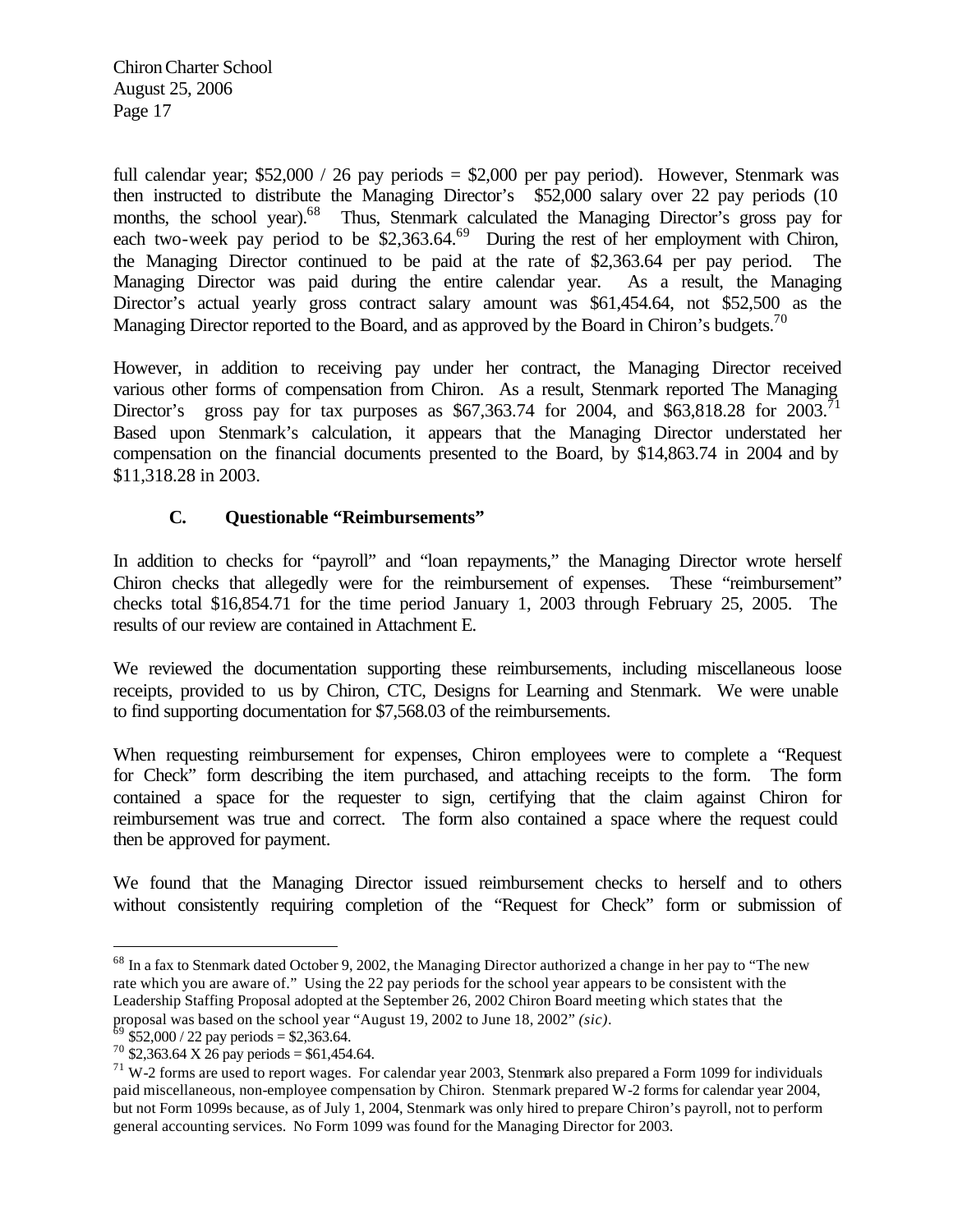full calendar year;  $$52,000 / 26$  pay periods =  $$2,000$  per pay period). However, Stenmark was then instructed to distribute the Managing Director's \$52,000 salary over 22 pay periods (10 months, the school year).<sup>68</sup> Thus, Stenmark calculated the Managing Director's gross pay for each two-week pay period to be  $$2,363.64<sup>69</sup>$  During the rest of her employment with Chiron, the Managing Director continued to be paid at the rate of \$2,363.64 per pay period. The Managing Director was paid during the entire calendar year. As a result, the Managing Director's actual yearly gross contract salary amount was \$61,454.64, not \$52,500 as the Managing Director reported to the Board, and as approved by the Board in Chiron's budgets.<sup>70</sup>

However, in addition to receiving pay under her contract, the Managing Director received various other forms of compensation from Chiron. As a result, Stenmark reported The Managing Director's gross pay for tax purposes as \$67,363.74 for 2004, and \$63,818.28 for 2003.<sup>71</sup> Based upon Stenmark's calculation, it appears that the Managing Director understated her compensation on the financial documents presented to the Board, by \$14,863.74 in 2004 and by \$11,318.28 in 2003.

## **C. Questionable "Reimbursements"**

In addition to checks for "payroll" and "loan repayments," the Managing Director wrote herself Chiron checks that allegedly were for the reimbursement of expenses. These "reimbursement" checks total \$16,854.71 for the time period January 1, 2003 through February 25, 2005. The results of our review are contained in Attachment E.

We reviewed the documentation supporting these reimbursements, including miscellaneous loose receipts, provided to us by Chiron, CTC, Designs for Learning and Stenmark. We were unable to find supporting documentation for \$7,568.03 of the reimbursements.

When requesting reimbursement for expenses. Chiron employees were to complete a "Request" for Check" form describing the item purchased, and attaching receipts to the form. The form contained a space for the requester to sign, certifying that the claim against Chiron for reimbursement was true and correct. The form also contained a space where the request could then be approved for payment.

We found that the Managing Director issued reimbursement checks to herself and to others without consistently requiring completion of the "Request for Check" form or submission of

 $^{68}$  In a fax to Stenmark dated October 9, 2002, the Managing Director authorized a change in her pay to "The new rate which you are aware of." Using the 22 pay periods for the school year appears to be consistent with the Leadership Staffing Proposal adopted at the September 26, 2002 Chiron Board meeting which states that the proposal was based on the school year "August 19, 2002 to June 18, 2002" *(sic)*.

 $69$  \$52,000 / 22 pay periods = \$2,363.64.

 $70$  \$2,363.64 X 26 pay periods = \$61,454.64.

 $71$  W-2 forms are used to report wages. For calendar year 2003, Stenmark also prepared a Form 1099 for individuals paid miscellaneous, non-employee compensation by Chiron. Stenmark prepared W-2 forms for calendar year 2004, but not Form 1099s because, as of July 1, 2004, Stenmark was only hired to prepare Chiron's payroll, not to perform general accounting services. No Form 1099 was found for the Managing Director for 2003.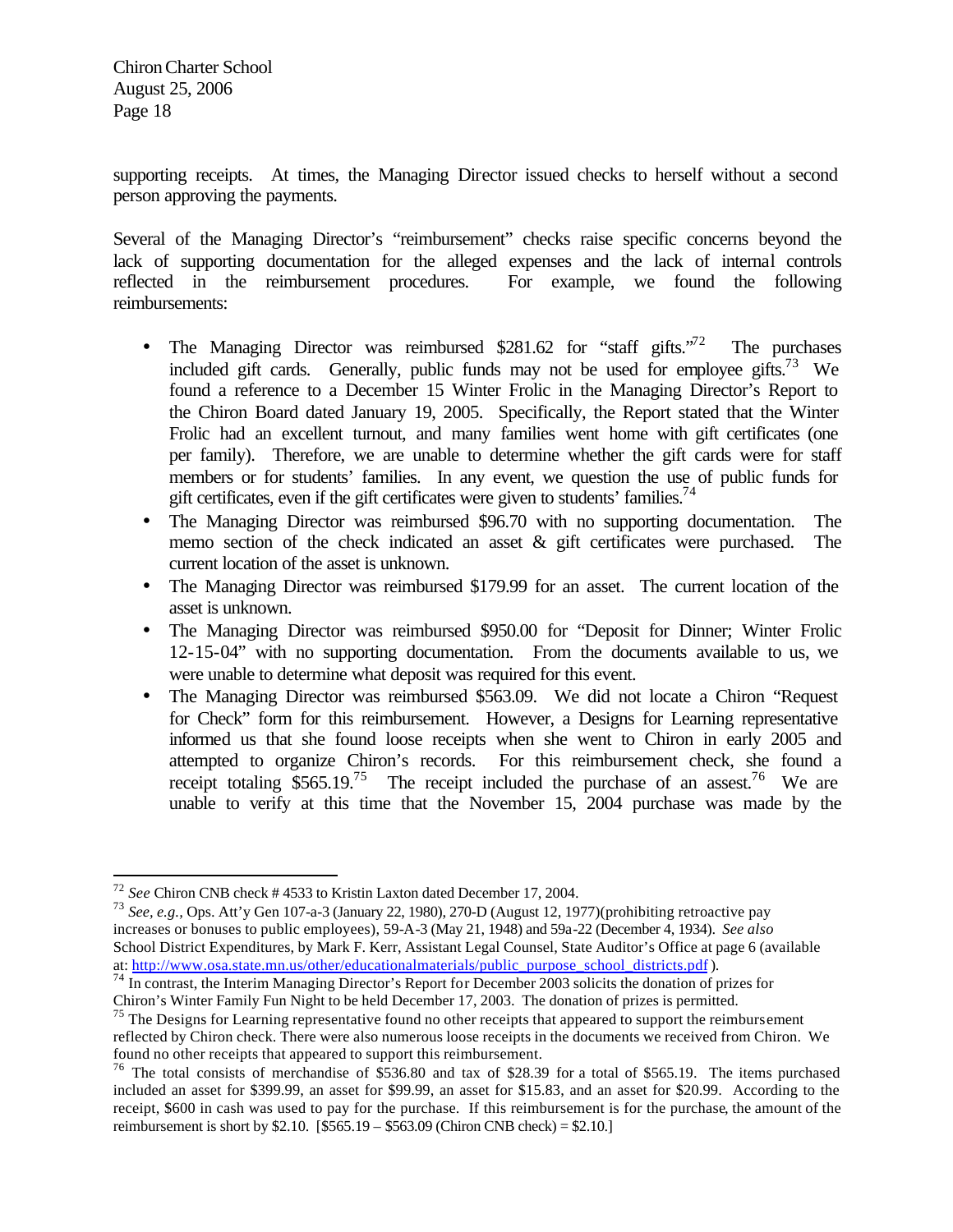supporting receipts. At times, the Managing Director issued checks to herself without a second person approving the payments.

Several of the Managing Director's "reimbursement" checks raise specific concerns beyond the lack of supporting documentation for the alleged expenses and the lack of internal controls reflected in the reimbursement procedures. For example, we found the following reimbursements:

- The Managing Director was reimbursed \$281.62 for "staff gifts." $72$  The purchases included gift cards. Generally, public funds may not be used for employee gifts.<sup>73</sup> We found a reference to a December 15 Winter Frolic in the Managing Director's Report to the Chiron Board dated January 19, 2005. Specifically, the Report stated that the Winter Frolic had an excellent turnout, and many families went home with gift certificates (one per family). Therefore, we are unable to determine whether the gift cards were for staff members or for students' families. In any event, we question the use of public funds for gift certificates, even if the gift certificates were given to students' families.<sup>74</sup>
- The Managing Director was reimbursed \$96.70 with no supporting documentation. The memo section of the check indicated an asset & gift certificates were purchased. The current location of the asset is unknown.
- The Managing Director was reimbursed \$179.99 for an asset. The current location of the asset is unknown.
- The Managing Director was reimbursed \$950.00 for "Deposit for Dinner; Winter Frolic 12-15-04" with no supporting documentation. From the documents available to us, we were unable to determine what deposit was required for this event.
- The Managing Director was reimbursed \$563.09. We did not locate a Chiron "Request" for Check" form for this reimbursement. However, a Designs for Learning representative informed us that she found loose receipts when she went to Chiron in early 2005 and attempted to organize Chiron's records. For this reimbursement check, she found a receipt totaling  $$565.19<sup>75</sup>$  The receipt included the purchase of an assest.<sup>76</sup> We are unable to verify at this time that the November 15, 2004 purchase was made by the

 $\overline{a}$ <sup>72</sup> *See* Chiron CNB check # 4533 to Kristin Laxton dated December 17, 2004.

<sup>73</sup> *See, e.g.,* Ops. Att'y Gen 107-a-3 (January 22, 1980), 270-D (August 12, 1977)(prohibiting retroactive pay increases or bonuses to public employees), 59-A-3 (May 21, 1948) and 59a-22 (December 4, 1934). *See also* School District Expenditures, by Mark F. Kerr, Assistant Legal Counsel, State Auditor's Office at page 6 (available at: http://www.osa.state.mn.us/other/educationalmaterials/public\_purpose\_school\_districts.pdf ).

 $^{74}$  In contrast, the Interim Managing Director's Report for December 2003 solicits the donation of prizes for Chiron's Winter Family Fun Night to be held December 17, 2003. The donation of prizes is permitted.

<sup>&</sup>lt;sup>75</sup> The Designs for Learning representative found no other receipts that appeared to support the reimbursement reflected by Chiron check. There were also numerous loose receipts in the documents we received from Chiron. We found no other receipts that appeared to support this reimbursement.

<sup>&</sup>lt;sup>76</sup> The total consists of merchandise of \$536.80 and tax of \$28.39 for a total of \$565.19. The items purchased included an asset for \$399.99, an asset for \$99.99, an asset for \$15.83, and an asset for \$20.99. According to the receipt, \$600 in cash was used to pay for the purchase. If this reimbursement is for the purchase, the amount of the reimbursement is short by  $$2.10.$  [ $$565.19 - $563.09$  (Chiron CNB check) =  $$2.10.]$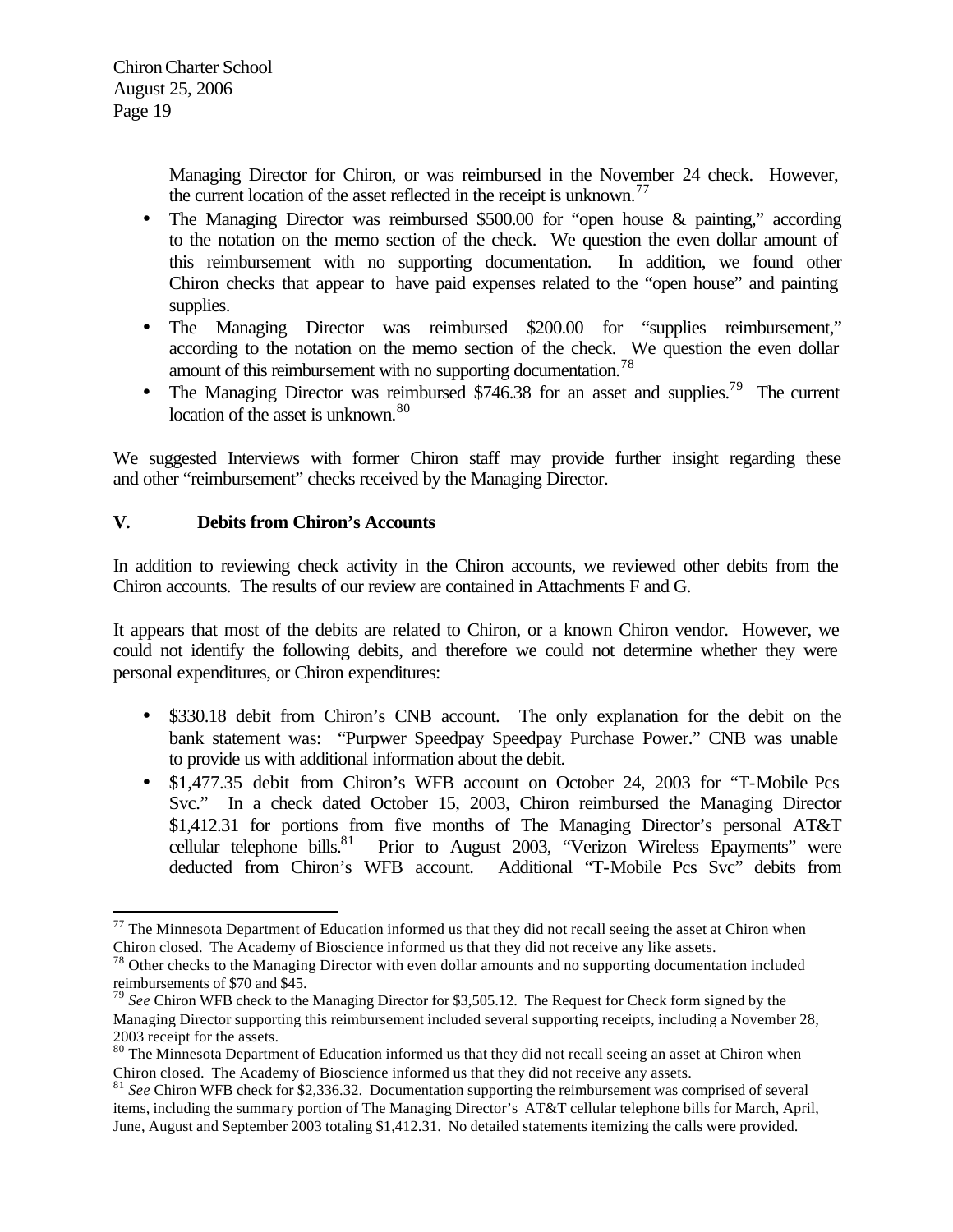Managing Director for Chiron, or was reimbursed in the November 24 check. However, the current location of the asset reflected in the receipt is unknown.<sup>77</sup>

- The Managing Director was reimbursed \$500.00 for "open house & painting," according to the notation on the memo section of the check. We question the even dollar amount of this reimbursement with no supporting documentation. In addition, we found other Chiron checks that appear to have paid expenses related to the "open house" and painting supplies.
- The Managing Director was reimbursed \$200.00 for "supplies reimbursement," according to the notation on the memo section of the check. We question the even dollar amount of this reimbursement with no supporting documentation.<sup>78</sup>
- The Managing Director was reimbursed \$746.38 for an asset and supplies.<sup>79</sup> The current location of the asset is unknown.<sup>80</sup>

We suggested Interviews with former Chiron staff may provide further insight regarding these and other "reimbursement" checks received by the Managing Director.

# **V. Debits from Chiron's Accounts**

 $\overline{a}$ 

In addition to reviewing check activity in the Chiron accounts, we reviewed other debits from the Chiron accounts. The results of our review are contained in Attachments F and G.

It appears that most of the debits are related to Chiron, or a known Chiron vendor. However, we could not identify the following debits, and therefore we could not determine whether they were personal expenditures, or Chiron expenditures:

- \$330.18 debit from Chiron's CNB account. The only explanation for the debit on the bank statement was: "Purpwer Speedpay Speedpay Purchase Power." CNB was unable to provide us with additional information about the debit.
- \$1,477.35 debit from Chiron's WFB account on October 24, 2003 for "T-Mobile Pcs Svc." In a check dated October 15, 2003, Chiron reimbursed the Managing Director \$1,412.31 for portions from five months of The Managing Director's personal AT&T cellular telephone bills.<sup>81</sup> Prior to August 2003, "Verizon Wireless Epayments" were deducted from Chiron's WFB account. Additional "T-Mobile Pcs Svc" debits from

 $77$  The Minnesota Department of Education informed us that they did not recall seeing the asset at Chiron when Chiron closed. The Academy of Bioscience informed us that they did not receive any like assets.

 $78$  Other checks to the Managing Director with even dollar amounts and no supporting documentation included reimbursements of \$70 and \$45.

<sup>&</sup>lt;sup>79</sup> See Chiron WFB check to the Managing Director for \$3,505.12. The Request for Check form signed by the Managing Director supporting this reimbursement included several supporting receipts, including a November 28, 2003 receipt for the assets.

<sup>&</sup>lt;sup>80</sup> The Minnesota Department of Education informed us that they did not recall seeing an asset at Chiron when Chiron closed. The Academy of Bioscience informed us that they did not receive any assets.

<sup>81</sup> *See* Chiron WFB check for \$2,336.32. Documentation supporting the reimbursement was comprised of several items, including the summary portion of The Managing Director's AT&T cellular telephone bills for March, April, June, August and September 2003 totaling \$1,412.31. No detailed statements itemizing the calls were provided.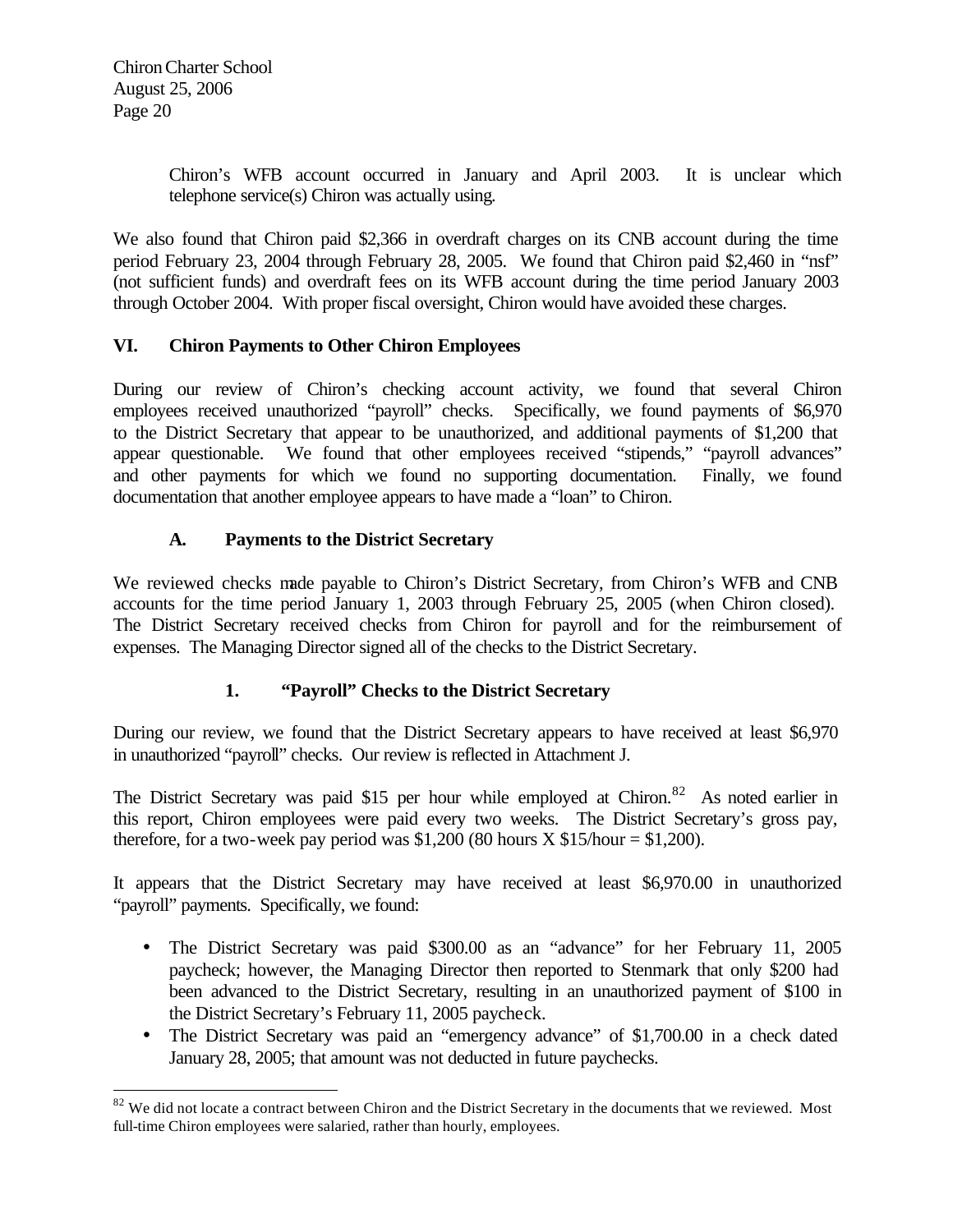$\overline{a}$ 

Chiron's WFB account occurred in January and April 2003. It is unclear which telephone service(s) Chiron was actually using.

We also found that Chiron paid \$2,366 in overdraft charges on its CNB account during the time period February 23, 2004 through February 28, 2005. We found that Chiron paid \$2,460 in "nsf" (not sufficient funds) and overdraft fees on its WFB account during the time period January 2003 through October 2004. With proper fiscal oversight, Chiron would have avoided these charges.

# **VI. Chiron Payments to Other Chiron Employees**

During our review of Chiron's checking account activity, we found that several Chiron employees received unauthorized "payroll" checks. Specifically, we found payments of \$6,970 to the District Secretary that appear to be unauthorized, and additional payments of \$1,200 that appear questionable. We found that other employees received "stipends," "payroll advances" and other payments for which we found no supporting documentation. Finally, we found documentation that another employee appears to have made a "loan" to Chiron.

## **A. Payments to the District Secretary**

We reviewed checks made payable to Chiron's District Secretary, from Chiron's WFB and CNB accounts for the time period January 1, 2003 through February 25, 2005 (when Chiron closed). The District Secretary received checks from Chiron for payroll and for the reimbursement of expenses. The Managing Director signed all of the checks to the District Secretary.

# **1. "Payroll" Checks to the District Secretary**

During our review, we found that the District Secretary appears to have received at least \$6,970 in unauthorized "payroll" checks. Our review is reflected in Attachment J.

The District Secretary was paid \$15 per hour while employed at Chiron.<sup>82</sup> As noted earlier in this report, Chiron employees were paid every two weeks. The District Secretary's gross pay, therefore, for a two-week pay period was \$1,200 (80 hours  $X$  \$15/hour = \$1,200).

It appears that the District Secretary may have received at least \$6,970.00 in unauthorized "payroll" payments. Specifically, we found:

- The District Secretary was paid \$300.00 as an "advance" for her February 11, 2005 paycheck; however, the Managing Director then reported to Stenmark that only \$200 had been advanced to the District Secretary, resulting in an unauthorized payment of \$100 in the District Secretary's February 11, 2005 paycheck.
- The District Secretary was paid an "emergency advance" of \$1,700.00 in a check dated January 28, 2005; that amount was not deducted in future paychecks.

<sup>&</sup>lt;sup>82</sup> We did not locate a contract between Chiron and the District Secretary in the documents that we reviewed. Most full-time Chiron employees were salaried, rather than hourly, employees.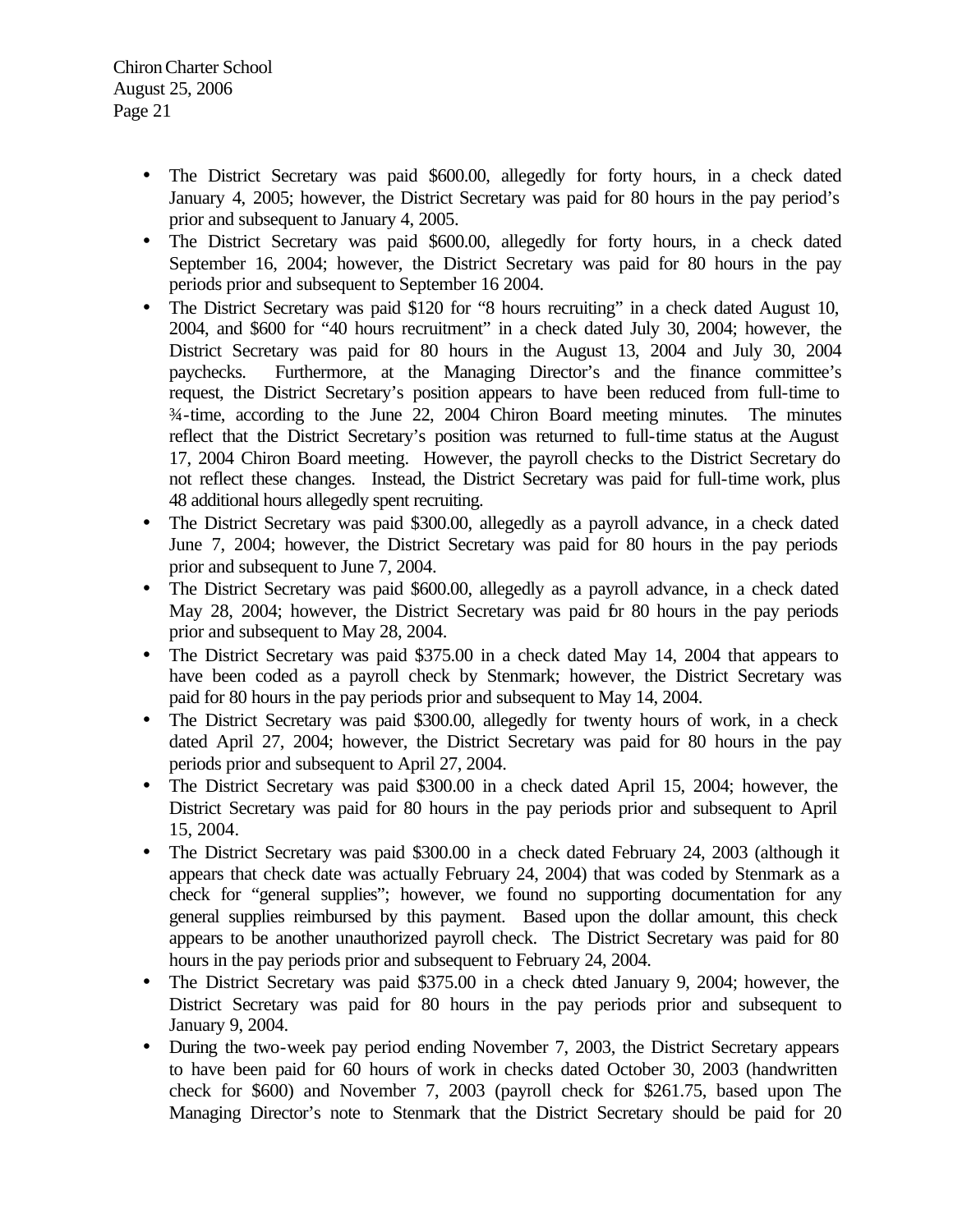- The District Secretary was paid \$600.00, allegedly for forty hours, in a check dated January 4, 2005; however, the District Secretary was paid for 80 hours in the pay period's prior and subsequent to January 4, 2005.
- The District Secretary was paid \$600.00, allegedly for forty hours, in a check dated September 16, 2004; however, the District Secretary was paid for 80 hours in the pay periods prior and subsequent to September 16 2004.
- The District Secretary was paid \$120 for "8 hours recruiting" in a check dated August 10, 2004, and \$600 for "40 hours recruitment" in a check dated July 30, 2004; however, the District Secretary was paid for 80 hours in the August 13, 2004 and July 30, 2004 paychecks. Furthermore, at the Managing Director's and the finance committee's request, the District Secretary's position appears to have been reduced from full-time to ¾-time, according to the June 22, 2004 Chiron Board meeting minutes. The minutes reflect that the District Secretary's position was returned to full-time status at the August 17, 2004 Chiron Board meeting. However, the payroll checks to the District Secretary do not reflect these changes. Instead, the District Secretary was paid for full-time work, plus 48 additional hours allegedly spent recruiting.
- The District Secretary was paid \$300.00, allegedly as a payroll advance, in a check dated June 7, 2004; however, the District Secretary was paid for 80 hours in the pay periods prior and subsequent to June 7, 2004.
- The District Secretary was paid \$600.00, allegedly as a payroll advance, in a check dated May 28, 2004; however, the District Secretary was paid for 80 hours in the pay periods prior and subsequent to May 28, 2004.
- The District Secretary was paid \$375.00 in a check dated May 14, 2004 that appears to have been coded as a payroll check by Stenmark; however, the District Secretary was paid for 80 hours in the pay periods prior and subsequent to May 14, 2004.
- The District Secretary was paid \$300.00, allegedly for twenty hours of work, in a check dated April 27, 2004; however, the District Secretary was paid for 80 hours in the pay periods prior and subsequent to April 27, 2004.
- The District Secretary was paid \$300.00 in a check dated April 15, 2004; however, the District Secretary was paid for 80 hours in the pay periods prior and subsequent to April 15, 2004.
- The District Secretary was paid \$300.00 in a check dated February 24, 2003 (although it appears that check date was actually February 24, 2004) that was coded by Stenmark as a check for "general supplies"; however, we found no supporting documentation for any general supplies reimbursed by this payment. Based upon the dollar amount, this check appears to be another unauthorized payroll check. The District Secretary was paid for 80 hours in the pay periods prior and subsequent to February 24, 2004.
- The District Secretary was paid \$375.00 in a check dated January 9, 2004; however, the District Secretary was paid for 80 hours in the pay periods prior and subsequent to January 9, 2004.
- During the two-week pay period ending November 7, 2003, the District Secretary appears to have been paid for 60 hours of work in checks dated October 30, 2003 (handwritten check for \$600) and November 7, 2003 (payroll check for \$261.75, based upon The Managing Director's note to Stenmark that the District Secretary should be paid for 20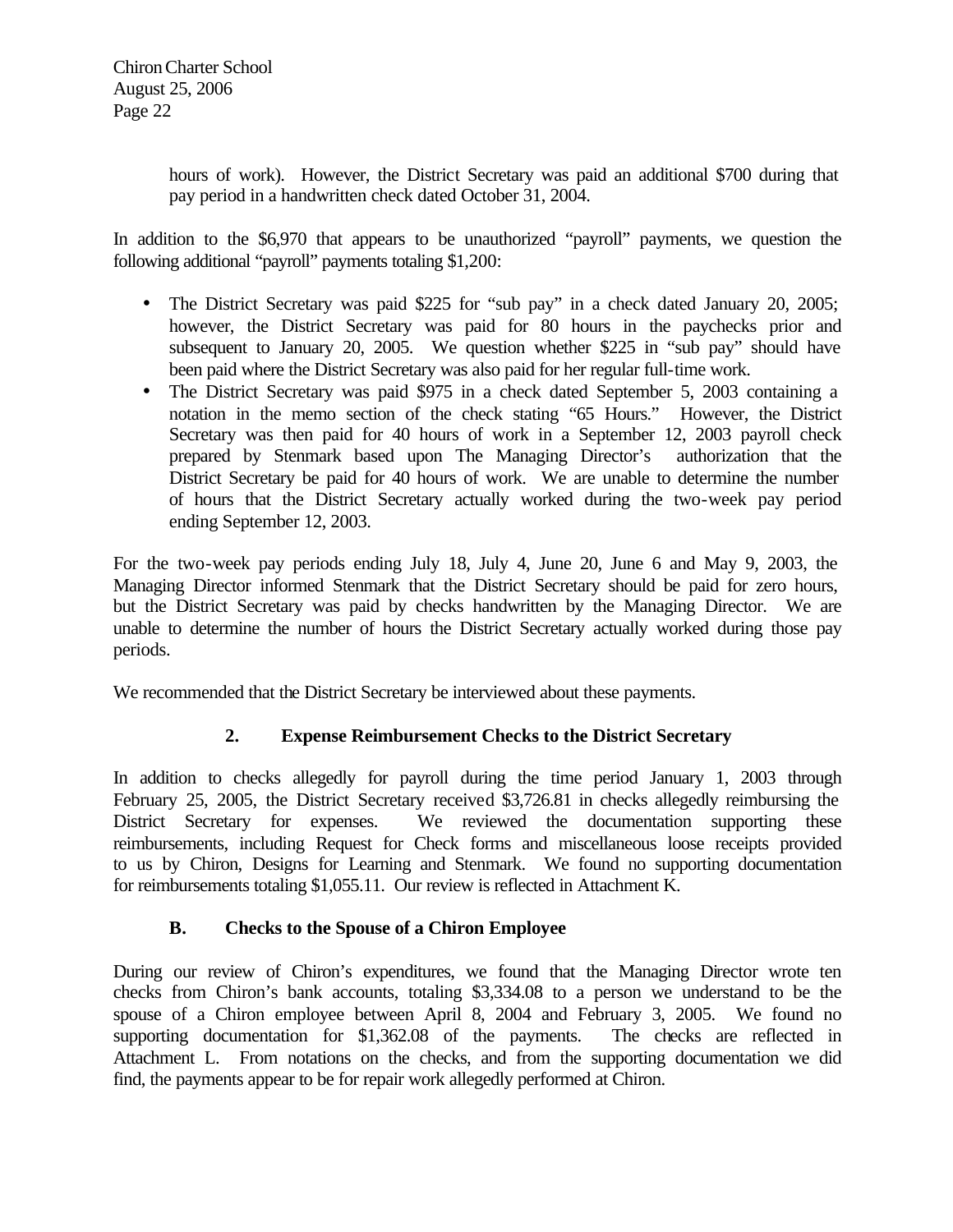hours of work). However, the District Secretary was paid an additional \$700 during that pay period in a handwritten check dated October 31, 2004.

In addition to the \$6,970 that appears to be unauthorized "payroll" payments, we question the following additional "payroll" payments totaling \$1,200:

- The District Secretary was paid \$225 for "sub pay" in a check dated January 20, 2005; however, the District Secretary was paid for 80 hours in the paychecks prior and subsequent to January 20, 2005. We question whether \$225 in "sub pay" should have been paid where the District Secretary was also paid for her regular full-time work.
- The District Secretary was paid \$975 in a check dated September 5, 2003 containing a notation in the memo section of the check stating "65 Hours." However, the District Secretary was then paid for 40 hours of work in a September 12, 2003 payroll check prepared by Stenmark based upon The Managing Director's authorization that the District Secretary be paid for 40 hours of work. We are unable to determine the number of hours that the District Secretary actually worked during the two-week pay period ending September 12, 2003.

For the two-week pay periods ending July 18, July 4, June 20, June 6 and May 9, 2003, the Managing Director informed Stenmark that the District Secretary should be paid for zero hours, but the District Secretary was paid by checks handwritten by the Managing Director. We are unable to determine the number of hours the District Secretary actually worked during those pay periods.

We recommended that the District Secretary be interviewed about these payments.

# **2. Expense Reimbursement Checks to the District Secretary**

In addition to checks allegedly for payroll during the time period January 1, 2003 through February 25, 2005, the District Secretary received \$3,726.81 in checks allegedly reimbursing the District Secretary for expenses. We reviewed the documentation supporting these reimbursements, including Request for Check forms and miscellaneous loose receipts provided to us by Chiron, Designs for Learning and Stenmark. We found no supporting documentation for reimbursements totaling \$1,055.11. Our review is reflected in Attachment K.

# **B. Checks to the Spouse of a Chiron Employee**

During our review of Chiron's expenditures, we found that the Managing Director wrote ten checks from Chiron's bank accounts, totaling \$3,334.08 to a person we understand to be the spouse of a Chiron employee between April 8, 2004 and February 3, 2005. We found no supporting documentation for \$1,362.08 of the payments. The checks are reflected in Attachment L. From notations on the checks, and from the supporting documentation we did find, the payments appear to be for repair work allegedly performed at Chiron.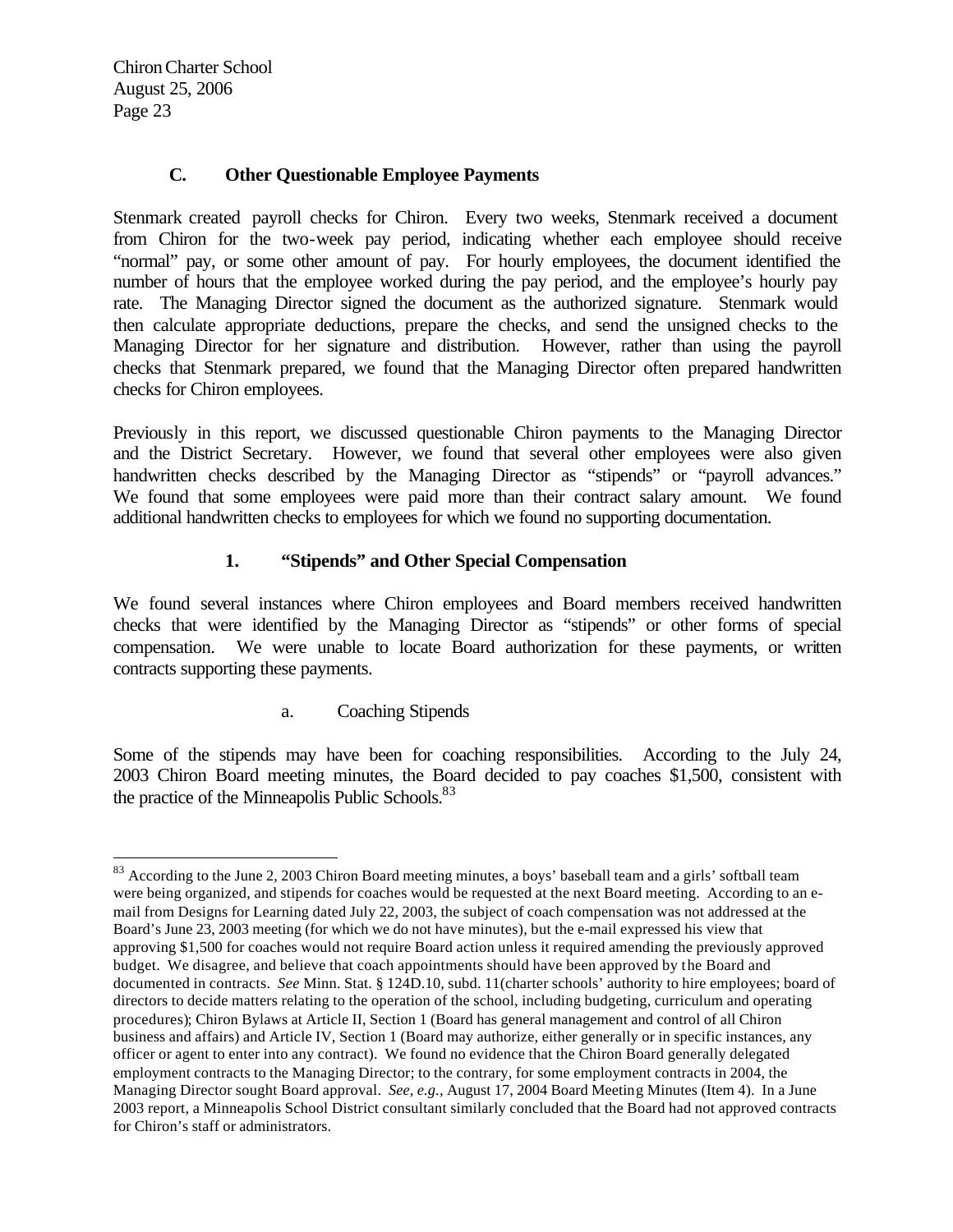$\overline{a}$ 

## **C. Other Questionable Employee Payments**

Stenmark created payroll checks for Chiron. Every two weeks, Stenmark received a document from Chiron for the two-week pay period, indicating whether each employee should receive "normal" pay, or some other amount of pay. For hourly employees, the document identified the number of hours that the employee worked during the pay period, and the employee's hourly pay rate. The Managing Director signed the document as the authorized signature. Stenmark would then calculate appropriate deductions, prepare the checks, and send the unsigned checks to the Managing Director for her signature and distribution. However, rather than using the payroll checks that Stenmark prepared, we found that the Managing Director often prepared handwritten checks for Chiron employees.

Previously in this report, we discussed questionable Chiron payments to the Managing Director and the District Secretary. However, we found that several other employees were also given handwritten checks described by the Managing Director as "stipends" or "payroll advances." We found that some employees were paid more than their contract salary amount. We found additional handwritten checks to employees for which we found no supporting documentation.

## **1. "Stipends" and Other Special Compensation**

We found several instances where Chiron employees and Board members received handwritten checks that were identified by the Managing Director as "stipends" or other forms of special compensation. We were unable to locate Board authorization for these payments, or written contracts supporting these payments.

a. Coaching Stipends

Some of the stipends may have been for coaching responsibilities. According to the July 24, 2003 Chiron Board meeting minutes, the Board decided to pay coaches \$1,500, consistent with the practice of the Minneapolis Public Schools.<sup>83</sup>

<sup>&</sup>lt;sup>83</sup> According to the June 2, 2003 Chiron Board meeting minutes, a boys' baseball team and a girls' softball team were being organized, and stipends for coaches would be requested at the next Board meeting. According to an email from Designs for Learning dated July 22, 2003, the subject of coach compensation was not addressed at the Board's June 23, 2003 meeting (for which we do not have minutes), but the e-mail expressed his view that approving \$1,500 for coaches would not require Board action unless it required amending the previously approved budget. We disagree, and believe that coach appointments should have been approved by the Board and documented in contracts. *See* Minn. Stat. § 124D.10, subd. 11(charter schools' authority to hire employees; board of directors to decide matters relating to the operation of the school, including budgeting, curriculum and operating procedures); Chiron Bylaws at Article II, Section 1 (Board has general management and control of all Chiron business and affairs) and Article IV, Section 1 (Board may authorize, either generally or in specific instances, any officer or agent to enter into any contract). We found no evidence that the Chiron Board generally delegated employment contracts to the Managing Director; to the contrary, for some employment contracts in 2004, the Managing Director sought Board approval. *See, e.g.,* August 17, 2004 Board Meeting Minutes (Item 4). In a June 2003 report, a Minneapolis School District consultant similarly concluded that the Board had not approved contracts for Chiron's staff or administrators.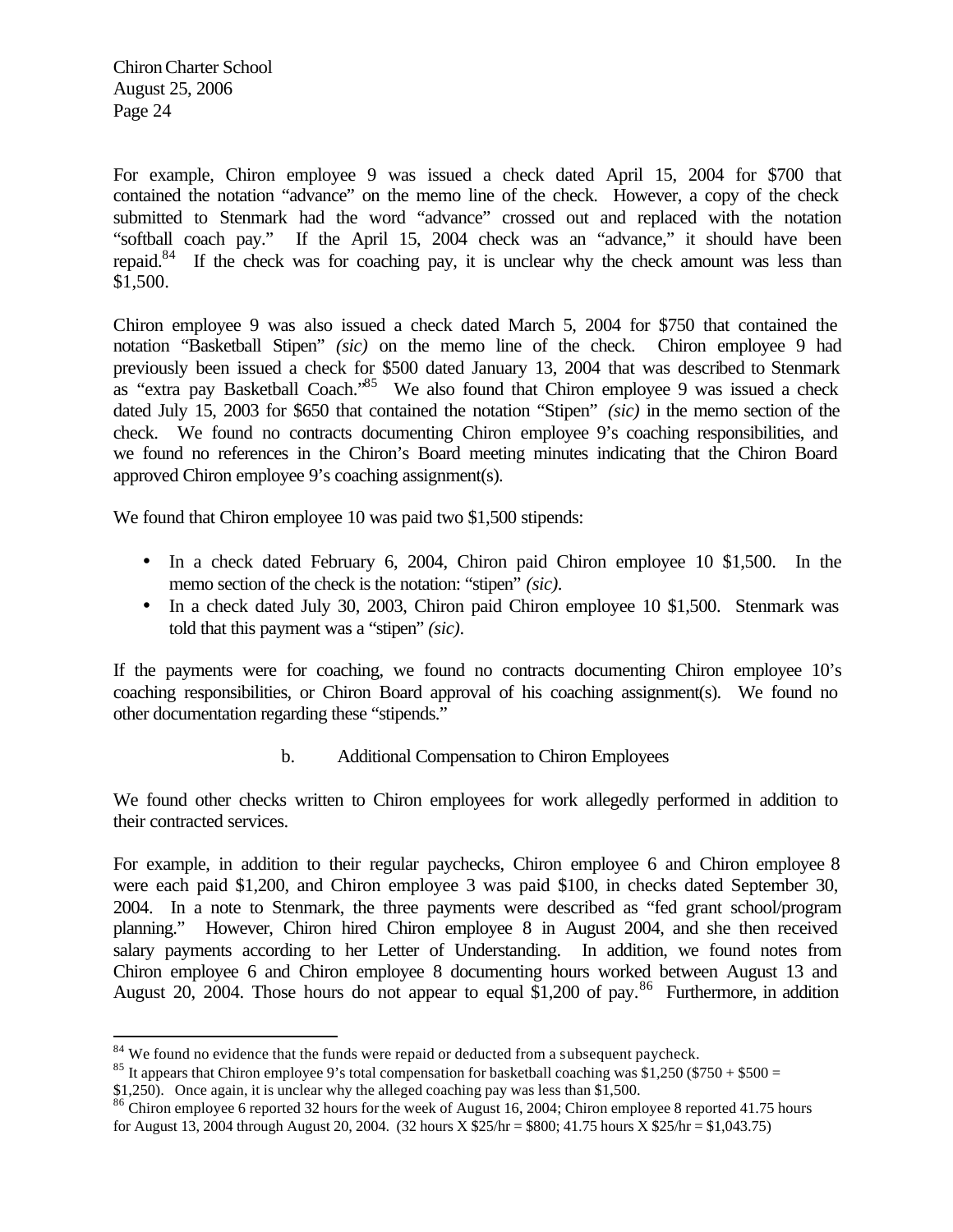$\overline{a}$ 

For example, Chiron employee 9 was issued a check dated April 15, 2004 for \$700 that contained the notation "advance" on the memo line of the check. However, a copy of the check submitted to Stenmark had the word "advance" crossed out and replaced with the notation "softball coach pay." If the April 15, 2004 check was an "advance," it should have been repaid.<sup>84</sup> If the check was for coaching pay, it is unclear why the check amount was less than \$1,500.

Chiron employee 9 was also issued a check dated March 5, 2004 for \$750 that contained the notation "Basketball Stipen" *(sic)* on the memo line of the check. Chiron employee 9 had previously been issued a check for \$500 dated January 13, 2004 that was described to Stenmark as "extra pay Basketball Coach."<sup>85</sup> We also found that Chiron employee 9 was issued a check dated July 15, 2003 for \$650 that contained the notation "Stipen" *(sic)* in the memo section of the check. We found no contracts documenting Chiron employee 9's coaching responsibilities, and we found no references in the Chiron's Board meeting minutes indicating that the Chiron Board approved Chiron employee 9's coaching assignment(s).

We found that Chiron employee 10 was paid two \$1,500 stipends:

- In a check dated February 6, 2004, Chiron paid Chiron employee 10 \$1,500. In the memo section of the check is the notation: "stipen" *(sic)*.
- In a check dated July 30, 2003, Chiron paid Chiron employee 10 \$1,500. Stenmark was told that this payment was a "stipen" *(sic)*.

If the payments were for coaching, we found no contracts documenting Chiron employee 10's coaching responsibilities, or Chiron Board approval of his coaching assignment(s). We found no other documentation regarding these "stipends."

b. Additional Compensation to Chiron Employees

We found other checks written to Chiron employees for work allegedly performed in addition to their contracted services.

For example, in addition to their regular paychecks, Chiron employee 6 and Chiron employee 8 were each paid \$1,200, and Chiron employee 3 was paid \$100, in checks dated September 30, 2004. In a note to Stenmark, the three payments were described as "fed grant school/program planning." However, Chiron hired Chiron employee 8 in August 2004, and she then received salary payments according to her Letter of Understanding. In addition, we found notes from Chiron employee 6 and Chiron employee 8 documenting hours worked between August 13 and August 20, 2004. Those hours do not appear to equal \$1,200 of pay.<sup>86</sup> Furthermore, in addition

 $84$  We found no evidence that the funds were repaid or deducted from a subsequent paycheck.

<sup>&</sup>lt;sup>85</sup> It appears that Chiron employee 9's total compensation for basketball coaching was \$1,250 (\$750 + \$500 =

<sup>\$1,250).</sup> Once again, it is unclear why the alleged coaching pay was less than \$1,500.

<sup>&</sup>lt;sup>86</sup> Chiron employee 6 reported 32 hours for the week of August 16, 2004; Chiron employee 8 reported 41.75 hours for August 13, 2004 through August 20, 2004. (32 hours X \$25/hr = \$800; 41.75 hours X \$25/hr = \$1,043.75)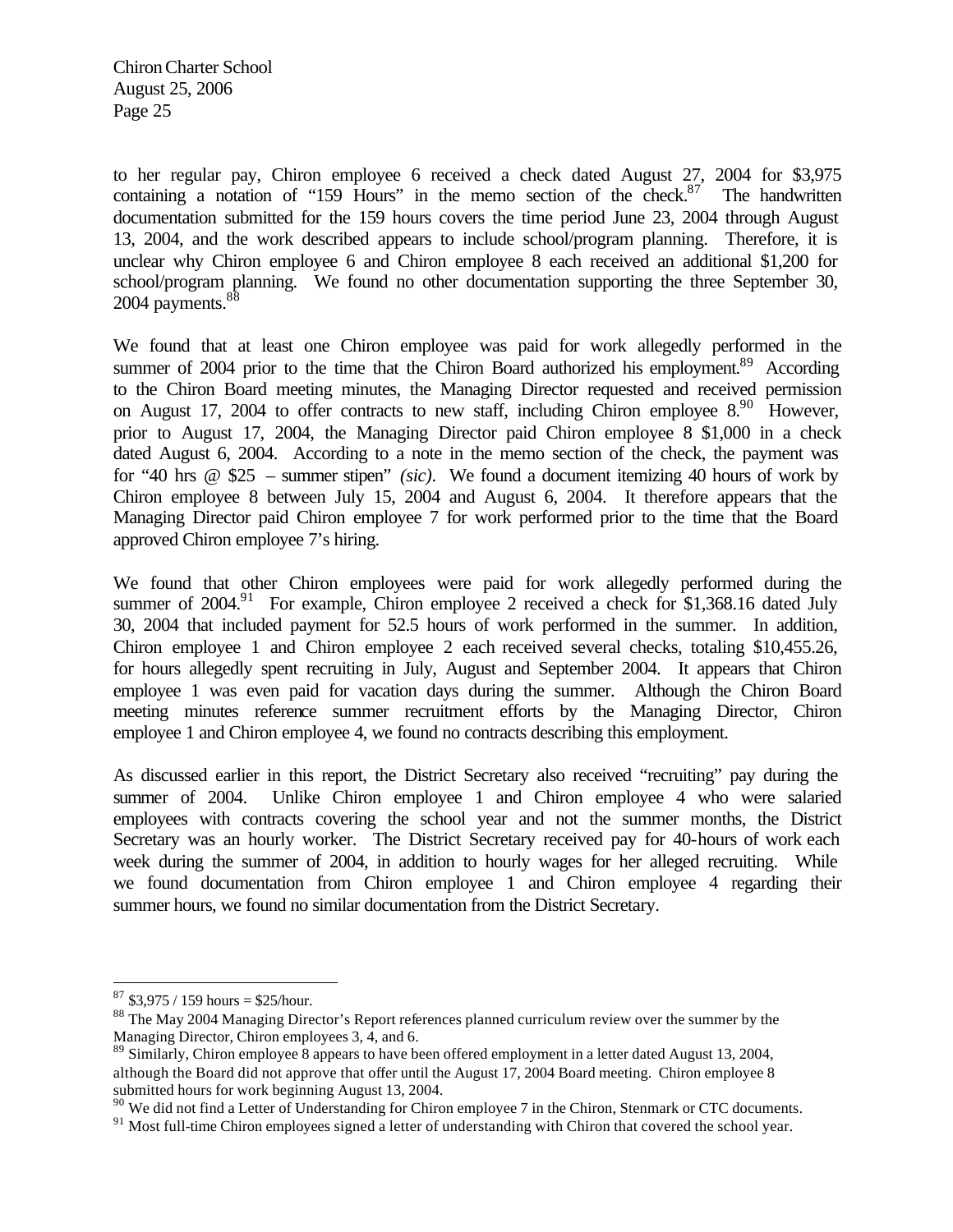to her regular pay, Chiron employee 6 received a check dated August 27, 2004 for \$3,975 containing a notation of "159 Hours" in the memo section of the check. $87$  The handwritten documentation submitted for the 159 hours covers the time period June 23, 2004 through August 13, 2004, and the work described appears to include school/program planning. Therefore, it is unclear why Chiron employee 6 and Chiron employee 8 each received an additional \$1,200 for school/program planning. We found no other documentation supporting the three September 30, 2004 payments.<sup>88</sup>

We found that at least one Chiron employee was paid for work allegedly performed in the summer of 2004 prior to the time that the Chiron Board authorized his employment.<sup>89</sup> According to the Chiron Board meeting minutes, the Managing Director requested and received permission on August 17, 2004 to offer contracts to new staff, including Chiron employee  $8^{90}$  However, prior to August 17, 2004, the Managing Director paid Chiron employee 8 \$1,000 in a check dated August 6, 2004. According to a note in the memo section of the check, the payment was for "40 hrs @ \$25 – summer stipen" *(sic)*. We found a document itemizing 40 hours of work by Chiron employee 8 between July 15, 2004 and August 6, 2004. It therefore appears that the Managing Director paid Chiron employee 7 for work performed prior to the time that the Board approved Chiron employee 7's hiring.

We found that other Chiron employees were paid for work allegedly performed during the summer of  $2004$ .<sup>91</sup> For example, Chiron employee 2 received a check for \$1,368.16 dated July 30, 2004 that included payment for 52.5 hours of work performed in the summer. In addition, Chiron employee 1 and Chiron employee 2 each received several checks, totaling \$10,455.26, for hours allegedly spent recruiting in July, August and September 2004. It appears that Chiron employee 1 was even paid for vacation days during the summer. Although the Chiron Board meeting minutes reference summer recruitment efforts by the Managing Director, Chiron employee 1 and Chiron employee 4, we found no contracts describing this employment.

As discussed earlier in this report, the District Secretary also received "recruiting" pay during the summer of 2004. Unlike Chiron employee 1 and Chiron employee 4 who were salaried employees with contracts covering the school year and not the summer months, the District Secretary was an hourly worker. The District Secretary received pay for 40-hours of work each week during the summer of 2004, in addition to hourly wages for her alleged recruiting. While we found documentation from Chiron employee 1 and Chiron employee 4 regarding their summer hours, we found no similar documentation from the District Secretary.

 $\overline{a}$ 

<sup>90</sup> We did not find a Letter of Understanding for Chiron employee 7 in the Chiron, Stenmark or CTC documents.

 $87$  \$3,975 / 159 hours = \$25/hour.

<sup>&</sup>lt;sup>88</sup> The May 2004 Managing Director's Report references planned curriculum review over the summer by the Managing Director, Chiron employees 3, 4, and 6.

<sup>&</sup>lt;sup>89</sup> Similarly, Chiron employee 8 appears to have been offered employment in a letter dated August 13, 2004, although the Board did not approve that offer until the August 17, 2004 Board meeting. Chiron employee 8 submitted hours for work beginning August 13, 2004.

<sup>&</sup>lt;sup>91</sup> Most full-time Chiron employees signed a letter of understanding with Chiron that covered the school year.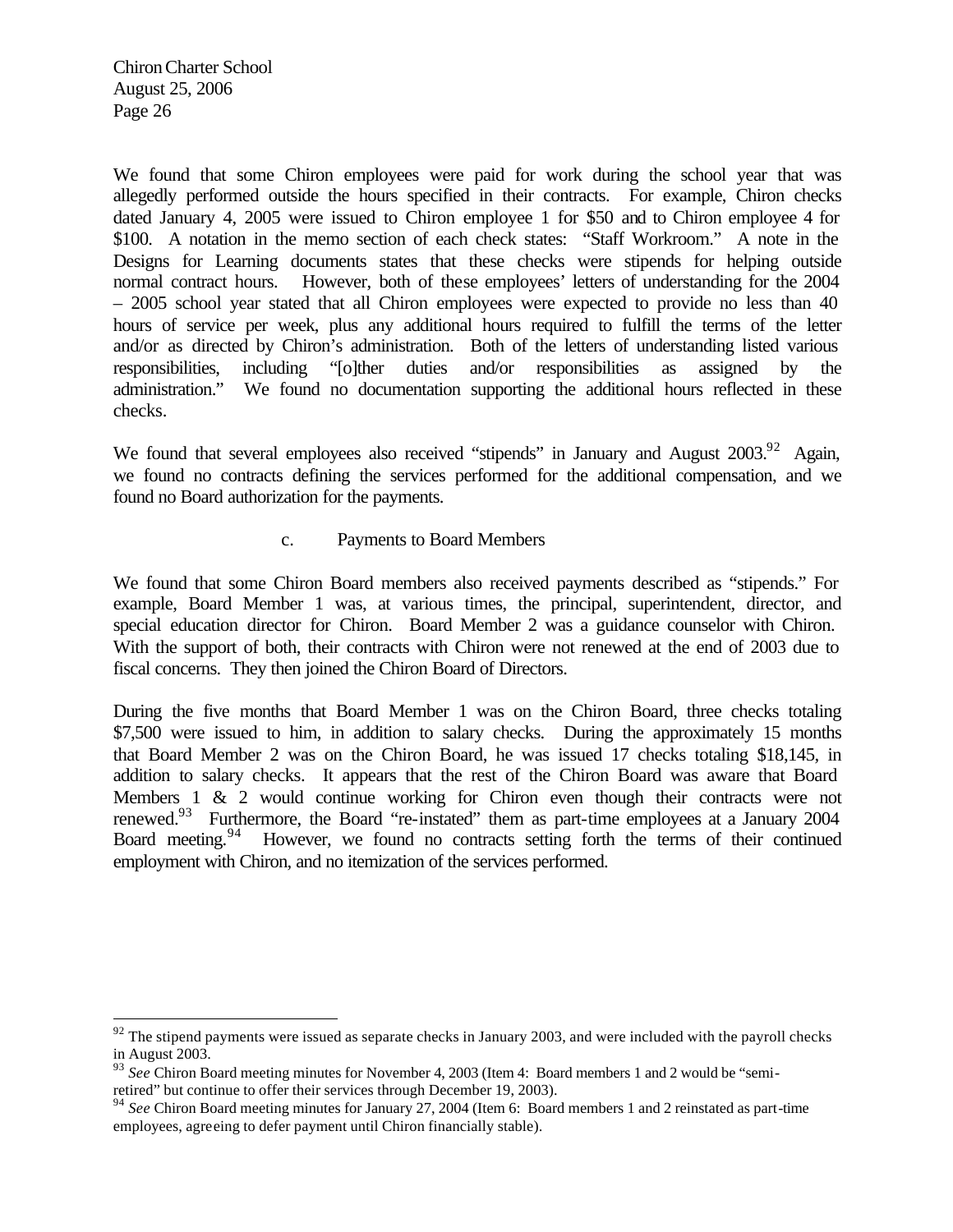$\overline{a}$ 

We found that some Chiron employees were paid for work during the school year that was allegedly performed outside the hours specified in their contracts. For example, Chiron checks dated January 4, 2005 were issued to Chiron employee 1 for \$50 and to Chiron employee 4 for \$100. A notation in the memo section of each check states: "Staff Workroom." A note in the Designs for Learning documents states that these checks were stipends for helping outside normal contract hours. However, both of these employees' letters of understanding for the 2004 – 2005 school year stated that all Chiron employees were expected to provide no less than 40 hours of service per week, plus any additional hours required to fulfill the terms of the letter and/or as directed by Chiron's administration. Both of the letters of understanding listed various responsibilities, including "[o]ther duties and/or responsibilities as assigned by the administration." We found no documentation supporting the additional hours reflected in these checks.

We found that several employees also received "stipends" in January and August 2003.<sup>92</sup> Again, we found no contracts defining the services performed for the additional compensation, and we found no Board authorization for the payments.

#### c. Payments to Board Members

We found that some Chiron Board members also received payments described as "stipends." For example, Board Member 1 was, at various times, the principal, superintendent, director, and special education director for Chiron. Board Member 2 was a guidance counselor with Chiron. With the support of both, their contracts with Chiron were not renewed at the end of 2003 due to fiscal concerns. They then joined the Chiron Board of Directors.

During the five months that Board Member 1 was on the Chiron Board, three checks totaling \$7,500 were issued to him, in addition to salary checks. During the approximately 15 months that Board Member 2 was on the Chiron Board, he was issued 17 checks totaling \$18,145, in addition to salary checks. It appears that the rest of the Chiron Board was aware that Board Members 1 & 2 would continue working for Chiron even though their contracts were not renewed.<sup>93</sup> Furthermore, the Board "re-instated" them as part-time employees at a January 2004 Board meeting.<sup>94</sup> However, we found no contracts setting forth the terms of their continued employment with Chiron, and no itemization of the services performed.

 $92$  The stipend payments were issued as separate checks in January 2003, and were included with the payroll checks in August 2003.

<sup>&</sup>lt;sup>93</sup> See Chiron Board meeting minutes for November 4, 2003 (Item 4: Board members 1 and 2 would be "semiretired" but continue to offer their services through December 19, 2003).

<sup>&</sup>lt;sup>94</sup> See Chiron Board meeting minutes for January 27, 2004 (Item 6: Board members 1 and 2 reinstated as part-time employees, agreeing to defer payment until Chiron financially stable).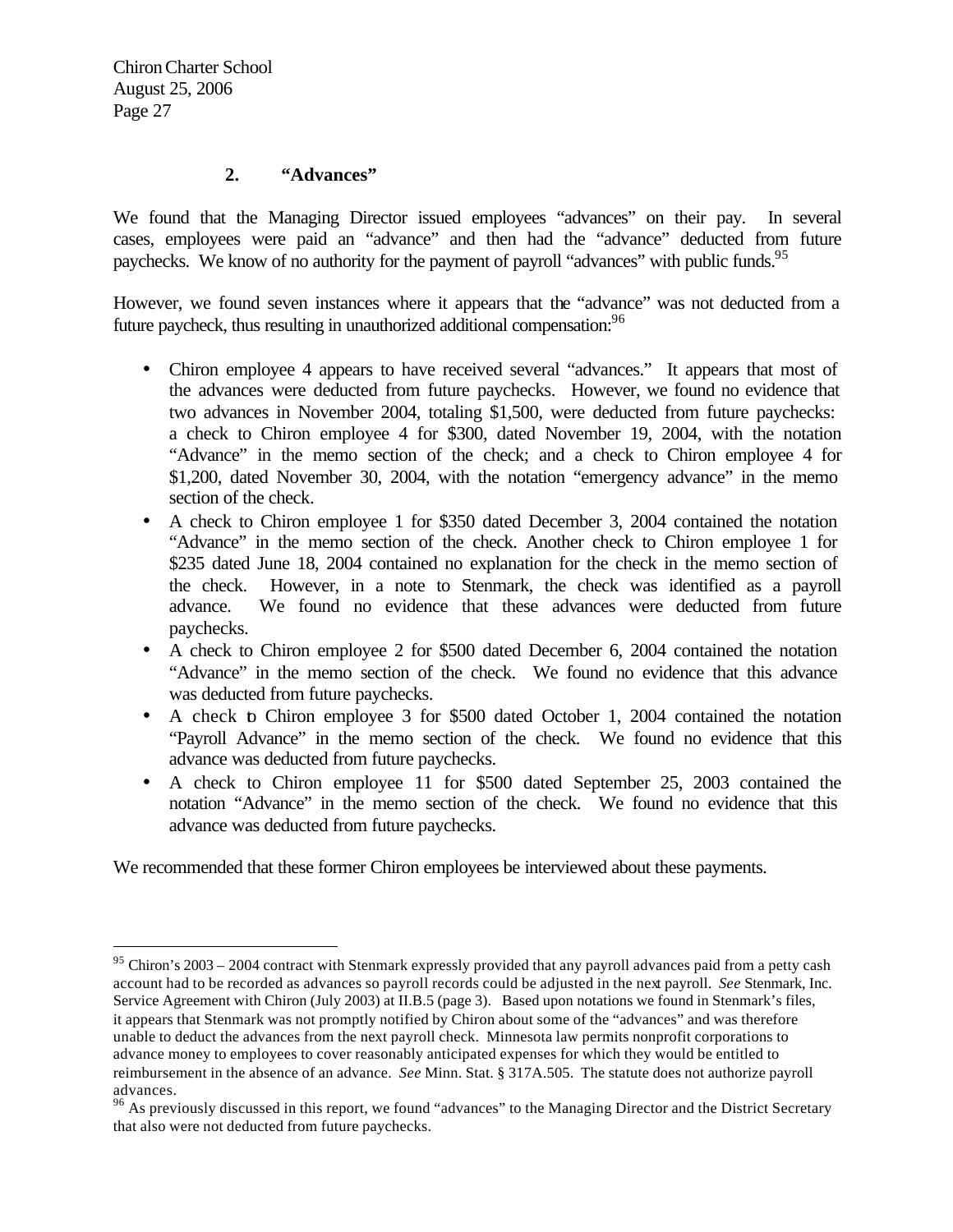$\overline{a}$ 

#### **2. "Advances"**

We found that the Managing Director issued employees "advances" on their pay. In several cases, employees were paid an "advance" and then had the "advance" deducted from future paychecks. We know of no authority for the payment of payroll "advances" with public funds.<sup>95</sup>

However, we found seven instances where it appears that the "advance" was not deducted from a future paycheck, thus resulting in unauthorized additional compensation:<sup>96</sup>

- Chiron employee 4 appears to have received several "advances." It appears that most of the advances were deducted from future paychecks. However, we found no evidence that two advances in November 2004, totaling \$1,500, were deducted from future paychecks: a check to Chiron employee 4 for \$300, dated November 19, 2004, with the notation "Advance" in the memo section of the check; and a check to Chiron employee 4 for \$1,200, dated November 30, 2004, with the notation "emergency advance" in the memo section of the check.
- A check to Chiron employee 1 for \$350 dated December 3, 2004 contained the notation "Advance" in the memo section of the check. Another check to Chiron employee 1 for \$235 dated June 18, 2004 contained no explanation for the check in the memo section of the check. However, in a note to Stenmark, the check was identified as a payroll advance. We found no evidence that these advances were deducted from future paychecks.
- A check to Chiron employee 2 for \$500 dated December 6, 2004 contained the notation "Advance" in the memo section of the check. We found no evidence that this advance was deducted from future paychecks.
- A check to Chiron employee 3 for \$500 dated October 1, 2004 contained the notation "Payroll Advance" in the memo section of the check. We found no evidence that this advance was deducted from future paychecks.
- A check to Chiron employee 11 for \$500 dated September 25, 2003 contained the notation "Advance" in the memo section of the check. We found no evidence that this advance was deducted from future paychecks.

We recommended that these former Chiron employees be interviewed about these payments.

 $95$  Chiron's 2003 – 2004 contract with Stenmark expressly provided that any payroll advances paid from a petty cash account had to be recorded as advances so payroll records could be adjusted in the next payroll. *See* Stenmark, Inc. Service Agreement with Chiron (July 2003) at II.B.5 (page 3). Based upon notations we found in Stenmark's files, it appears that Stenmark was not promptly notified by Chiron about some of the "advances" and was therefore unable to deduct the advances from the next payroll check. Minnesota law permits nonprofit corporations to advance money to employees to cover reasonably anticipated expenses for which they would be entitled to reimbursement in the absence of an advance. *See* Minn. Stat. § 317A.505. The statute does not authorize payroll advances.

<sup>&</sup>lt;sup>96</sup> As previously discussed in this report, we found "advances" to the Managing Director and the District Secretary that also were not deducted from future paychecks.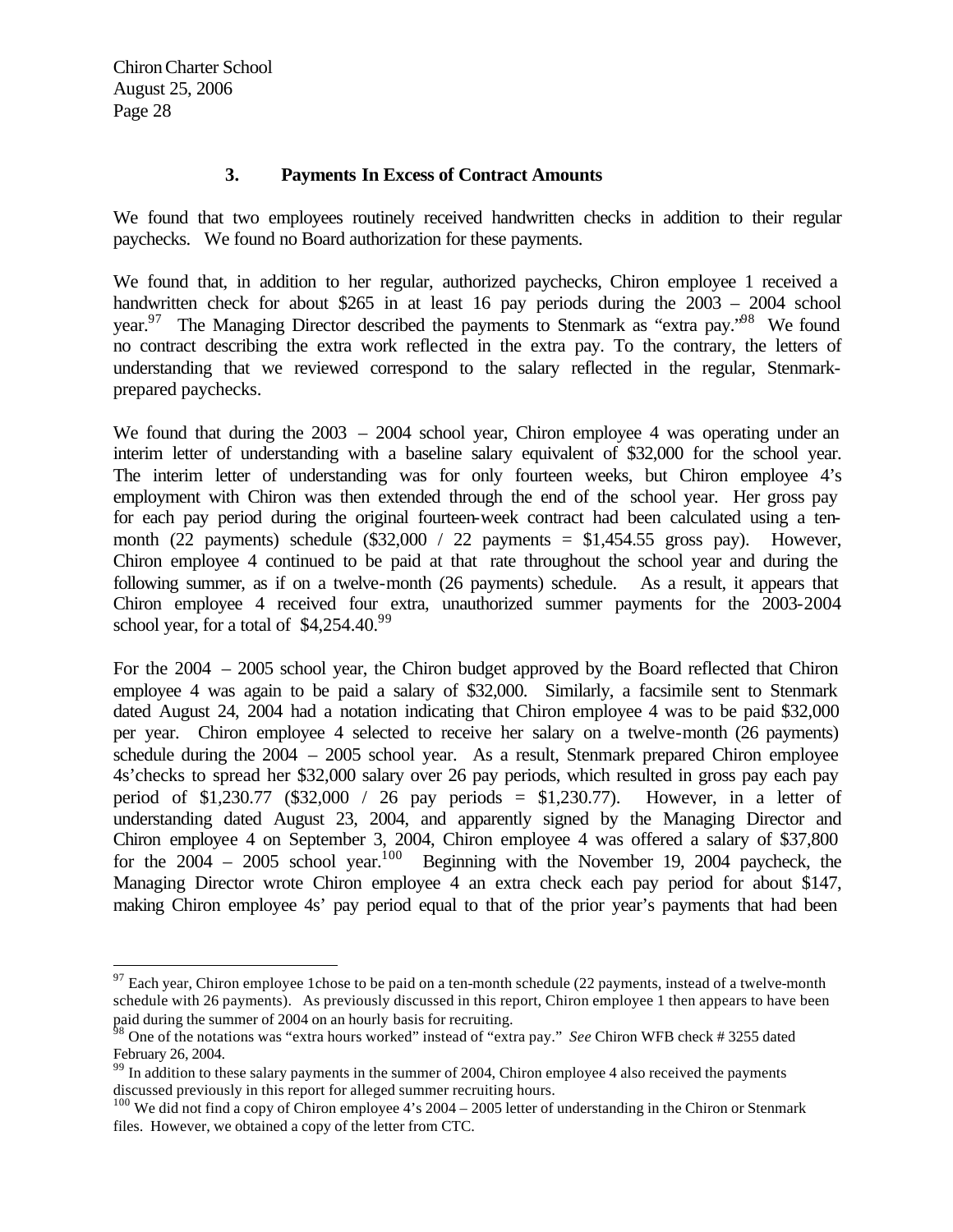$\overline{a}$ 

#### **3. Payments In Excess of Contract Amounts**

We found that two employees routinely received handwritten checks in addition to their regular paychecks. We found no Board authorization for these payments.

We found that, in addition to her regular, authorized paychecks, Chiron employee 1 received a handwritten check for about \$265 in at least 16 pay periods during the 2003 – 2004 school year.<sup>97</sup> The Managing Director described the payments to Stenmark as "extra pay."<sup>98</sup> We found no contract describing the extra work reflected in the extra pay. To the contrary, the letters of understanding that we reviewed correspond to the salary reflected in the regular, Stenmarkprepared paychecks.

We found that during the  $2003 - 2004$  school year, Chiron employee 4 was operating under an interim letter of understanding with a baseline salary equivalent of \$32,000 for the school year. The interim letter of understanding was for only fourteen weeks, but Chiron employee 4's employment with Chiron was then extended through the end of the school year. Her gross pay for each pay period during the original fourteen-week contract had been calculated using a tenmonth (22 payments) schedule  $(\$32,000 / 22$  payments = \$1,454.55 gross pay). However, Chiron employee 4 continued to be paid at that rate throughout the school year and during the following summer, as if on a twelve-month (26 payments) schedule. As a result, it appears that Chiron employee 4 received four extra, unauthorized summer payments for the 2003-2004 school year, for a total of  $$4,254.40.^{99}$ 

For the 2004 – 2005 school year, the Chiron budget approved by the Board reflected that Chiron employee 4 was again to be paid a salary of \$32,000. Similarly, a facsimile sent to Stenmark dated August 24, 2004 had a notation indicating that Chiron employee 4 was to be paid \$32,000 per year. Chiron employee 4 selected to receive her salary on a twelve-month (26 payments) schedule during the 2004 – 2005 school year. As a result, Stenmark prepared Chiron employee 4s'checks to spread her \$32,000 salary over 26 pay periods, which resulted in gross pay each pay period of \$1,230.77 (\$32,000 / 26 pay periods = \$1,230.77). However, in a letter of understanding dated August 23, 2004, and apparently signed by the Managing Director and Chiron employee 4 on September 3, 2004, Chiron employee 4 was offered a salary of \$37,800 for the  $2004 - 2005$  school year.<sup>100</sup> Beginning with the November 19, 2004 paycheck, the Managing Director wrote Chiron employee 4 an extra check each pay period for about \$147, making Chiron employee 4s' pay period equal to that of the prior year's payments that had been

 $97$  Each year, Chiron employee 1chose to be paid on a ten-month schedule (22 payments, instead of a twelve-month schedule with 26 payments). As previously discussed in this report, Chiron employee 1 then appears to have been paid during the summer of 2004 on an hourly basis for recruiting.

<sup>98</sup> One of the notations was "extra hours worked" instead of "extra pay." *See* Chiron WFB check # 3255 dated February 26, 2004.

 $99$  In addition to these salary payments in the summer of 2004, Chiron employee 4 also received the payments discussed previously in this report for alleged summer recruiting hours.

<sup>&</sup>lt;sup>100</sup> We did not find a copy of Chiron employee 4's 2004 – 2005 letter of understanding in the Chiron or Stenmark files. However, we obtained a copy of the letter from CTC.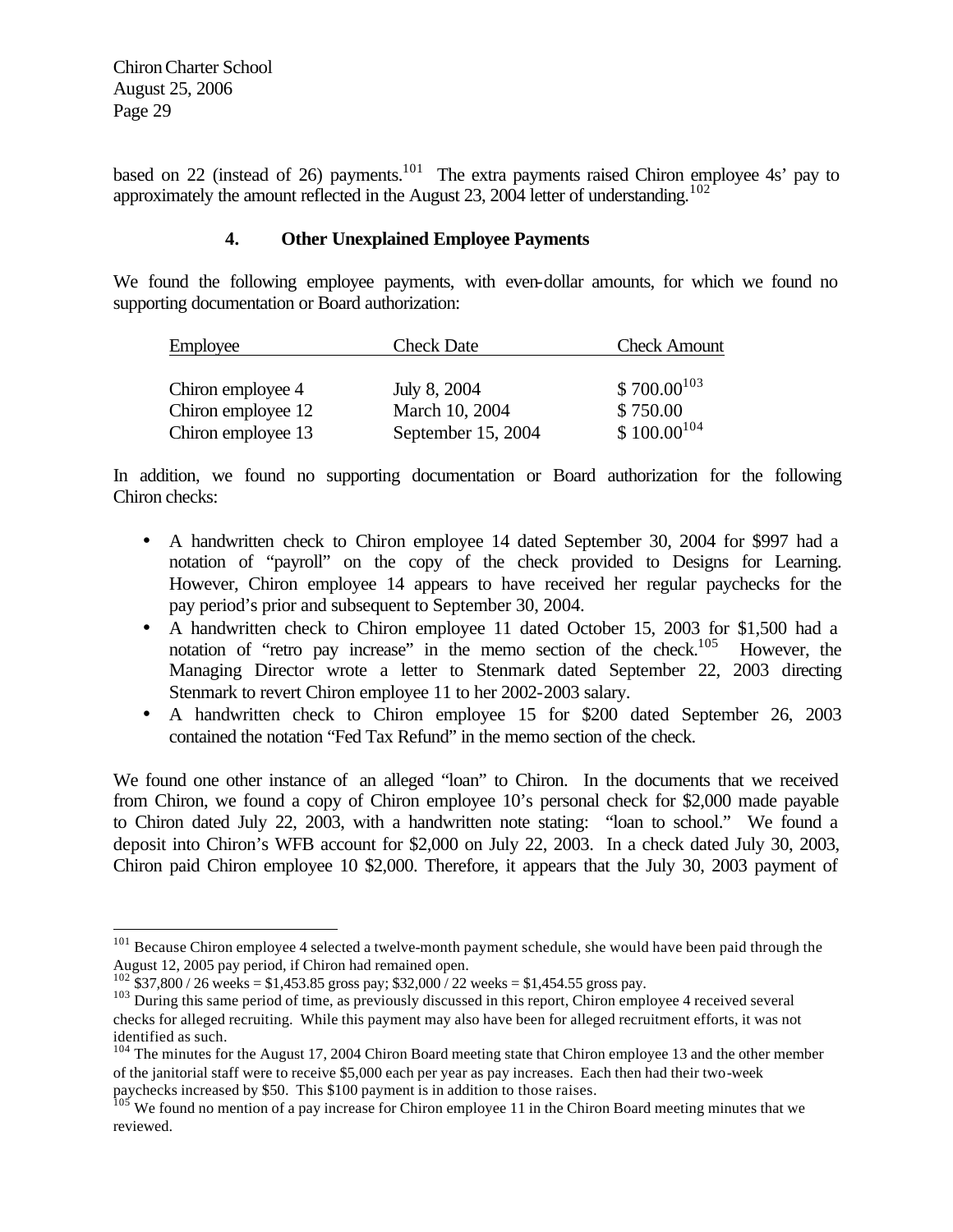$\overline{a}$ 

based on 22 (instead of 26) payments.<sup>101</sup> The extra payments raised Chiron employee 4s' pay to approximately the amount reflected in the August 23, 2004 letter of understanding.<sup>102</sup>

#### **4. Other Unexplained Employee Payments**

We found the following employee payments, with even-dollar amounts, for which we found no supporting documentation or Board authorization:

| Employee           | <b>Check Date</b>  | <b>Check Amount</b> |
|--------------------|--------------------|---------------------|
|                    |                    |                     |
| Chiron employee 4  | July 8, 2004       | $$700.00^{103}$     |
| Chiron employee 12 | March 10, 2004     | \$750.00            |
| Chiron employee 13 | September 15, 2004 | $$100.00^{104}$     |

In addition, we found no supporting documentation or Board authorization for the following Chiron checks:

- A handwritten check to Chiron employee 14 dated September 30, 2004 for \$997 had a notation of "payroll" on the copy of the check provided to Designs for Learning. However, Chiron employee 14 appears to have received her regular paychecks for the pay period's prior and subsequent to September 30, 2004.
- A handwritten check to Chiron employee 11 dated October 15, 2003 for \$1,500 had a notation of "retro pay increase" in the memo section of the check.<sup>105</sup> However, the Managing Director wrote a letter to Stenmark dated September 22, 2003 directing Stenmark to revert Chiron employee 11 to her 2002-2003 salary.
- A handwritten check to Chiron employee 15 for \$200 dated September 26, 2003 contained the notation "Fed Tax Refund" in the memo section of the check.

We found one other instance of an alleged "loan" to Chiron. In the documents that we received from Chiron, we found a copy of Chiron employee 10's personal check for \$2,000 made payable to Chiron dated July 22, 2003, with a handwritten note stating: "loan to school." We found a deposit into Chiron's WFB account for \$2,000 on July 22, 2003. In a check dated July 30, 2003, Chiron paid Chiron employee 10 \$2,000. Therefore, it appears that the July 30, 2003 payment of

<sup>&</sup>lt;sup>101</sup> Because Chiron employee 4 selected a twelve-month payment schedule, she would have been paid through the August 12, 2005 pay period, if Chiron had remained open.

 $^{102}$  \$37,800 / 26 weeks = \$1,453.85 gross pay; \$32,000 / 22 weeks = \$1,454.55 gross pay.

<sup>&</sup>lt;sup>103</sup> During this same period of time, as previously discussed in this report, Chiron employee 4 received several checks for alleged recruiting. While this payment may also have been for alleged recruitment efforts, it was not identified as such.

<sup>&</sup>lt;sup>104</sup> The minutes for the August 17, 2004 Chiron Board meeting state that Chiron employee 13 and the other member of the janitorial staff were to receive \$5,000 each per year as pay increases. Each then had their two-week paychecks increased by \$50. This \$100 payment is in addition to those raises.

<sup>&</sup>lt;sup>105</sup> We found no mention of a pay increase for Chiron employee 11 in the Chiron Board meeting minutes that we reviewed.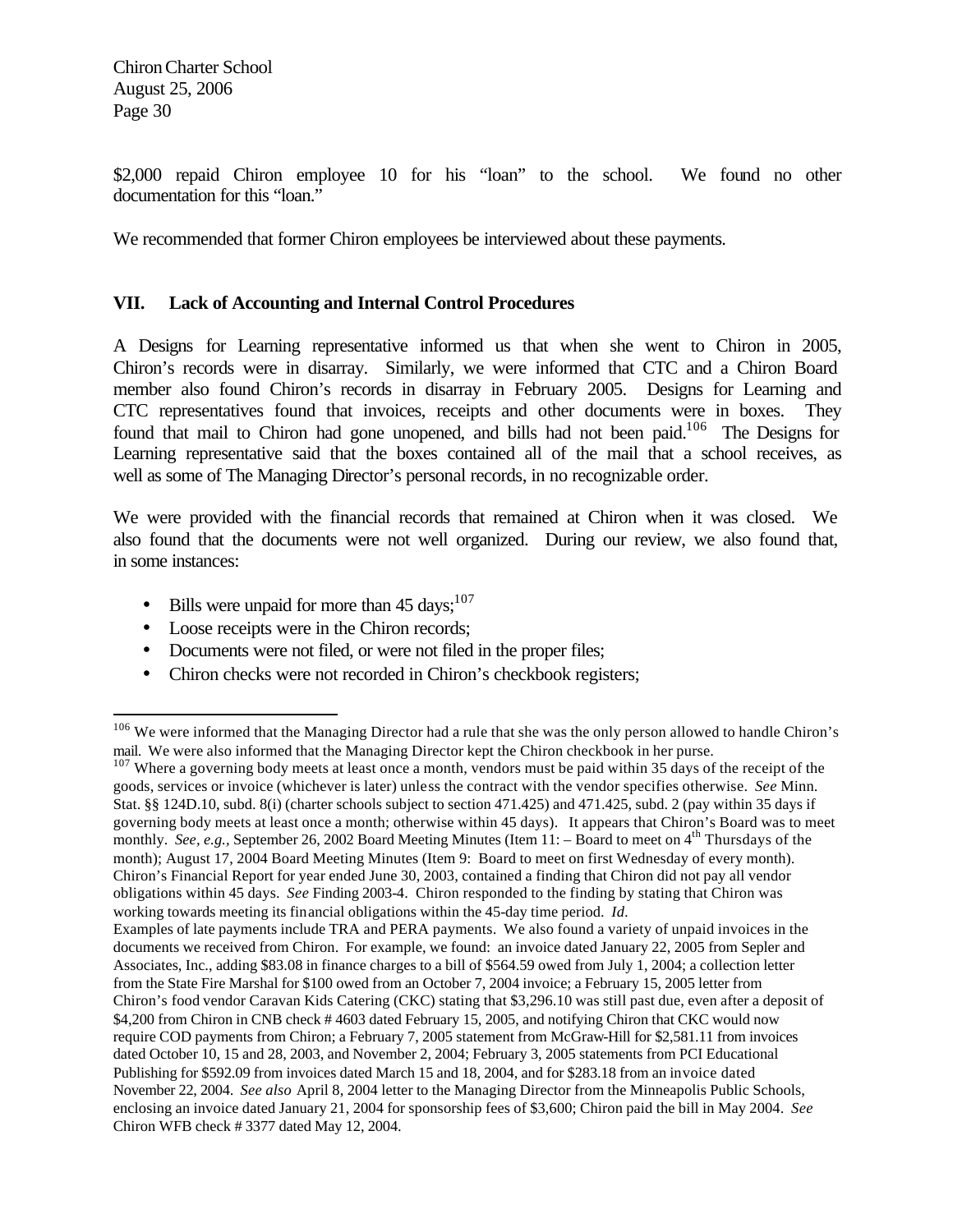$\overline{a}$ 

\$2,000 repaid Chiron employee 10 for his "loan" to the school. We found no other documentation for this "loan."

We recommended that former Chiron employees be interviewed about these payments.

## **VII. Lack of Accounting and Internal Control Procedures**

A Designs for Learning representative informed us that when she went to Chiron in 2005, Chiron's records were in disarray. Similarly, we were informed that CTC and a Chiron Board member also found Chiron's records in disarray in February 2005. Designs for Learning and CTC representatives found that invoices, receipts and other documents were in boxes. They found that mail to Chiron had gone unopened, and bills had not been paid.<sup>106</sup> The Designs for Learning representative said that the boxes contained all of the mail that a school receives, as well as some of The Managing Director's personal records, in no recognizable order.

We were provided with the financial records that remained at Chiron when it was closed. We also found that the documents were not well organized. During our review, we also found that, in some instances:

- Bills were unpaid for more than  $45 \text{ days};^{107}$
- Loose receipts were in the Chiron records;
- Documents were not filed, or were not filed in the proper files;
- Chiron checks were not recorded in Chiron's checkbook registers;

 $107$  Where a governing body meets at least once a month, vendors must be paid within 35 days of the receipt of the goods, services or invoice (whichever is later) unless the contract with the vendor specifies otherwise. *See* Minn. Stat. §§ 124D.10, subd. 8(i) (charter schools subject to section 471.425) and 471.425, subd. 2 (pay within 35 days if governing body meets at least once a month; otherwise within 45 days). It appears that Chiron's Board was to meet monthly. *See, e.g.*, September 26, 2002 Board Meeting Minutes (Item 11: – Board to meet on 4<sup>th</sup> Thursdays of the month); August 17, 2004 Board Meeting Minutes (Item 9: Board to meet on first Wednesday of every month). Chiron's Financial Report for year ended June 30, 2003, contained a finding that Chiron did not pay all vendor obligations within 45 days. *See* Finding 2003-4. Chiron responded to the finding by stating that Chiron was working towards meeting its financial obligations within the 45-day time period. *Id.*

Examples of late payments include TRA and PERA payments. We also found a variety of unpaid invoices in the documents we received from Chiron. For example, we found: an invoice dated January 22, 2005 from Sepler and Associates, Inc., adding \$83.08 in finance charges to a bill of \$564.59 owed from July 1, 2004; a collection letter from the State Fire Marshal for \$100 owed from an October 7, 2004 invoice; a February 15, 2005 letter from Chiron's food vendor Caravan Kids Catering (CKC) stating that \$3,296.10 was still past due, even after a deposit of \$4,200 from Chiron in CNB check # 4603 dated February 15, 2005, and notifying Chiron that CKC would now require COD payments from Chiron; a February 7, 2005 statement from McGraw-Hill for \$2,581.11 from invoices dated October 10, 15 and 28, 2003, and November 2, 2004; February 3, 2005 statements from PCI Educational Publishing for \$592.09 from invoices dated March 15 and 18, 2004, and for \$283.18 from an invoice dated November 22, 2004. *See also* April 8, 2004 letter to the Managing Director from the Minneapolis Public Schools, enclosing an invoice dated January 21, 2004 for sponsorship fees of \$3,600; Chiron paid the bill in May 2004. *See*  Chiron WFB check # 3377 dated May 12, 2004.

<sup>&</sup>lt;sup>106</sup> We were informed that the Managing Director had a rule that she was the only person allowed to handle Chiron's mail. We were also informed that the Managing Director kept the Chiron checkbook in her purse.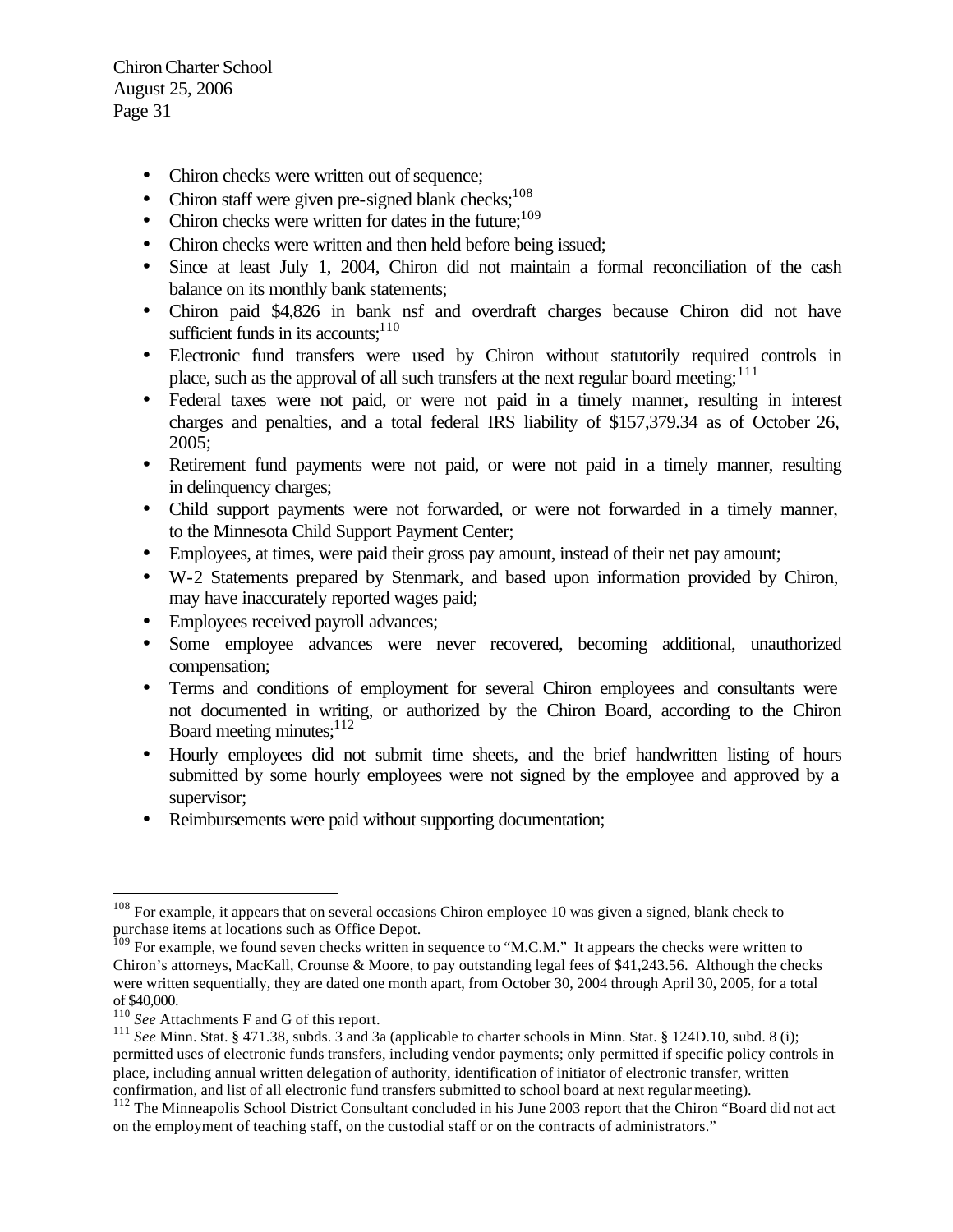- Chiron checks were written out of sequence;
- Chiron staff were given pre-signed blank checks; $108$
- Chiron checks were written for dates in the future;  $109$
- Chiron checks were written and then held before being issued;
- Since at least July 1, 2004, Chiron did not maintain a formal reconciliation of the cash balance on its monthly bank statements;
- Chiron paid \$4,826 in bank nsf and overdraft charges because Chiron did not have sufficient funds in its accounts; $110$
- Electronic fund transfers were used by Chiron without statutorily required controls in place, such as the approval of all such transfers at the next regular board meeting;<sup>111</sup>
- Federal taxes were not paid, or were not paid in a timely manner, resulting in interest charges and penalties, and a total federal IRS liability of \$157,379.34 as of October 26, 2005;
- Retirement fund payments were not paid, or were not paid in a timely manner, resulting in delinquency charges;
- Child support payments were not forwarded, or were not forwarded in a timely manner, to the Minnesota Child Support Payment Center;
- Employees, at times, were paid their gross pay amount, instead of their net pay amount;
- W-2 Statements prepared by Stenmark, and based upon information provided by Chiron, may have inaccurately reported wages paid;
- Employees received payroll advances;
- Some employee advances were never recovered, becoming additional, unauthorized compensation;
- Terms and conditions of employment for several Chiron employees and consultants were not documented in writing, or authorized by the Chiron Board, according to the Chiron Board meeting minutes; $112$
- Hourly employees did not submit time sheets, and the brief handwritten listing of hours submitted by some hourly employees were not signed by the employee and approved by a supervisor;
- Reimbursements were paid without supporting documentation;

<sup>&</sup>lt;sup>108</sup> For example, it appears that on several occasions Chiron employee 10 was given a signed, blank check to purchase items at locations such as Office Depot.

<sup>&</sup>lt;sup>109</sup> For example, we found seven checks written in sequence to "M.C.M." It appears the checks were written to Chiron's attorneys, MacKall, Crounse & Moore, to pay outstanding legal fees of \$41,243.56. Although the checks were written sequentially, they are dated one month apart, from October 30, 2004 through April 30, 2005, for a total of \$40,000.

<sup>110</sup> *See* Attachments F and G of this report.

<sup>&</sup>lt;sup>111</sup> *See* Minn. Stat. § 471.38, subds. 3 and 3a (applicable to charter schools in Minn. Stat. § 124D.10, subd. 8 (i); permitted uses of electronic funds transfers, including vendor payments; only permitted if specific policy controls in place, including annual written delegation of authority, identification of initiator of electronic transfer, written confirmation, and list of all electronic fund transfers submitted to school board at next regular meeting).

<sup>&</sup>lt;sup>112</sup> The Minneapolis School District Consultant concluded in his June 2003 report that the Chiron "Board did not act on the employment of teaching staff, on the custodial staff or on the contracts of administrators."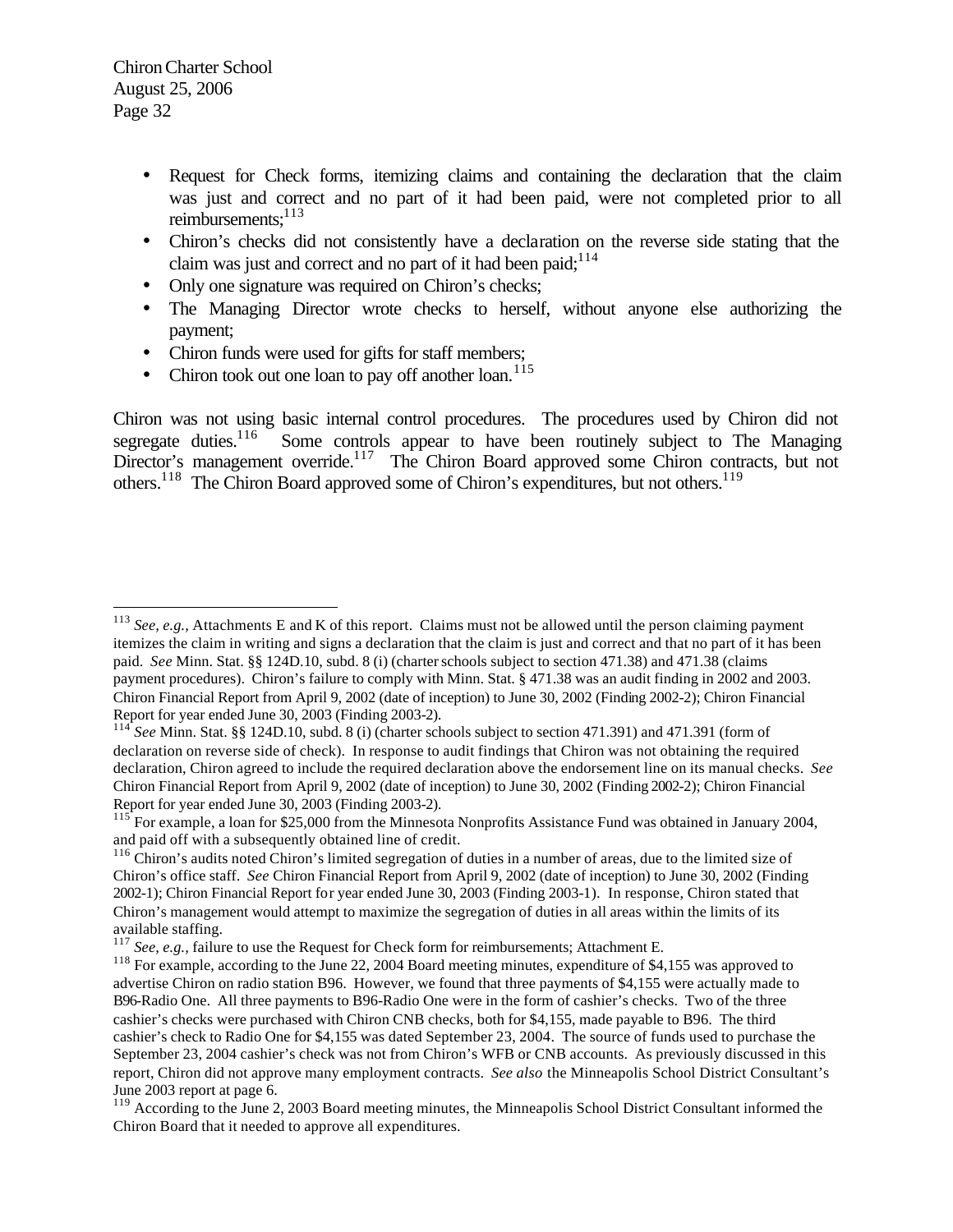- Request for Check forms, itemizing claims and containing the declaration that the claim was just and correct and no part of it had been paid, were not completed prior to all reimbursements: 113
- Chiron's checks did not consistently have a declaration on the reverse side stating that the claim was just and correct and no part of it had been paid; $114$
- Only one signature was required on Chiron's checks;
- The Managing Director wrote checks to herself, without anyone else authorizing the payment;
- Chiron funds were used for gifts for staff members;
- Chiron took out one loan to pay off another  $\alpha$ <sub>115</sub>

Chiron was not using basic internal control procedures. The procedures used by Chiron did not segregate duties.<sup>116</sup> Some controls appear to have been routinely subject to The Managing Some controls appear to have been routinely subject to The Managing Director's management override.<sup>117</sup> The Chiron Board approved some Chiron contracts, but not others.<sup>118</sup> The Chiron Board approved some of Chiron's expenditures, but not others.<sup>119</sup>

 $\overline{a}$ <sup>113</sup> *See, e.g., Attachments E and K of this report. Claims must not be allowed until the person claiming payment* itemizes the claim in writing and signs a declaration that the claim is just and correct and that no part of it has been paid. *See* Minn. Stat. §§ 124D.10, subd. 8 (i) (charter schools subject to section 471.38) and 471.38 (claims payment procedures). Chiron's failure to comply with Minn. Stat. § 471.38 was an audit finding in 2002 and 2003. Chiron Financial Report from April 9, 2002 (date of inception) to June 30, 2002 (Finding 2002-2); Chiron Financial Report for year ended June 30, 2003 (Finding 2003-2).

<sup>114</sup> *See Minn. Stat.* §§ 124D.10, subd. 8 (i) (charter schools subject to section 471.391) and 471.391 (form of declaration on reverse side of check). In response to audit findings that Chiron was not obtaining the required declaration, Chiron agreed to include the required declaration above the endorsement line on its manual checks. *See*  Chiron Financial Report from April 9, 2002 (date of inception) to June 30, 2002 (Finding 2002-2); Chiron Financial Report for year ended June 30, 2003 (Finding 2003-2).

<sup>&</sup>lt;sup>115</sup> For example, a loan for \$25,000 from the Minnesota Nonprofits Assistance Fund was obtained in January 2004, and paid off with a subsequently obtained line of credit.

<sup>&</sup>lt;sup>116</sup> Chiron's audits noted Chiron's limited segregation of duties in a number of areas, due to the limited size of Chiron's office staff. *See* Chiron Financial Report from April 9, 2002 (date of inception) to June 30, 2002 (Finding 2002-1); Chiron Financial Report for year ended June 30, 2003 (Finding 2003-1). In response, Chiron stated that Chiron's management would attempt to maximize the segregation of duties in all areas within the limits of its available staffing.

<sup>117</sup> *See, e.g.,* failure to use the Request for Check form for reimbursements; Attachment E.

<sup>&</sup>lt;sup>118</sup> For example, according to the June 22, 2004 Board meeting minutes, expenditure of \$4,155 was approved to advertise Chiron on radio station B96. However, we found that three payments of \$4,155 were actually made to B96-Radio One. All three payments to B96-Radio One were in the form of cashier's checks. Two of the three cashier's checks were purchased with Chiron CNB checks, both for \$4,155, made payable to B96. The third cashier's check to Radio One for \$4,155 was dated September 23, 2004. The source of funds used to purchase the September 23, 2004 cashier's check was not from Chiron's WFB or CNB accounts. As previously discussed in this report, Chiron did not approve many employment contracts. *See also* the Minneapolis School District Consultant's June 2003 report at page 6.

<sup>&</sup>lt;sup>119</sup> According to the June 2, 2003 Board meeting minutes, the Minneapolis School District Consultant informed the Chiron Board that it needed to approve all expenditures.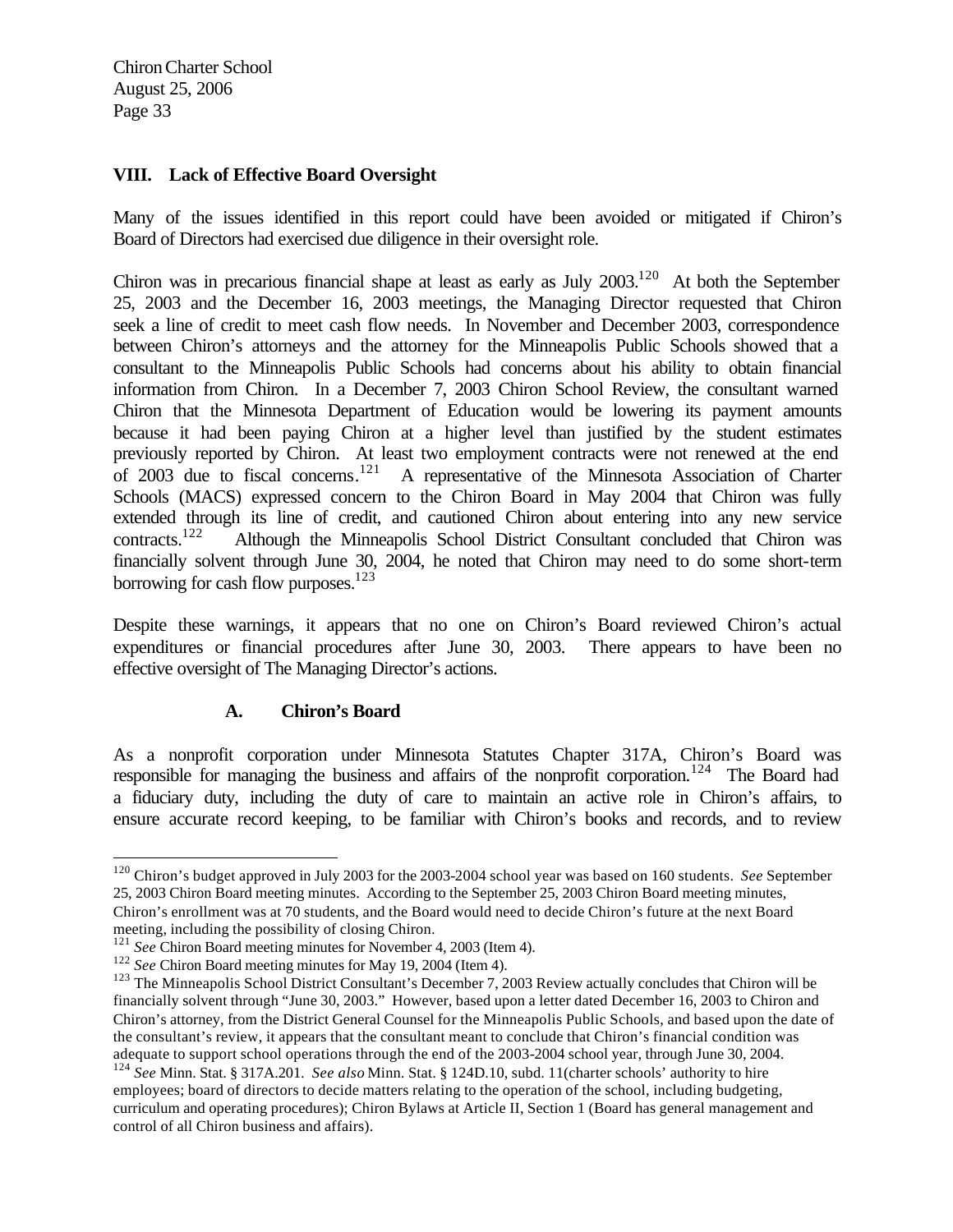#### **VIII. Lack of Effective Board Oversight**

Many of the issues identified in this report could have been avoided or mitigated if Chiron's Board of Directors had exercised due diligence in their oversight role.

Chiron was in precarious financial shape at least as early as July 2003.<sup>120</sup> At both the September 25, 2003 and the December 16, 2003 meetings, the Managing Director requested that Chiron seek a line of credit to meet cash flow needs. In November and December 2003, correspondence between Chiron's attorneys and the attorney for the Minneapolis Public Schools showed that a consultant to the Minneapolis Public Schools had concerns about his ability to obtain financial information from Chiron. In a December 7, 2003 Chiron School Review, the consultant warned Chiron that the Minnesota Department of Education would be lowering its payment amounts because it had been paying Chiron at a higher level than justified by the student estimates previously reported by Chiron. At least two employment contracts were not renewed at the end of 2003 due to fiscal concerns.<sup>121</sup> A representative of the Minnesota Association of Charter Schools (MACS) expressed concern to the Chiron Board in May 2004 that Chiron was fully extended through its line of credit, and cautioned Chiron about entering into any new service contracts.<sup>122</sup> Although the Minneapolis School District Consultant concluded that Chiron was financially solvent through June 30, 2004, he noted that Chiron may need to do some short-term borrowing for cash flow purposes. $123$ 

Despite these warnings, it appears that no one on Chiron's Board reviewed Chiron's actual expenditures or financial procedures after June 30, 2003. There appears to have been no effective oversight of The Managing Director's actions.

# **A. Chiron's Board**

As a nonprofit corporation under Minnesota Statutes Chapter 317A, Chiron's Board was responsible for managing the business and affairs of the nonprofit corporation.<sup>124</sup> The Board had a fiduciary duty, including the duty of care to maintain an active role in Chiron's affairs, to ensure accurate record keeping, to be familiar with Chiron's books and records, and to review

<sup>120</sup> Chiron's budget approved in July 2003 for the 2003-2004 school year was based on 160 students. *See* September 25, 2003 Chiron Board meeting minutes. According to the September 25, 2003 Chiron Board meeting minutes, Chiron's enrollment was at 70 students, and the Board would need to decide Chiron's future at the next Board meeting, including the possibility of closing Chiron.

<sup>&</sup>lt;sup>121</sup> See Chiron Board meeting minutes for November 4, 2003 (Item 4).

<sup>122</sup> *See* Chiron Board meeting minutes for May 19, 2004 (Item 4).

<sup>&</sup>lt;sup>123</sup> The Minneapolis School District Consultant's December 7, 2003 Review actually concludes that Chiron will be financially solvent through "June 30, 2003." However, based upon a letter dated December 16, 2003 to Chiron and Chiron's attorney, from the District General Counsel for the Minneapolis Public Schools, and based upon the date of the consultant's review, it appears that the consultant meant to conclude that Chiron's financial condition was adequate to support school operations through the end of the 2003-2004 school year, through June 30, 2004. <sup>124</sup> *See* Minn. Stat. § 317A.201. *See also* Minn. Stat. § 124D.10, subd. 11(charter schools' authority to hire employees; board of directors to decide matters relating to the operation of the school, including budgeting,

curriculum and operating procedures); Chiron Bylaws at Article II, Section 1 (Board has general management and control of all Chiron business and affairs).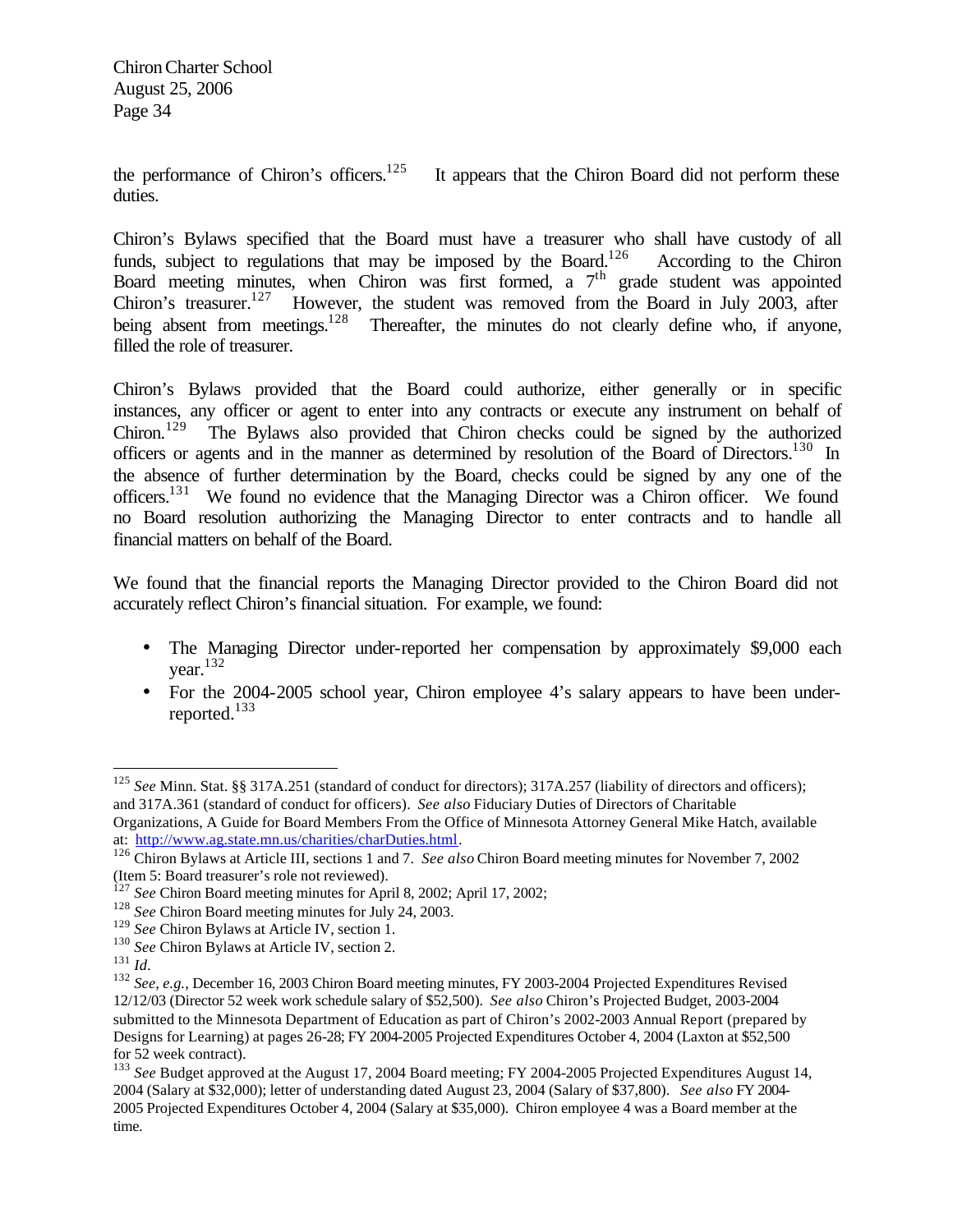the performance of Chiron's officers.<sup>125</sup> It appears that the Chiron Board did not perform these duties.

Chiron's Bylaws specified that the Board must have a treasurer who shall have custody of all funds, subject to regulations that may be imposed by the Board.<sup>126</sup> According to the Chiron Board meeting minutes, when Chiron was first formed, a  $7<sup>th</sup>$  grade student was appointed Chiron's treasurer.<sup>127</sup> However, the student was removed from the Board in July 2003, after being absent from meetings.<sup>128</sup> Thereafter, the minutes do not clearly define who, if anyone, filled the role of treasurer.

Chiron's Bylaws provided that the Board could authorize, either generally or in specific instances, any officer or agent to enter into any contracts or execute any instrument on behalf of Chiron.<sup>129</sup> The Bylaws also provided that Chiron checks could be signed by the authorized officers or agents and in the manner as determined by resolution of the Board of Directors.<sup>130</sup> In the absence of further determination by the Board, checks could be signed by any one of the officers.<sup>131</sup> We found no evidence that the Managing Director was a Chiron officer. We found no Board resolution authorizing the Managing Director to enter contracts and to handle all financial matters on behalf of the Board.

We found that the financial reports the Managing Director provided to the Chiron Board did not accurately reflect Chiron's financial situation. For example, we found:

- The Managing Director under-reported her compensation by approximately \$9,000 each vear. $132$
- For the 2004-2005 school year, Chiron employee 4's salary appears to have been underreported.<sup>133</sup>

<sup>125</sup> *See* Minn. Stat. §§ 317A.251 (standard of conduct for directors); 317A.257 (liability of directors and officers); and 317A.361 (standard of conduct for officers). *See also* Fiduciary Duties of Directors of Charitable Organizations, A Guide for Board Members From the Office of Minnesota Attorney General Mike Hatch, available

at: http://www.ag.state.mn.us/charities/charDuties.html.

<sup>126</sup> Chiron Bylaws at Article III, sections 1 and 7. *See also* Chiron Board meeting minutes for November 7, 2002 (Item 5: Board treasurer's role not reviewed).

<sup>&</sup>lt;sup>127</sup> See Chiron Board meeting minutes for April 8, 2002; April 17, 2002;

<sup>&</sup>lt;sup>128</sup> See Chiron Board meeting minutes for July 24, 2003.

<sup>&</sup>lt;sup>129</sup> See Chiron Bylaws at Article IV, section 1.

<sup>&</sup>lt;sup>130</sup> See Chiron Bylaws at Article IV, section 2.

<sup>131</sup> *Id.*

<sup>132</sup> *See, e.g.,* December 16, 2003 Chiron Board meeting minutes, FY 2003-2004 Projected Expenditures Revised 12/12/03 (Director 52 week work schedule salary of \$52,500). *See also* Chiron's Projected Budget, 2003-2004 submitted to the Minnesota Department of Education as part of Chiron's 2002-2003 Annual Report (prepared by Designs for Learning) at pages 26-28; FY 2004-2005 Projected Expenditures October 4, 2004 (Laxton at \$52,500 for 52 week contract).

<sup>133</sup> *See* Budget approved at the August 17, 2004 Board meeting; FY 2004-2005 Projected Expenditures August 14, 2004 (Salary at \$32,000); letter of understanding dated August 23, 2004 (Salary of \$37,800). *See also* FY 2004- 2005 Projected Expenditures October 4, 2004 (Salary at \$35,000). Chiron employee 4 was a Board member at the time.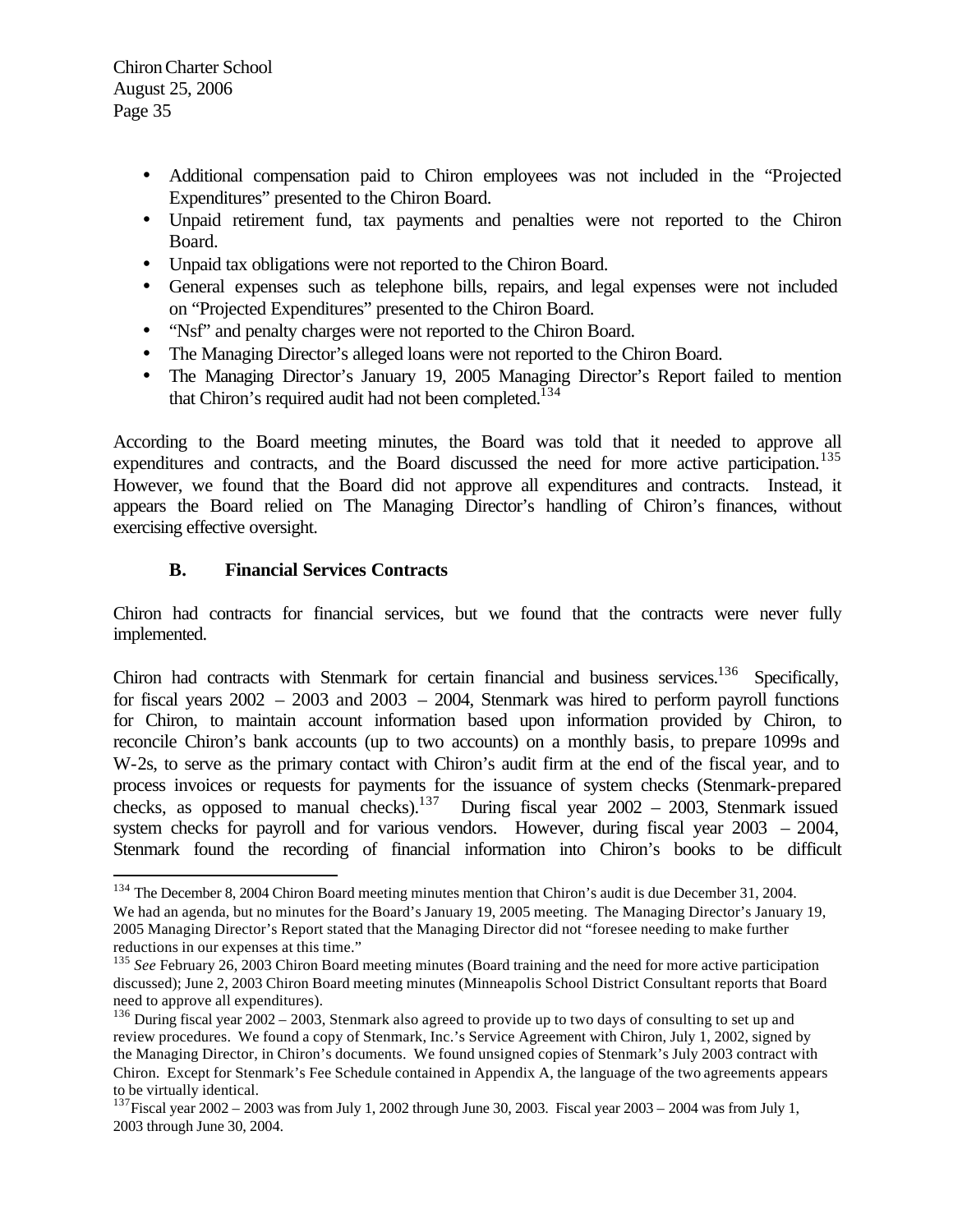$\overline{a}$ 

- Additional compensation paid to Chiron employees was not included in the "Projected Expenditures" presented to the Chiron Board.
- Unpaid retirement fund, tax payments and penalties were not reported to the Chiron Board.
- Unpaid tax obligations were not reported to the Chiron Board.
- General expenses such as telephone bills, repairs, and legal expenses were not included on "Projected Expenditures" presented to the Chiron Board.
- "Nsf" and penalty charges were not reported to the Chiron Board.
- The Managing Director's alleged loans were not reported to the Chiron Board.
- The Managing Director's January 19, 2005 Managing Director's Report failed to mention that Chiron's required audit had not been completed.<sup>134</sup>

According to the Board meeting minutes, the Board was told that it needed to approve all expenditures and contracts, and the Board discussed the need for more active participation.<sup>135</sup> However, we found that the Board did not approve all expenditures and contracts. Instead, it appears the Board relied on The Managing Director's handling of Chiron's finances, without exercising effective oversight.

## **B. Financial Services Contracts**

Chiron had contracts for financial services, but we found that the contracts were never fully implemented.

Chiron had contracts with Stenmark for certain financial and business services.<sup>136</sup> Specifically, for fiscal years  $2002 - 2003$  and  $2003 - 2004$ , Stenmark was hired to perform payroll functions for Chiron, to maintain account information based upon information provided by Chiron, to reconcile Chiron's bank accounts (up to two accounts) on a monthly basis, to prepare 1099s and W-2s, to serve as the primary contact with Chiron's audit firm at the end of the fiscal year, and to process invoices or requests for payments for the issuance of system checks (Stenmark-prepared checks, as opposed to manual checks).<sup>137</sup> During fiscal year  $2002 - 2003$ , Stenmark issued system checks for payroll and for various vendors. However, during fiscal year 2003 – 2004, Stenmark found the recording of financial information into Chiron's books to be difficult

<sup>&</sup>lt;sup>134</sup> The December 8, 2004 Chiron Board meeting minutes mention that Chiron's audit is due December 31, 2004. We had an agenda, but no minutes for the Board's January 19, 2005 meeting. The Managing Director's January 19, 2005 Managing Director's Report stated that the Managing Director did not "foresee needing to make further reductions in our expenses at this time."

<sup>&</sup>lt;sup>135</sup> See February 26, 2003 Chiron Board meeting minutes (Board training and the need for more active participation discussed); June 2, 2003 Chiron Board meeting minutes (Minneapolis School District Consultant reports that Board need to approve all expenditures).

<sup>&</sup>lt;sup>136</sup> During fiscal year 2002 – 2003, Stenmark also agreed to provide up to two days of consulting to set up and review procedures. We found a copy of Stenmark, Inc.'s Service Agreement with Chiron, July 1, 2002, signed by the Managing Director, in Chiron's documents. We found unsigned copies of Stenmark's July 2003 contract with Chiron. Except for Stenmark's Fee Schedule contained in Appendix A, the language of the two agreements appears to be virtually identical.

<sup>&</sup>lt;sup>137</sup>Fiscal year  $2002 - 2003$  was from July 1, 2002 through June 30, 2003. Fiscal year  $2003 - 2004$  was from July 1, 2003 through June 30, 2004.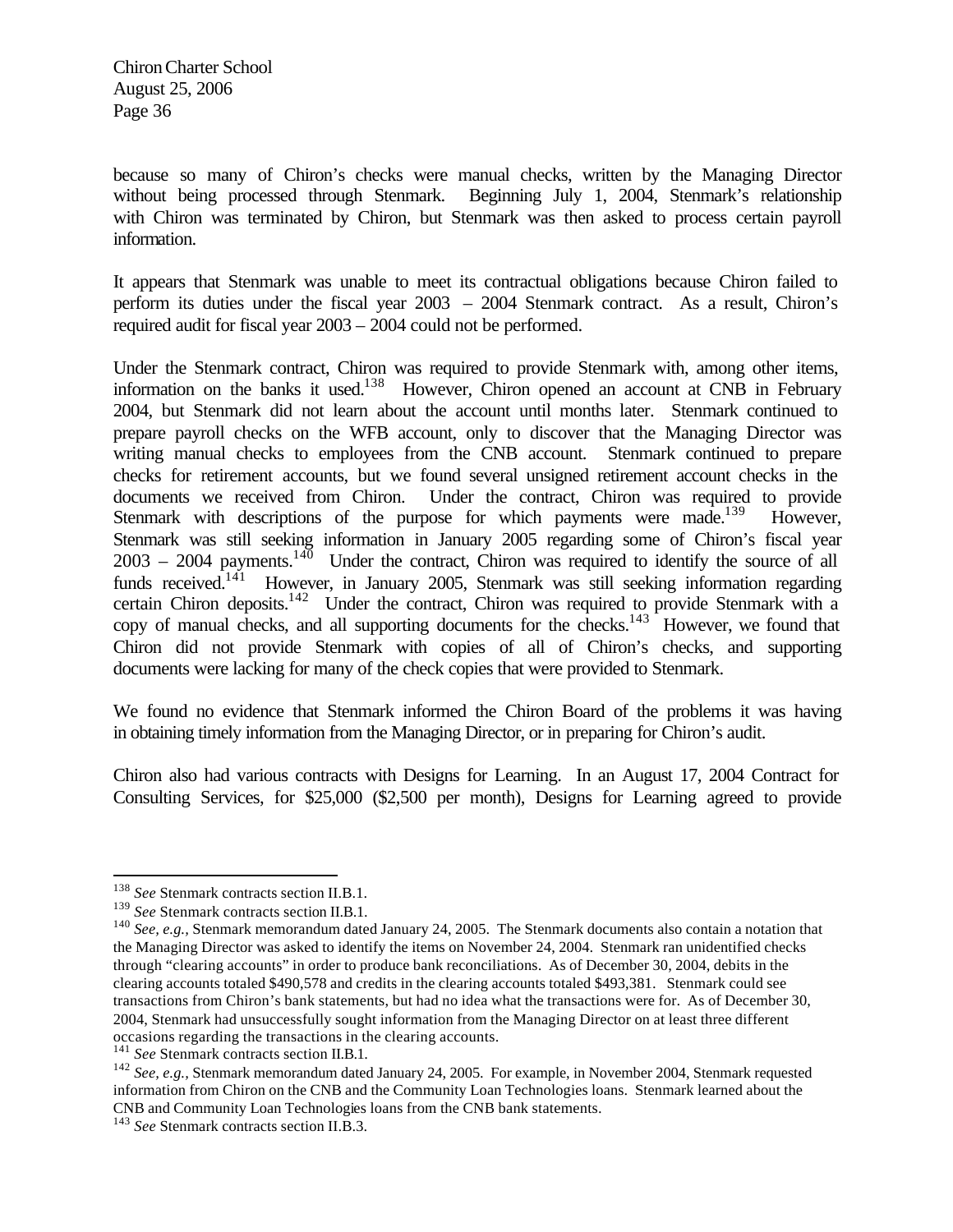because so many of Chiron's checks were manual checks, written by the Managing Director without being processed through Stenmark. Beginning July 1, 2004, Stenmark's relationship with Chiron was terminated by Chiron, but Stenmark was then asked to process certain payroll information.

It appears that Stenmark was unable to meet its contractual obligations because Chiron failed to perform its duties under the fiscal year 2003 – 2004 Stenmark contract. As a result, Chiron's required audit for fiscal year 2003 – 2004 could not be performed.

Under the Stenmark contract, Chiron was required to provide Stenmark with, among other items, information on the banks it used.<sup>138</sup> However, Chiron opened an account at CNB in February 2004, but Stenmark did not learn about the account until months later. Stenmark continued to prepare payroll checks on the WFB account, only to discover that the Managing Director was writing manual checks to employees from the CNB account. Stenmark continued to prepare checks for retirement accounts, but we found several unsigned retirement account checks in the documents we received from Chiron. Under the contract, Chiron was required to provide Stenmark with descriptions of the purpose for which payments were made.<sup>139</sup> However, Stenmark was still seeking information in January 2005 regarding some of Chiron's fiscal year  $2003 - 2004$  payments.<sup>140</sup> Under the contract, Chiron was required to identify the source of all funds received.<sup>141</sup> However, in January 2005, Stenmark was still seeking information regarding certain Chiron deposits.<sup>142</sup> Under the contract, Chiron was required to provide Stenmark with a copy of manual checks, and all supporting documents for the checks.<sup>143</sup> However, we found that Chiron did not provide Stenmark with copies of all of Chiron's checks, and supporting documents were lacking for many of the check copies that were provided to Stenmark.

We found no evidence that Stenmark informed the Chiron Board of the problems it was having in obtaining timely information from the Managing Director, or in preparing for Chiron's audit.

Chiron also had various contracts with Designs for Learning. In an August 17, 2004 Contract for Consulting Services, for \$25,000 (\$2,500 per month), Designs for Learning agreed to provide

<sup>138</sup> *See* Stenmark contracts section II.B.1.

<sup>139</sup> *See* Stenmark contracts section II.B.1.

<sup>140</sup> *See, e.g.,* Stenmark memorandum dated January 24, 2005. The Stenmark documents also contain a notation that the Managing Director was asked to identify the items on November 24, 2004. Stenmark ran unidentified checks through "clearing accounts" in order to produce bank reconciliations. As of December 30, 2004, debits in the clearing accounts totaled \$490,578 and credits in the clearing accounts totaled \$493,381. Stenmark could see transactions from Chiron's bank statements, but had no idea what the transactions were for. As of December 30, 2004, Stenmark had unsuccessfully sought information from the Managing Director on at least three different occasions regarding the transactions in the clearing accounts.

<sup>&</sup>lt;sup>141</sup> See Stenmark contracts section II.B.1.

<sup>142</sup> *See, e.g.,* Stenmark memorandum dated January 24, 2005. For example, in November 2004, Stenmark requested information from Chiron on the CNB and the Community Loan Technologies loans. Stenmark learned about the CNB and Community Loan Technologies loans from the CNB bank statements.

<sup>143</sup> *See* Stenmark contracts section II.B.3.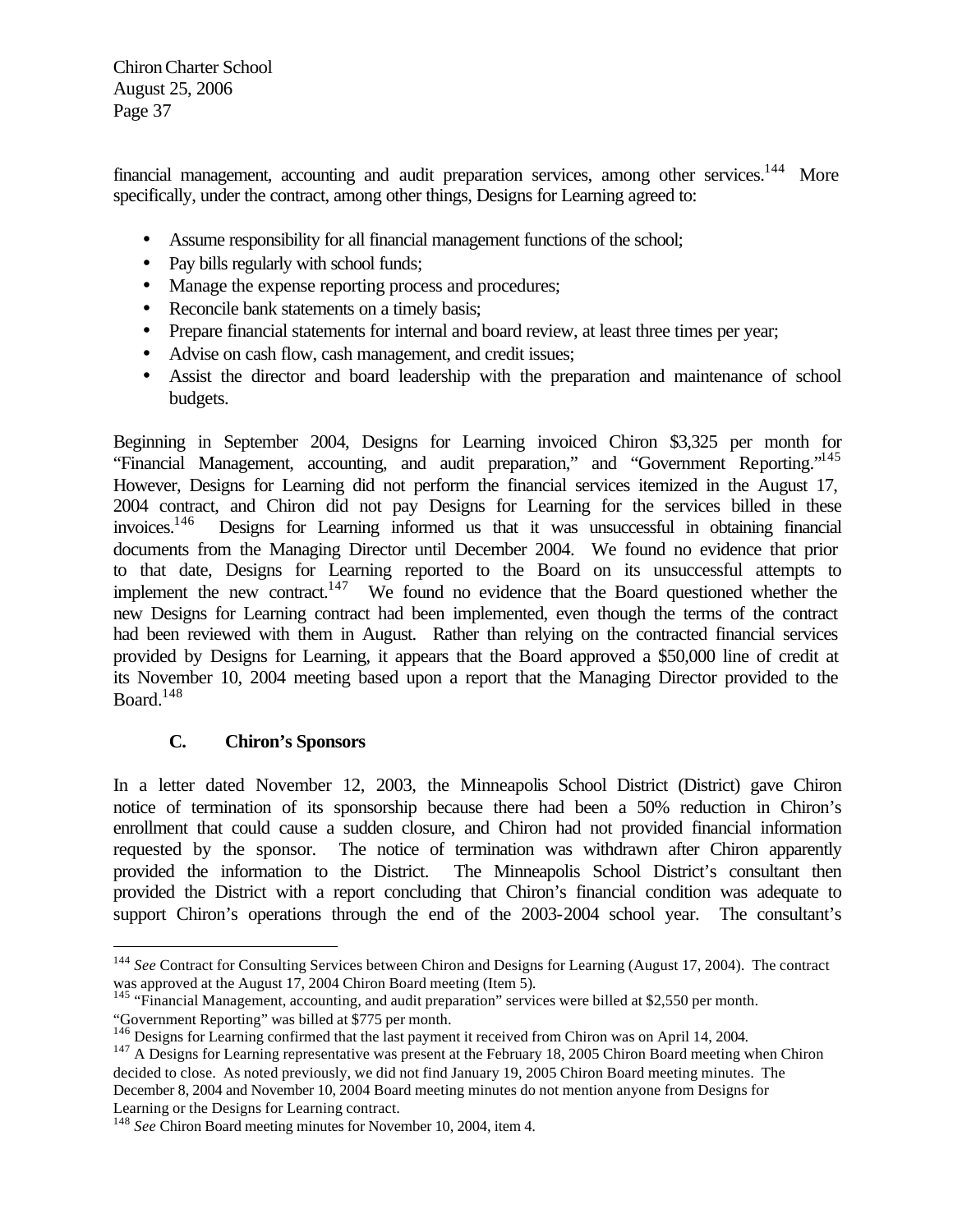financial management, accounting and audit preparation services, among other services.<sup>144</sup> More specifically, under the contract, among other things, Designs for Learning agreed to:

- Assume responsibility for all financial management functions of the school;
- Pay bills regularly with school funds;
- Manage the expense reporting process and procedures;
- Reconcile bank statements on a timely basis;
- Prepare financial statements for internal and board review, at least three times per year;
- Advise on cash flow, cash management, and credit issues;
- Assist the director and board leadership with the preparation and maintenance of school budgets.

Beginning in September 2004, Designs for Learning invoiced Chiron \$3,325 per month for "Financial Management, accounting, and audit preparation," and "Government Reporting."<sup>145</sup> However, Designs for Learning did not perform the financial services itemized in the August 17, 2004 contract, and Chiron did not pay Designs for Learning for the services billed in these invoices.<sup>146</sup> Designs for Learning informed us that it was unsuccessful in obtaining financial documents from the Managing Director until December 2004. We found no evidence that prior to that date, Designs for Learning reported to the Board on its unsuccessful attempts to implement the new contract.<sup>147</sup> We found no evidence that the Board questioned whether the new Designs for Learning contract had been implemented, even though the terms of the contract had been reviewed with them in August. Rather than relying on the contracted financial services provided by Designs for Learning, it appears that the Board approved a \$50,000 line of credit at its November 10, 2004 meeting based upon a report that the Managing Director provided to the Board. $148$ 

# **C. Chiron's Sponsors**

 $\overline{a}$ 

In a letter dated November 12, 2003, the Minneapolis School District (District) gave Chiron notice of termination of its sponsorship because there had been a 50% reduction in Chiron's enrollment that could cause a sudden closure, and Chiron had not provided financial information requested by the sponsor. The notice of termination was withdrawn after Chiron apparently provided the information to the District. The Minneapolis School District's consultant then provided the District with a report concluding that Chiron's financial condition was adequate to support Chiron's operations through the end of the 2003-2004 school year. The consultant's

<sup>&</sup>lt;sup>144</sup> See Contract for Consulting Services between Chiron and Designs for Learning (August 17, 2004). The contract was approved at the August 17, 2004 Chiron Board meeting (Item 5).

<sup>&</sup>lt;sup>145</sup> "Financial Management, accounting, and audit preparation" services were billed at \$2,550 per month. "Government Reporting" was billed at \$775 per month.

<sup>&</sup>lt;sup>146</sup> Designs for Learning confirmed that the last payment it received from Chiron was on April 14, 2004.

<sup>&</sup>lt;sup>147</sup> A Designs for Learning representative was present at the February 18, 2005 Chiron Board meeting when Chiron decided to close. As noted previously, we did not find January 19, 2005 Chiron Board meeting minutes. The December 8, 2004 and November 10, 2004 Board meeting minutes do not mention anyone from Designs for Learning or the Designs for Learning contract.

<sup>148</sup> *See* Chiron Board meeting minutes for November 10, 2004, item 4.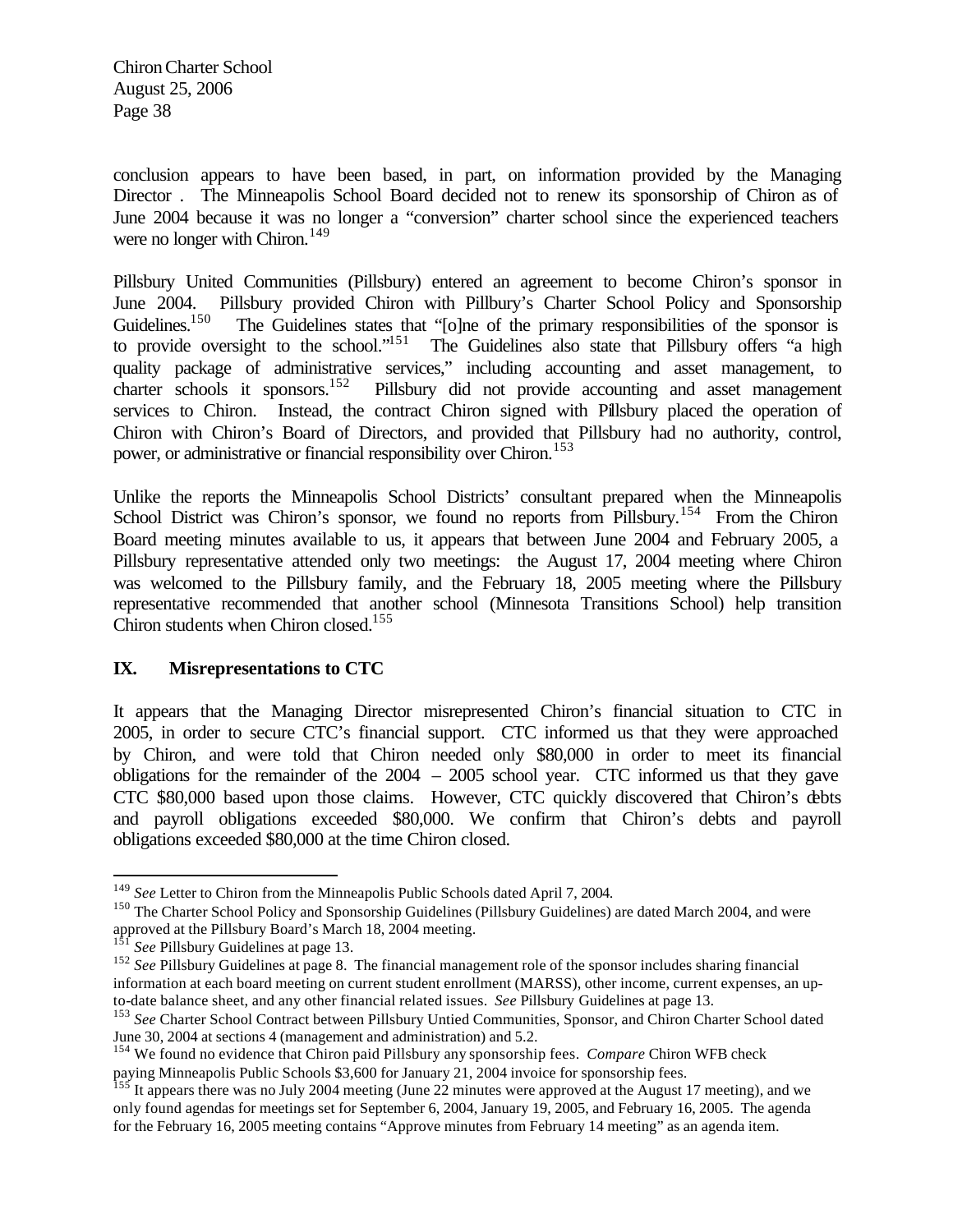conclusion appears to have been based, in part, on information provided by the Managing Director . The Minneapolis School Board decided not to renew its sponsorship of Chiron as of June 2004 because it was no longer a "conversion" charter school since the experienced teachers were no longer with Chiron.<sup>149</sup>

Pillsbury United Communities (Pillsbury) entered an agreement to become Chiron's sponsor in June 2004. Pillsbury provided Chiron with Pillbury's Charter School Policy and Sponsorship<br>Guidelines.<sup>150</sup> The Guidelines states that "folne of the primary responsibilities of the sponsor is The Guidelines states that "[o]ne of the primary responsibilities of the sponsor is to provide oversight to the school."<sup>151</sup> The Guidelines also state that Pillsbury offers "a high quality package of administrative services," including accounting and asset management, to charter schools it sponsors.<sup>152</sup> Pillsbury did not provide accounting and asset management services to Chiron. Instead, the contract Chiron signed with Pillsbury placed the operation of Chiron with Chiron's Board of Directors, and provided that Pillsbury had no authority, control, power, or administrative or financial responsibility over Chiron.<sup>153</sup>

Unlike the reports the Minneapolis School Districts' consultant prepared when the Minneapolis School District was Chiron's sponsor, we found no reports from Pillsbury.<sup>154</sup> From the Chiron Board meeting minutes available to us, it appears that between June 2004 and February 2005, a Pillsbury representative attended only two meetings: the August 17, 2004 meeting where Chiron was welcomed to the Pillsbury family, and the February 18, 2005 meeting where the Pillsbury representative recommended that another school (Minnesota Transitions School) help transition Chiron students when Chiron closed.<sup>155</sup>

#### **IX. Misrepresentations to CTC**

It appears that the Managing Director misrepresented Chiron's financial situation to CTC in 2005, in order to secure CTC's financial support. CTC informed us that they were approached by Chiron, and were told that Chiron needed only \$80,000 in order to meet its financial obligations for the remainder of the  $2004 - 2005$  school year. CTC informed us that they gave CTC \$80,000 based upon those claims. However, CTC quickly discovered that Chiron's debts and payroll obligations exceeded \$80,000. We confirm that Chiron's debts and payroll obligations exceeded \$80,000 at the time Chiron closed.

<sup>149</sup> *See* Letter to Chiron from the Minneapolis Public Schools dated April 7, 2004.

<sup>&</sup>lt;sup>150</sup> The Charter School Policy and Sponsorship Guidelines (Pillsbury Guidelines) are dated March 2004, and were approved at the Pillsbury Board's March 18, 2004 meeting.<br> $^{151}$  See Pillsbury C. i. i.

See Pillsbury Guidelines at page 13.

<sup>&</sup>lt;sup>152</sup> *See* Pillsbury Guidelines at page 8. The financial management role of the sponsor includes sharing financial information at each board meeting on current student enrollment (MARSS), other income, current expenses, an upto-date balance sheet, and any other financial related issues. *See* Pillsbury Guidelines at page 13.

<sup>&</sup>lt;sup>153</sup> See Charter School Contract between Pillsbury Untied Communities, Sponsor, and Chiron Charter School dated June 30, 2004 at sections 4 (management and administration) and 5.2.

<sup>154</sup> We found no evidence that Chiron paid Pillsbury any sponsorship fees. *Compare* Chiron WFB check paying Minneapolis Public Schools \$3,600 for January 21, 2004 invoice for sponsorship fees.

<sup>&</sup>lt;sup>155</sup> It appears there was no July 2004 meeting (June 22 minutes were approved at the August 17 meeting), and we only found agendas for meetings set for September 6, 2004, January 19, 2005, and February 16, 2005. The agenda for the February 16, 2005 meeting contains "Approve minutes from February 14 meeting" as an agenda item.